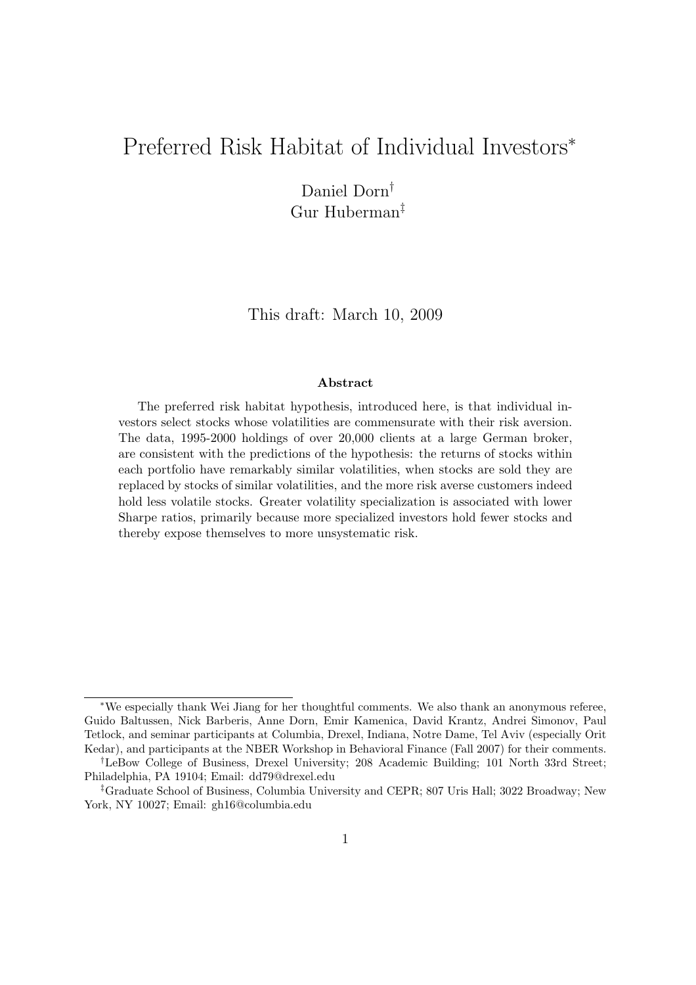### Preferred Risk Habitat of Individual Investors<sup>∗</sup>

Daniel Dorn† Gur Huberman‡

This draft: March 10, 2009

#### Abstract

The preferred risk habitat hypothesis, introduced here, is that individual investors select stocks whose volatilities are commensurate with their risk aversion. The data, 1995-2000 holdings of over 20,000 clients at a large German broker, are consistent with the predictions of the hypothesis: the returns of stocks within each portfolio have remarkably similar volatilities, when stocks are sold they are replaced by stocks of similar volatilities, and the more risk averse customers indeed hold less volatile stocks. Greater volatility specialization is associated with lower Sharpe ratios, primarily because more specialized investors hold fewer stocks and thereby expose themselves to more unsystematic risk.

<sup>∗</sup>We especially thank Wei Jiang for her thoughtful comments. We also thank an anonymous referee, Guido Baltussen, Nick Barberis, Anne Dorn, Emir Kamenica, David Krantz, Andrei Simonov, Paul Tetlock, and seminar participants at Columbia, Drexel, Indiana, Notre Dame, Tel Aviv (especially Orit Kedar), and participants at the NBER Workshop in Behavioral Finance (Fall 2007) for their comments.

<sup>†</sup>LeBow College of Business, Drexel University; 208 Academic Building; 101 North 33rd Street; Philadelphia, PA 19104; Email: dd79@drexel.edu

<sup>‡</sup>Graduate School of Business, Columbia University and CEPR; 807 Uris Hall; 3022 Broadway; New York, NY 10027; Email: gh16@columbia.edu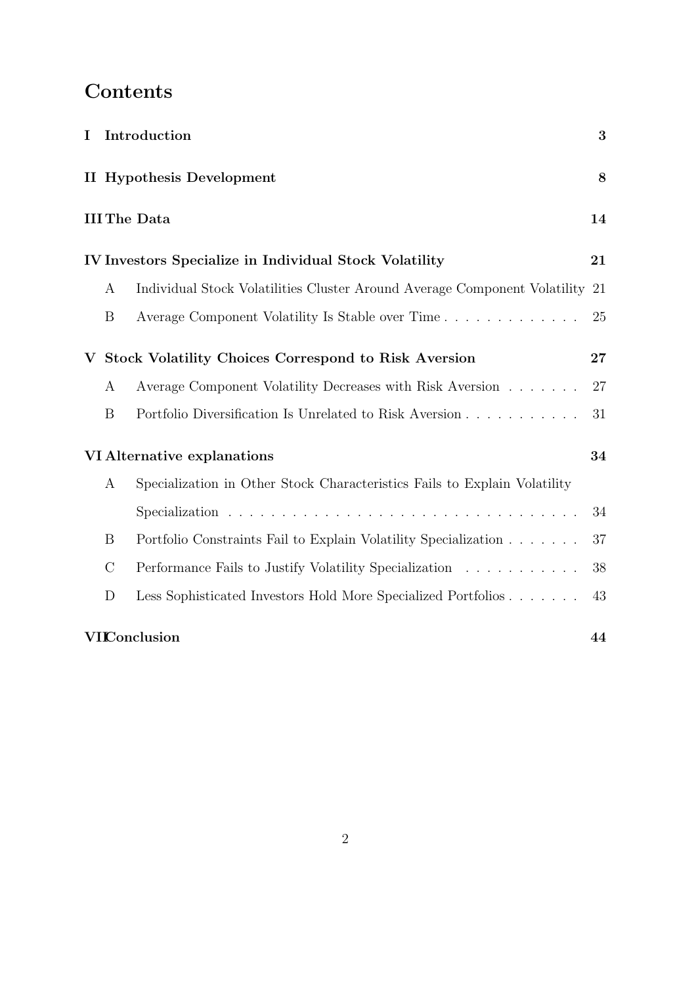## Contents

|                  | I Introduction                                                               | 3  |
|------------------|------------------------------------------------------------------------------|----|
|                  | <b>II</b> Hypothesis Development                                             | 8  |
|                  | <b>III The Data</b>                                                          | 14 |
|                  | IV Investors Specialize in Individual Stock Volatility                       | 21 |
| $\boldsymbol{A}$ | Individual Stock Volatilities Cluster Around Average Component Volatility 21 |    |
| B                | Average Component Volatility Is Stable over Time                             | 25 |
|                  | V Stock Volatility Choices Correspond to Risk Aversion                       | 27 |
| A                | Average Component Volatility Decreases with Risk Aversion                    | 27 |
| B                | Portfolio Diversification Is Unrelated to Risk Aversion                      | 31 |
|                  | VI Alternative explanations                                                  | 34 |
| $\boldsymbol{A}$ | Specialization in Other Stock Characteristics Fails to Explain Volatility    |    |
|                  |                                                                              | 34 |
| B                | Portfolio Constraints Fail to Explain Volatility Specialization              | 37 |
| $\mathcal{C}$    | Performance Fails to Justify Volatility Specialization                       | 38 |
| D                | Less Sophisticated Investors Hold More Specialized Portfolios                | 43 |
|                  | <b>VIConclusion</b>                                                          | 44 |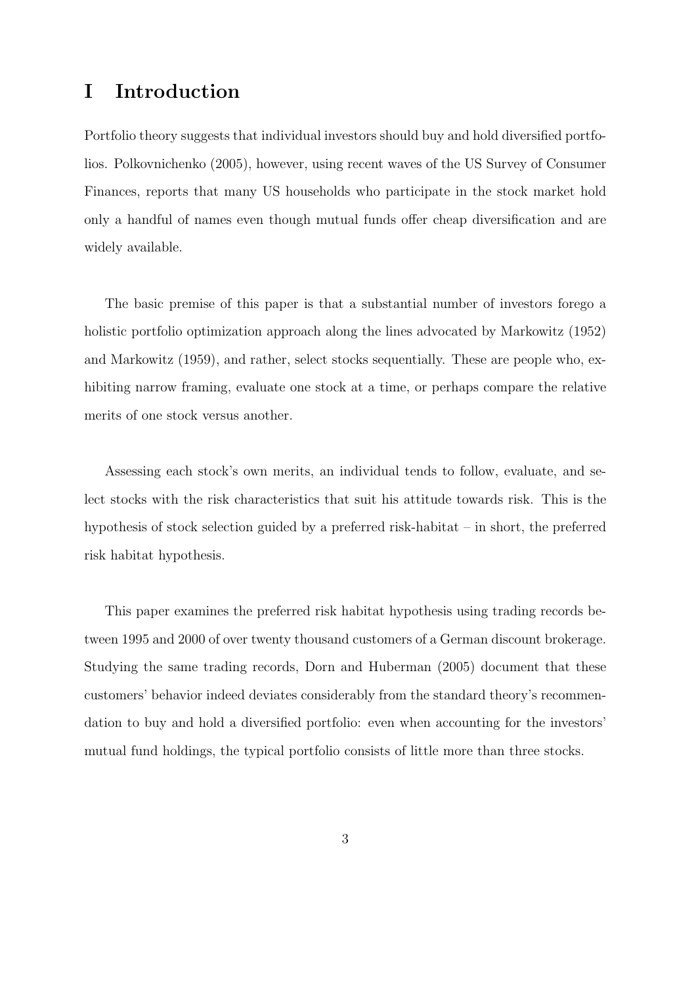### I Introduction

Portfolio theory suggests that individual investors should buy and hold diversified portfolios. Polkovnichenko (2005), however, using recent waves of the US Survey of Consumer Finances, reports that many US households who participate in the stock market hold only a handful of names even though mutual funds offer cheap diversification and are widely available.

The basic premise of this paper is that a substantial number of investors forego a holistic portfolio optimization approach along the lines advocated by Markowitz (1952) and Markowitz (1959), and rather, select stocks sequentially. These are people who, exhibiting narrow framing, evaluate one stock at a time, or perhaps compare the relative merits of one stock versus another.

Assessing each stock's own merits, an individual tends to follow, evaluate, and select stocks with the risk characteristics that suit his attitude towards risk. This is the hypothesis of stock selection guided by a preferred risk-habitat – in short, the preferred risk habitat hypothesis.

This paper examines the preferred risk habitat hypothesis using trading records between 1995 and 2000 of over twenty thousand customers of a German discount brokerage. Studying the same trading records, Dorn and Huberman (2005) document that these customers' behavior indeed deviates considerably from the standard theory's recommendation to buy and hold a diversified portfolio: even when accounting for the investors' mutual fund holdings, the typical portfolio consists of little more than three stocks.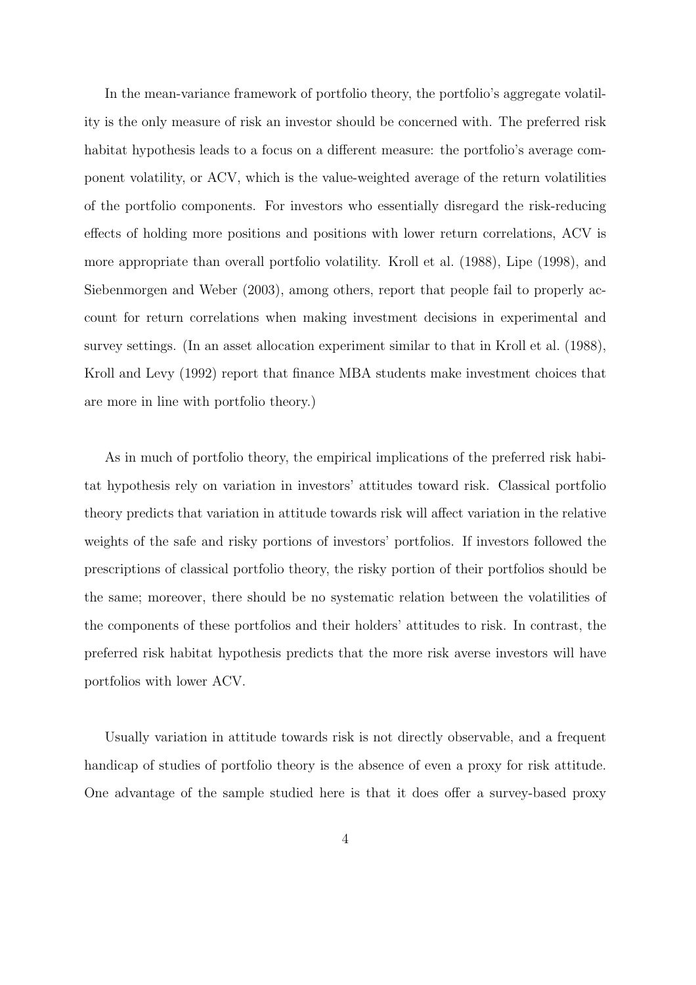In the mean-variance framework of portfolio theory, the portfolio's aggregate volatility is the only measure of risk an investor should be concerned with. The preferred risk habitat hypothesis leads to a focus on a different measure: the portfolio's average component volatility, or ACV, which is the value-weighted average of the return volatilities of the portfolio components. For investors who essentially disregard the risk-reducing effects of holding more positions and positions with lower return correlations, ACV is more appropriate than overall portfolio volatility. Kroll et al. (1988), Lipe (1998), and Siebenmorgen and Weber (2003), among others, report that people fail to properly account for return correlations when making investment decisions in experimental and survey settings. (In an asset allocation experiment similar to that in Kroll et al. (1988), Kroll and Levy (1992) report that finance MBA students make investment choices that are more in line with portfolio theory.)

As in much of portfolio theory, the empirical implications of the preferred risk habitat hypothesis rely on variation in investors' attitudes toward risk. Classical portfolio theory predicts that variation in attitude towards risk will affect variation in the relative weights of the safe and risky portions of investors' portfolios. If investors followed the prescriptions of classical portfolio theory, the risky portion of their portfolios should be the same; moreover, there should be no systematic relation between the volatilities of the components of these portfolios and their holders' attitudes to risk. In contrast, the preferred risk habitat hypothesis predicts that the more risk averse investors will have portfolios with lower ACV.

Usually variation in attitude towards risk is not directly observable, and a frequent handicap of studies of portfolio theory is the absence of even a proxy for risk attitude. One advantage of the sample studied here is that it does offer a survey-based proxy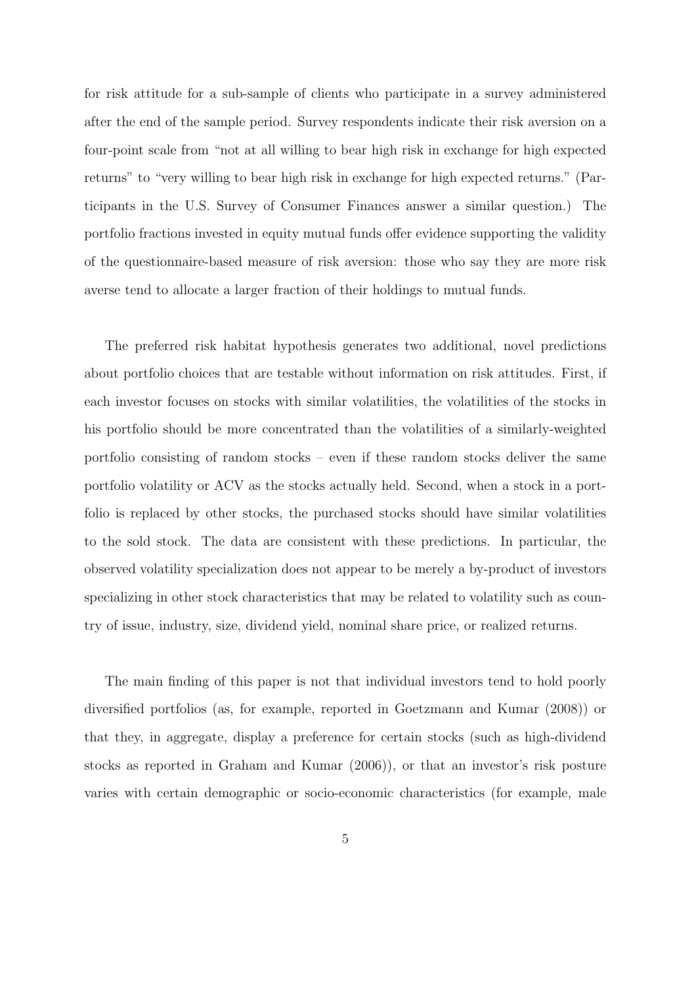for risk attitude for a sub-sample of clients who participate in a survey administered after the end of the sample period. Survey respondents indicate their risk aversion on a four-point scale from "not at all willing to bear high risk in exchange for high expected returns" to "very willing to bear high risk in exchange for high expected returns." (Participants in the U.S. Survey of Consumer Finances answer a similar question.) The portfolio fractions invested in equity mutual funds offer evidence supporting the validity of the questionnaire-based measure of risk aversion: those who say they are more risk averse tend to allocate a larger fraction of their holdings to mutual funds.

The preferred risk habitat hypothesis generates two additional, novel predictions about portfolio choices that are testable without information on risk attitudes. First, if each investor focuses on stocks with similar volatilities, the volatilities of the stocks in his portfolio should be more concentrated than the volatilities of a similarly-weighted portfolio consisting of random stocks – even if these random stocks deliver the same portfolio volatility or ACV as the stocks actually held. Second, when a stock in a portfolio is replaced by other stocks, the purchased stocks should have similar volatilities to the sold stock. The data are consistent with these predictions. In particular, the observed volatility specialization does not appear to be merely a by-product of investors specializing in other stock characteristics that may be related to volatility such as country of issue, industry, size, dividend yield, nominal share price, or realized returns.

The main finding of this paper is not that individual investors tend to hold poorly diversified portfolios (as, for example, reported in Goetzmann and Kumar (2008)) or that they, in aggregate, display a preference for certain stocks (such as high-dividend stocks as reported in Graham and Kumar (2006)), or that an investor's risk posture varies with certain demographic or socio-economic characteristics (for example, male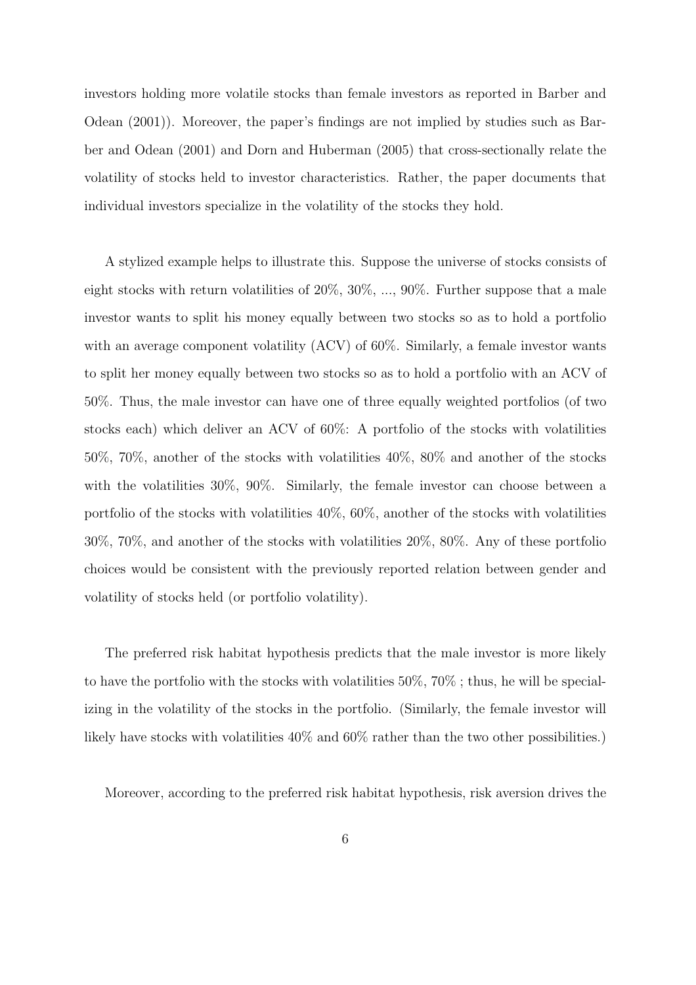investors holding more volatile stocks than female investors as reported in Barber and Odean (2001)). Moreover, the paper's findings are not implied by studies such as Barber and Odean (2001) and Dorn and Huberman (2005) that cross-sectionally relate the volatility of stocks held to investor characteristics. Rather, the paper documents that individual investors specialize in the volatility of the stocks they hold.

A stylized example helps to illustrate this. Suppose the universe of stocks consists of eight stocks with return volatilities of 20%, 30%, ..., 90%. Further suppose that a male investor wants to split his money equally between two stocks so as to hold a portfolio with an average component volatility (ACV) of 60%. Similarly, a female investor wants to split her money equally between two stocks so as to hold a portfolio with an ACV of 50%. Thus, the male investor can have one of three equally weighted portfolios (of two stocks each) which deliver an ACV of 60%: A portfolio of the stocks with volatilities 50%, 70%, another of the stocks with volatilities 40%, 80% and another of the stocks with the volatilities 30%, 90%. Similarly, the female investor can choose between a portfolio of the stocks with volatilities 40%, 60%, another of the stocks with volatilities 30%, 70%, and another of the stocks with volatilities 20%, 80%. Any of these portfolio choices would be consistent with the previously reported relation between gender and volatility of stocks held (or portfolio volatility).

The preferred risk habitat hypothesis predicts that the male investor is more likely to have the portfolio with the stocks with volatilities 50%, 70% ; thus, he will be specializing in the volatility of the stocks in the portfolio. (Similarly, the female investor will likely have stocks with volatilities  $40\%$  and  $60\%$  rather than the two other possibilities.)

Moreover, according to the preferred risk habitat hypothesis, risk aversion drives the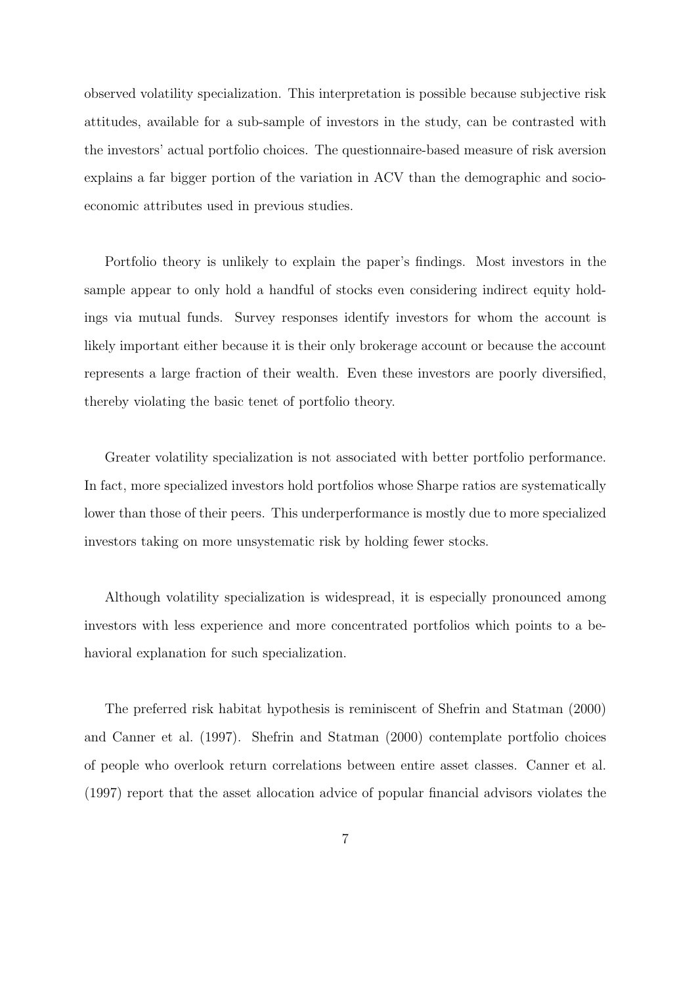observed volatility specialization. This interpretation is possible because subjective risk attitudes, available for a sub-sample of investors in the study, can be contrasted with the investors' actual portfolio choices. The questionnaire-based measure of risk aversion explains a far bigger portion of the variation in ACV than the demographic and socioeconomic attributes used in previous studies.

Portfolio theory is unlikely to explain the paper's findings. Most investors in the sample appear to only hold a handful of stocks even considering indirect equity holdings via mutual funds. Survey responses identify investors for whom the account is likely important either because it is their only brokerage account or because the account represents a large fraction of their wealth. Even these investors are poorly diversified, thereby violating the basic tenet of portfolio theory.

Greater volatility specialization is not associated with better portfolio performance. In fact, more specialized investors hold portfolios whose Sharpe ratios are systematically lower than those of their peers. This underperformance is mostly due to more specialized investors taking on more unsystematic risk by holding fewer stocks.

Although volatility specialization is widespread, it is especially pronounced among investors with less experience and more concentrated portfolios which points to a behavioral explanation for such specialization.

The preferred risk habitat hypothesis is reminiscent of Shefrin and Statman (2000) and Canner et al. (1997). Shefrin and Statman (2000) contemplate portfolio choices of people who overlook return correlations between entire asset classes. Canner et al. (1997) report that the asset allocation advice of popular financial advisors violates the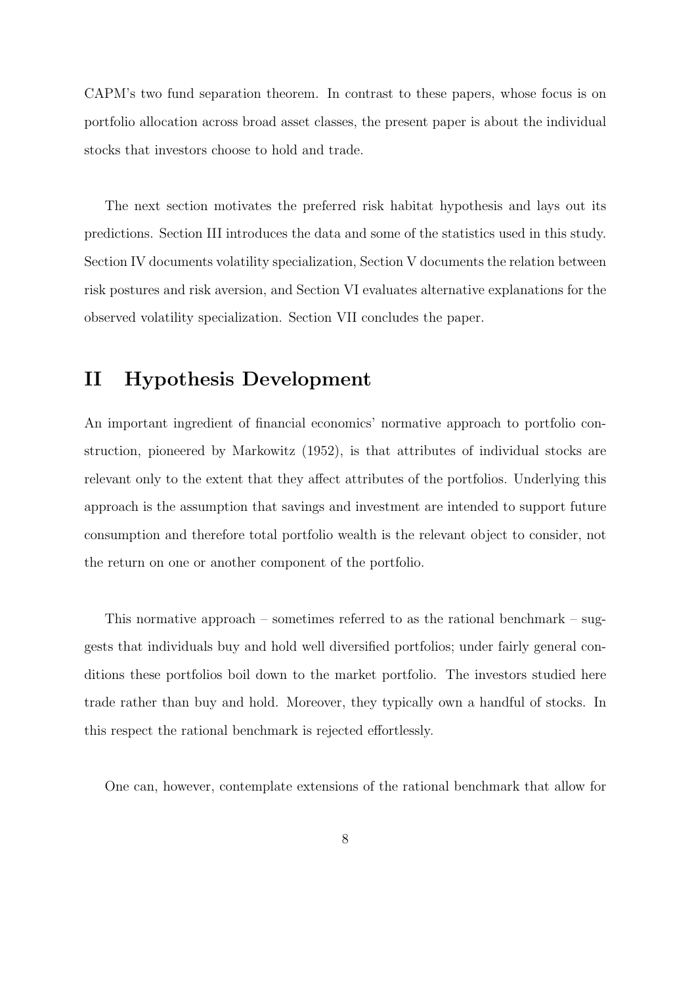CAPM's two fund separation theorem. In contrast to these papers, whose focus is on portfolio allocation across broad asset classes, the present paper is about the individual stocks that investors choose to hold and trade.

The next section motivates the preferred risk habitat hypothesis and lays out its predictions. Section III introduces the data and some of the statistics used in this study. Section IV documents volatility specialization, Section V documents the relation between risk postures and risk aversion, and Section VI evaluates alternative explanations for the observed volatility specialization. Section VII concludes the paper.

### II Hypothesis Development

An important ingredient of financial economics' normative approach to portfolio construction, pioneered by Markowitz (1952), is that attributes of individual stocks are relevant only to the extent that they affect attributes of the portfolios. Underlying this approach is the assumption that savings and investment are intended to support future consumption and therefore total portfolio wealth is the relevant object to consider, not the return on one or another component of the portfolio.

This normative approach – sometimes referred to as the rational benchmark – suggests that individuals buy and hold well diversified portfolios; under fairly general conditions these portfolios boil down to the market portfolio. The investors studied here trade rather than buy and hold. Moreover, they typically own a handful of stocks. In this respect the rational benchmark is rejected effortlessly.

One can, however, contemplate extensions of the rational benchmark that allow for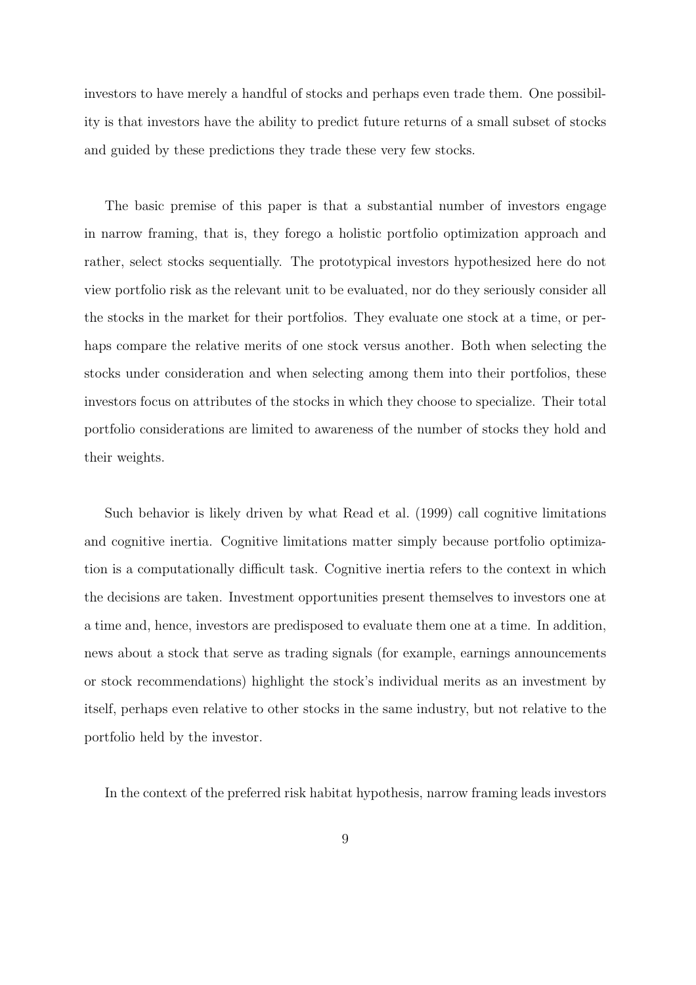investors to have merely a handful of stocks and perhaps even trade them. One possibility is that investors have the ability to predict future returns of a small subset of stocks and guided by these predictions they trade these very few stocks.

The basic premise of this paper is that a substantial number of investors engage in narrow framing, that is, they forego a holistic portfolio optimization approach and rather, select stocks sequentially. The prototypical investors hypothesized here do not view portfolio risk as the relevant unit to be evaluated, nor do they seriously consider all the stocks in the market for their portfolios. They evaluate one stock at a time, or perhaps compare the relative merits of one stock versus another. Both when selecting the stocks under consideration and when selecting among them into their portfolios, these investors focus on attributes of the stocks in which they choose to specialize. Their total portfolio considerations are limited to awareness of the number of stocks they hold and their weights.

Such behavior is likely driven by what Read et al. (1999) call cognitive limitations and cognitive inertia. Cognitive limitations matter simply because portfolio optimization is a computationally difficult task. Cognitive inertia refers to the context in which the decisions are taken. Investment opportunities present themselves to investors one at a time and, hence, investors are predisposed to evaluate them one at a time. In addition, news about a stock that serve as trading signals (for example, earnings announcements or stock recommendations) highlight the stock's individual merits as an investment by itself, perhaps even relative to other stocks in the same industry, but not relative to the portfolio held by the investor.

In the context of the preferred risk habitat hypothesis, narrow framing leads investors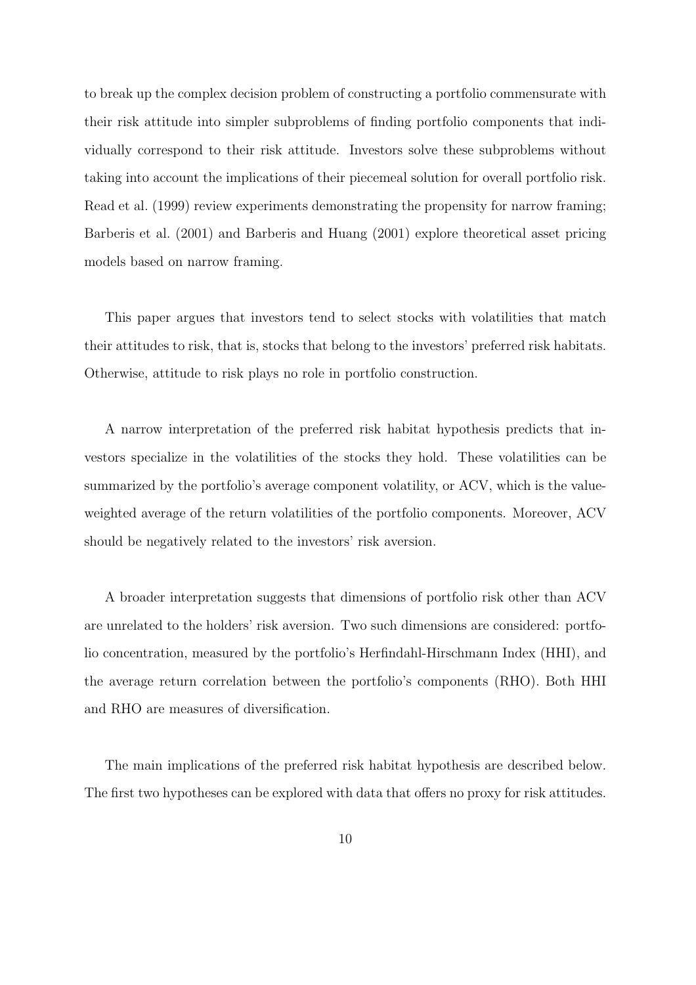to break up the complex decision problem of constructing a portfolio commensurate with their risk attitude into simpler subproblems of finding portfolio components that individually correspond to their risk attitude. Investors solve these subproblems without taking into account the implications of their piecemeal solution for overall portfolio risk. Read et al. (1999) review experiments demonstrating the propensity for narrow framing; Barberis et al. (2001) and Barberis and Huang (2001) explore theoretical asset pricing models based on narrow framing.

This paper argues that investors tend to select stocks with volatilities that match their attitudes to risk, that is, stocks that belong to the investors' preferred risk habitats. Otherwise, attitude to risk plays no role in portfolio construction.

A narrow interpretation of the preferred risk habitat hypothesis predicts that investors specialize in the volatilities of the stocks they hold. These volatilities can be summarized by the portfolio's average component volatility, or ACV, which is the valueweighted average of the return volatilities of the portfolio components. Moreover, ACV should be negatively related to the investors' risk aversion.

A broader interpretation suggests that dimensions of portfolio risk other than ACV are unrelated to the holders' risk aversion. Two such dimensions are considered: portfolio concentration, measured by the portfolio's Herfindahl-Hirschmann Index (HHI), and the average return correlation between the portfolio's components (RHO). Both HHI and RHO are measures of diversification.

The main implications of the preferred risk habitat hypothesis are described below. The first two hypotheses can be explored with data that offers no proxy for risk attitudes.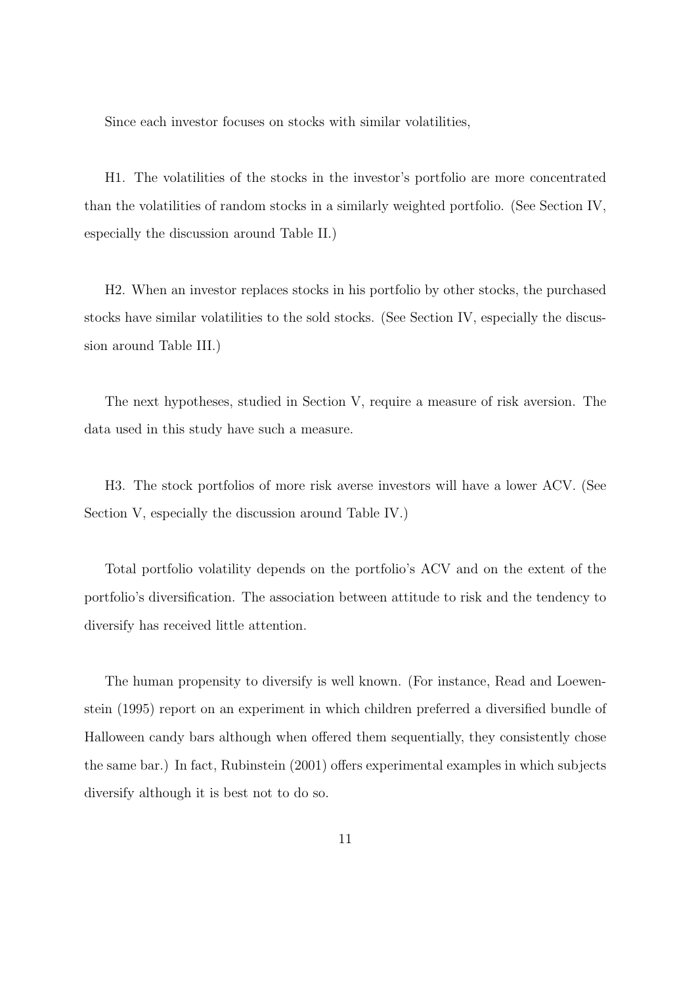Since each investor focuses on stocks with similar volatilities,

H1. The volatilities of the stocks in the investor's portfolio are more concentrated than the volatilities of random stocks in a similarly weighted portfolio. (See Section IV, especially the discussion around Table II.)

H2. When an investor replaces stocks in his portfolio by other stocks, the purchased stocks have similar volatilities to the sold stocks. (See Section IV, especially the discussion around Table III.)

The next hypotheses, studied in Section V, require a measure of risk aversion. The data used in this study have such a measure.

H3. The stock portfolios of more risk averse investors will have a lower ACV. (See Section V, especially the discussion around Table IV.)

Total portfolio volatility depends on the portfolio's ACV and on the extent of the portfolio's diversification. The association between attitude to risk and the tendency to diversify has received little attention.

The human propensity to diversify is well known. (For instance, Read and Loewenstein (1995) report on an experiment in which children preferred a diversified bundle of Halloween candy bars although when offered them sequentially, they consistently chose the same bar.) In fact, Rubinstein (2001) offers experimental examples in which subjects diversify although it is best not to do so.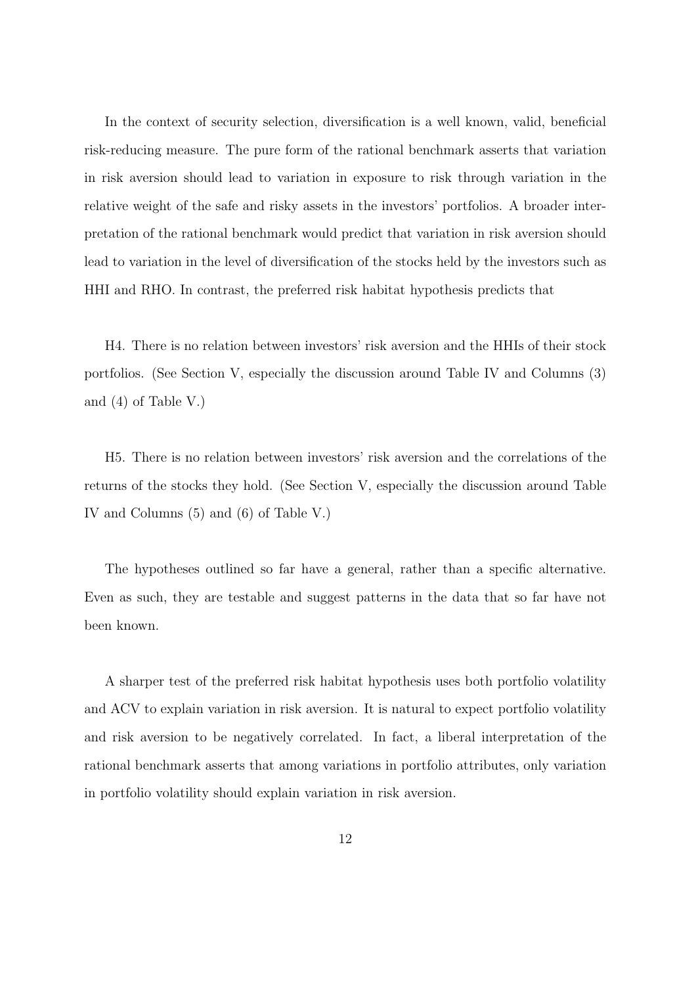In the context of security selection, diversification is a well known, valid, beneficial risk-reducing measure. The pure form of the rational benchmark asserts that variation in risk aversion should lead to variation in exposure to risk through variation in the relative weight of the safe and risky assets in the investors' portfolios. A broader interpretation of the rational benchmark would predict that variation in risk aversion should lead to variation in the level of diversification of the stocks held by the investors such as HHI and RHO. In contrast, the preferred risk habitat hypothesis predicts that

H4. There is no relation between investors' risk aversion and the HHIs of their stock portfolios. (See Section V, especially the discussion around Table IV and Columns (3) and (4) of Table V.)

H5. There is no relation between investors' risk aversion and the correlations of the returns of the stocks they hold. (See Section V, especially the discussion around Table IV and Columns (5) and (6) of Table V.)

The hypotheses outlined so far have a general, rather than a specific alternative. Even as such, they are testable and suggest patterns in the data that so far have not been known.

A sharper test of the preferred risk habitat hypothesis uses both portfolio volatility and ACV to explain variation in risk aversion. It is natural to expect portfolio volatility and risk aversion to be negatively correlated. In fact, a liberal interpretation of the rational benchmark asserts that among variations in portfolio attributes, only variation in portfolio volatility should explain variation in risk aversion.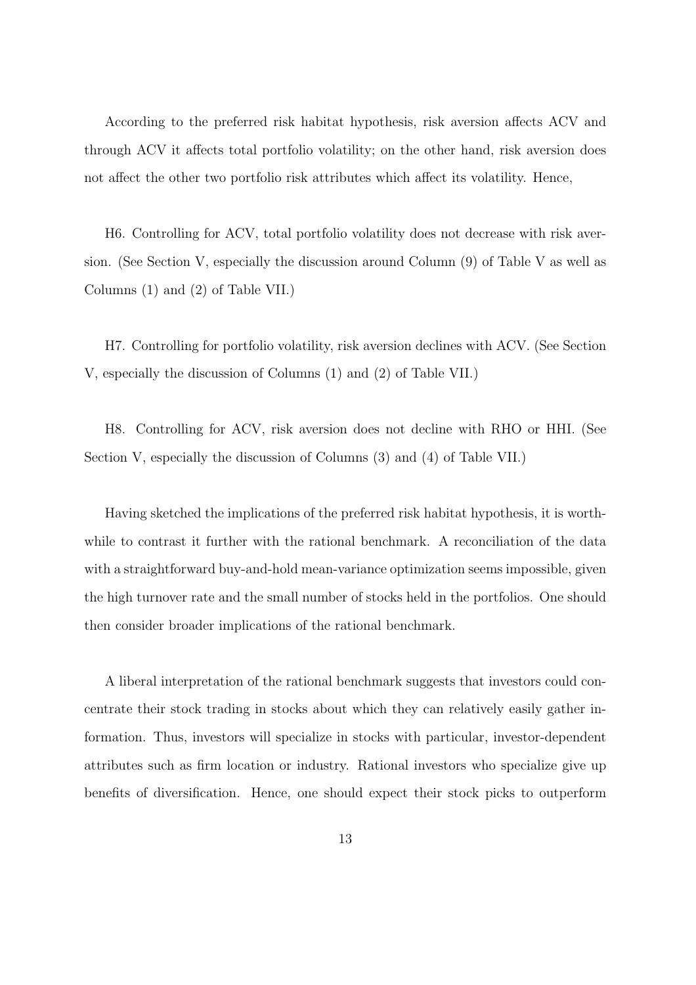According to the preferred risk habitat hypothesis, risk aversion affects ACV and through ACV it affects total portfolio volatility; on the other hand, risk aversion does not affect the other two portfolio risk attributes which affect its volatility. Hence,

H6. Controlling for ACV, total portfolio volatility does not decrease with risk aversion. (See Section V, especially the discussion around Column (9) of Table V as well as Columns (1) and (2) of Table VII.)

H7. Controlling for portfolio volatility, risk aversion declines with ACV. (See Section V, especially the discussion of Columns (1) and (2) of Table VII.)

H8. Controlling for ACV, risk aversion does not decline with RHO or HHI. (See Section V, especially the discussion of Columns (3) and (4) of Table VII.)

Having sketched the implications of the preferred risk habitat hypothesis, it is worthwhile to contrast it further with the rational benchmark. A reconciliation of the data with a straightforward buy-and-hold mean-variance optimization seems impossible, given the high turnover rate and the small number of stocks held in the portfolios. One should then consider broader implications of the rational benchmark.

A liberal interpretation of the rational benchmark suggests that investors could concentrate their stock trading in stocks about which they can relatively easily gather information. Thus, investors will specialize in stocks with particular, investor-dependent attributes such as firm location or industry. Rational investors who specialize give up benefits of diversification. Hence, one should expect their stock picks to outperform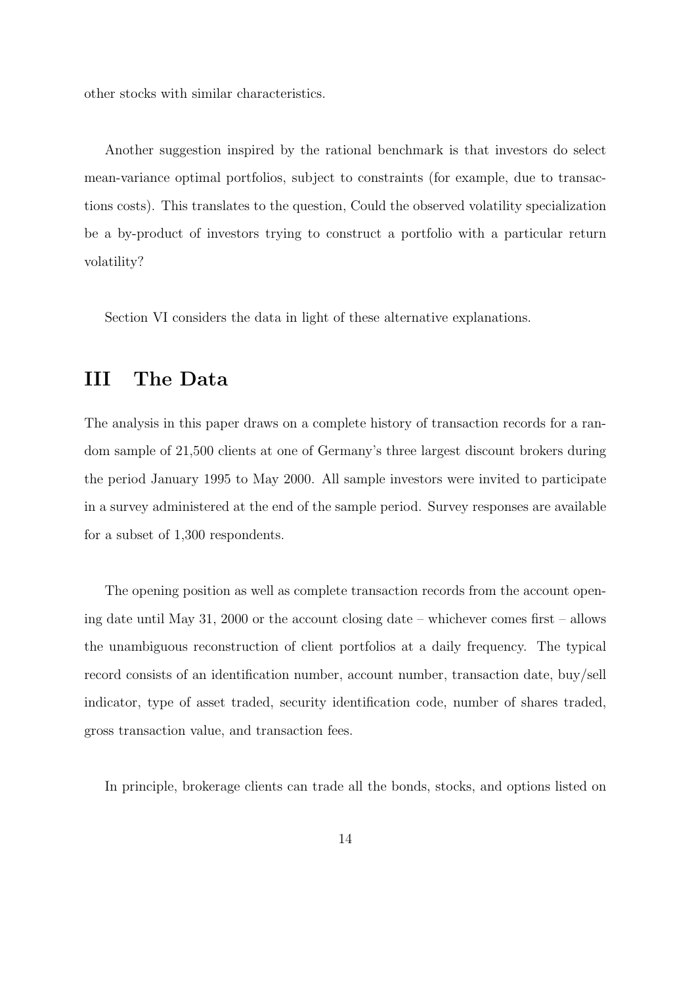other stocks with similar characteristics.

Another suggestion inspired by the rational benchmark is that investors do select mean-variance optimal portfolios, subject to constraints (for example, due to transactions costs). This translates to the question, Could the observed volatility specialization be a by-product of investors trying to construct a portfolio with a particular return volatility?

Section VI considers the data in light of these alternative explanations.

### III The Data

The analysis in this paper draws on a complete history of transaction records for a random sample of 21,500 clients at one of Germany's three largest discount brokers during the period January 1995 to May 2000. All sample investors were invited to participate in a survey administered at the end of the sample period. Survey responses are available for a subset of 1,300 respondents.

The opening position as well as complete transaction records from the account opening date until May 31, 2000 or the account closing date – whichever comes first – allows the unambiguous reconstruction of client portfolios at a daily frequency. The typical record consists of an identification number, account number, transaction date, buy/sell indicator, type of asset traded, security identification code, number of shares traded, gross transaction value, and transaction fees.

In principle, brokerage clients can trade all the bonds, stocks, and options listed on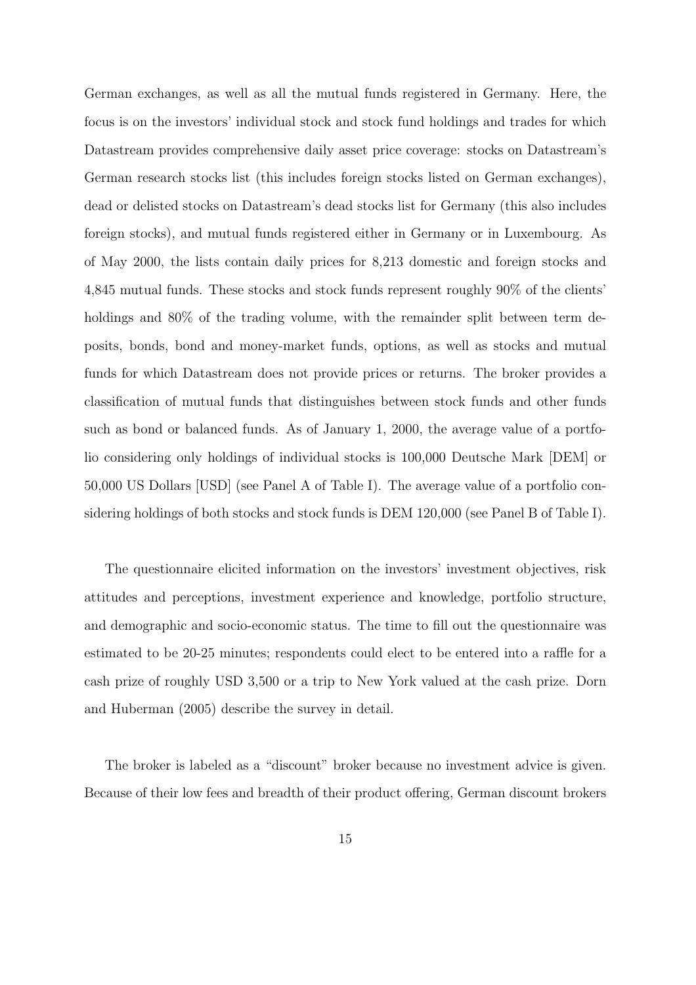German exchanges, as well as all the mutual funds registered in Germany. Here, the focus is on the investors' individual stock and stock fund holdings and trades for which Datastream provides comprehensive daily asset price coverage: stocks on Datastream's German research stocks list (this includes foreign stocks listed on German exchanges), dead or delisted stocks on Datastream's dead stocks list for Germany (this also includes foreign stocks), and mutual funds registered either in Germany or in Luxembourg. As of May 2000, the lists contain daily prices for 8,213 domestic and foreign stocks and 4,845 mutual funds. These stocks and stock funds represent roughly 90% of the clients' holdings and 80% of the trading volume, with the remainder split between term deposits, bonds, bond and money-market funds, options, as well as stocks and mutual funds for which Datastream does not provide prices or returns. The broker provides a classification of mutual funds that distinguishes between stock funds and other funds such as bond or balanced funds. As of January 1, 2000, the average value of a portfolio considering only holdings of individual stocks is 100,000 Deutsche Mark [DEM] or 50,000 US Dollars [USD] (see Panel A of Table I). The average value of a portfolio considering holdings of both stocks and stock funds is DEM 120,000 (see Panel B of Table I).

The questionnaire elicited information on the investors' investment objectives, risk attitudes and perceptions, investment experience and knowledge, portfolio structure, and demographic and socio-economic status. The time to fill out the questionnaire was estimated to be 20-25 minutes; respondents could elect to be entered into a raffle for a cash prize of roughly USD 3,500 or a trip to New York valued at the cash prize. Dorn and Huberman (2005) describe the survey in detail.

The broker is labeled as a "discount" broker because no investment advice is given. Because of their low fees and breadth of their product offering, German discount brokers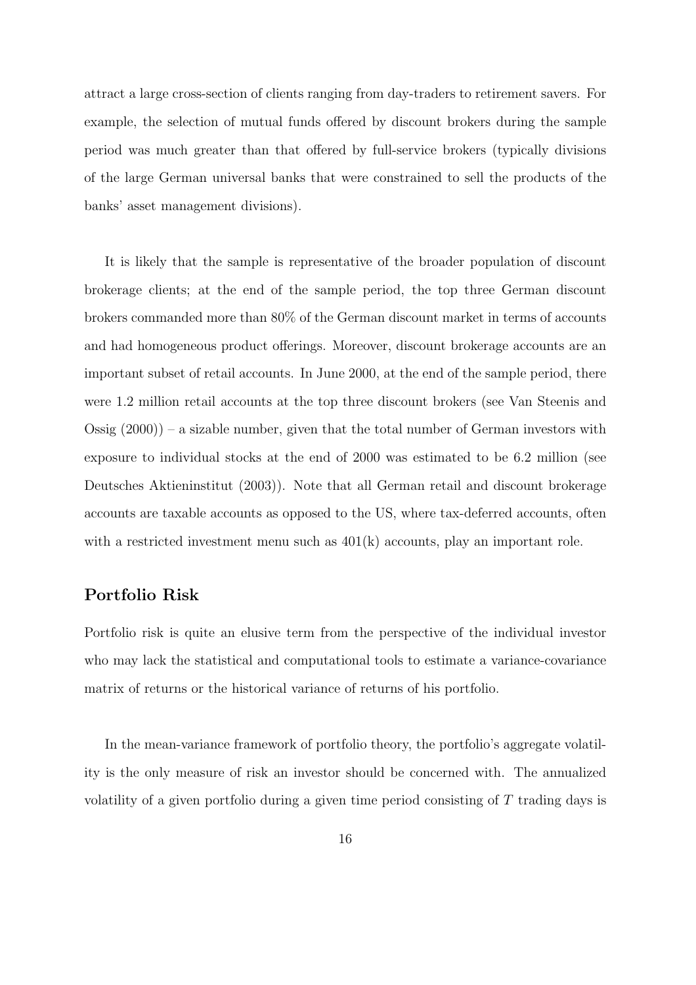attract a large cross-section of clients ranging from day-traders to retirement savers. For example, the selection of mutual funds offered by discount brokers during the sample period was much greater than that offered by full-service brokers (typically divisions of the large German universal banks that were constrained to sell the products of the banks' asset management divisions).

It is likely that the sample is representative of the broader population of discount brokerage clients; at the end of the sample period, the top three German discount brokers commanded more than 80% of the German discount market in terms of accounts and had homogeneous product offerings. Moreover, discount brokerage accounts are an important subset of retail accounts. In June 2000, at the end of the sample period, there were 1.2 million retail accounts at the top three discount brokers (see Van Steenis and Ossig  $(2000)$  – a sizable number, given that the total number of German investors with exposure to individual stocks at the end of 2000 was estimated to be 6.2 million (see Deutsches Aktieninstitut (2003)). Note that all German retail and discount brokerage accounts are taxable accounts as opposed to the US, where tax-deferred accounts, often with a restricted investment menu such as  $401(k)$  accounts, play an important role.

### Portfolio Risk

Portfolio risk is quite an elusive term from the perspective of the individual investor who may lack the statistical and computational tools to estimate a variance-covariance matrix of returns or the historical variance of returns of his portfolio.

In the mean-variance framework of portfolio theory, the portfolio's aggregate volatility is the only measure of risk an investor should be concerned with. The annualized volatility of a given portfolio during a given time period consisting of T trading days is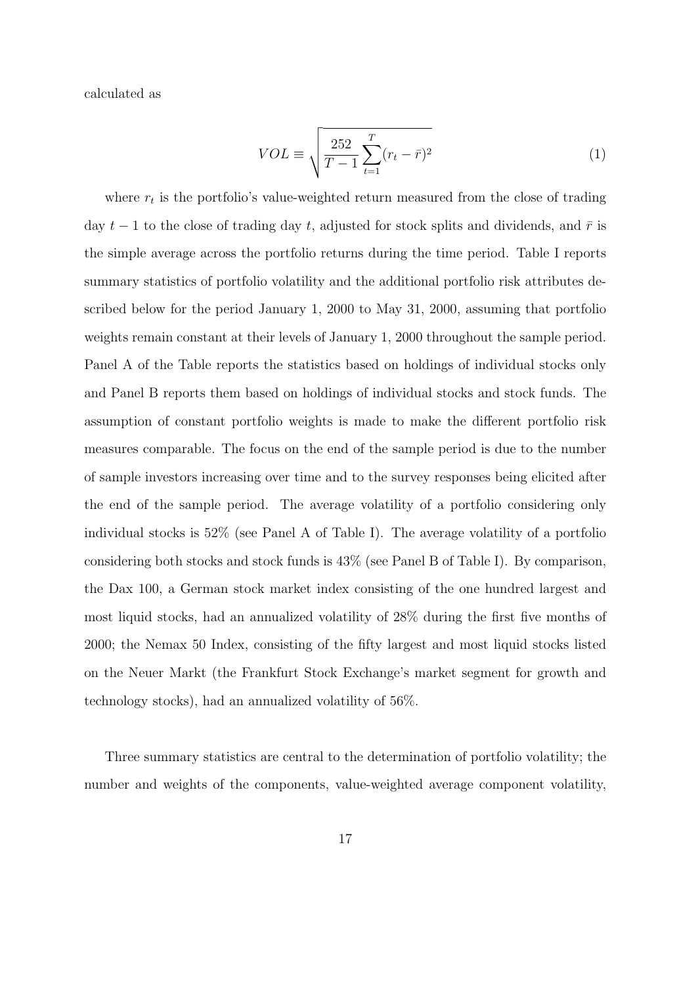calculated as

$$
VOL \equiv \sqrt{\frac{252}{T - 1} \sum_{t=1}^{T} (r_t - \bar{r})^2}
$$
 (1)

where  $r_t$  is the portfolio's value-weighted return measured from the close of trading day  $t-1$  to the close of trading day t, adjusted for stock splits and dividends, and  $\bar{r}$  is the simple average across the portfolio returns during the time period. Table I reports summary statistics of portfolio volatility and the additional portfolio risk attributes described below for the period January 1, 2000 to May 31, 2000, assuming that portfolio weights remain constant at their levels of January 1, 2000 throughout the sample period. Panel A of the Table reports the statistics based on holdings of individual stocks only and Panel B reports them based on holdings of individual stocks and stock funds. The assumption of constant portfolio weights is made to make the different portfolio risk measures comparable. The focus on the end of the sample period is due to the number of sample investors increasing over time and to the survey responses being elicited after the end of the sample period. The average volatility of a portfolio considering only individual stocks is 52% (see Panel A of Table I). The average volatility of a portfolio considering both stocks and stock funds is 43% (see Panel B of Table I). By comparison, the Dax 100, a German stock market index consisting of the one hundred largest and most liquid stocks, had an annualized volatility of 28% during the first five months of 2000; the Nemax 50 Index, consisting of the fifty largest and most liquid stocks listed on the Neuer Markt (the Frankfurt Stock Exchange's market segment for growth and technology stocks), had an annualized volatility of 56%.

Three summary statistics are central to the determination of portfolio volatility; the number and weights of the components, value-weighted average component volatility,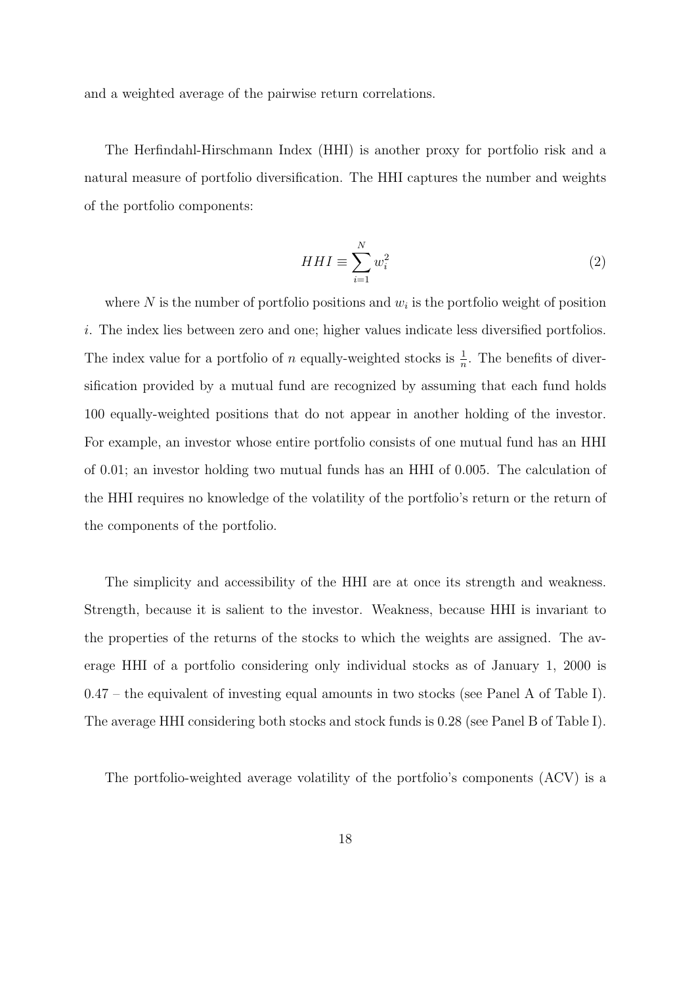and a weighted average of the pairwise return correlations.

The Herfindahl-Hirschmann Index (HHI) is another proxy for portfolio risk and a natural measure of portfolio diversification. The HHI captures the number and weights of the portfolio components:

$$
HHI \equiv \sum_{i=1}^{N} w_i^2 \tag{2}
$$

where  $N$  is the number of portfolio positions and  $w_i$  is the portfolio weight of position i. The index lies between zero and one; higher values indicate less diversified portfolios. The index value for a portfolio of n equally-weighted stocks is  $\frac{1}{n}$ . The benefits of diversification provided by a mutual fund are recognized by assuming that each fund holds 100 equally-weighted positions that do not appear in another holding of the investor. For example, an investor whose entire portfolio consists of one mutual fund has an HHI of 0.01; an investor holding two mutual funds has an HHI of 0.005. The calculation of the HHI requires no knowledge of the volatility of the portfolio's return or the return of the components of the portfolio.

The simplicity and accessibility of the HHI are at once its strength and weakness. Strength, because it is salient to the investor. Weakness, because HHI is invariant to the properties of the returns of the stocks to which the weights are assigned. The average HHI of a portfolio considering only individual stocks as of January 1, 2000 is 0.47 – the equivalent of investing equal amounts in two stocks (see Panel A of Table I). The average HHI considering both stocks and stock funds is 0.28 (see Panel B of Table I).

The portfolio-weighted average volatility of the portfolio's components (ACV) is a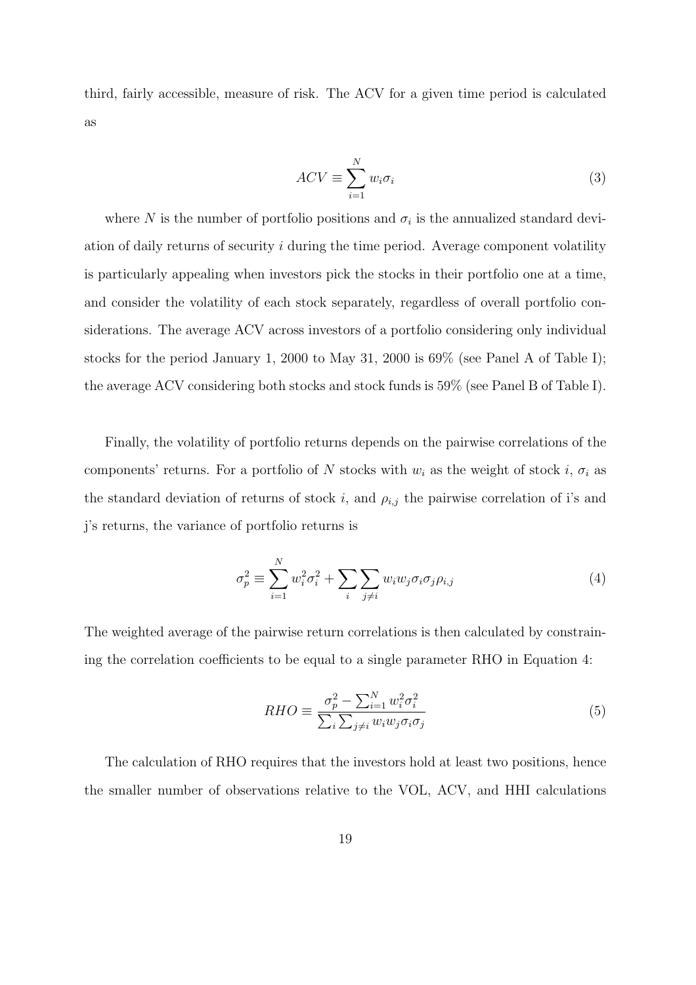third, fairly accessible, measure of risk. The ACV for a given time period is calculated as

$$
ACV \equiv \sum_{i=1}^{N} w_i \sigma_i \tag{3}
$$

where N is the number of portfolio positions and  $\sigma_i$  is the annualized standard deviation of daily returns of security i during the time period. Average component volatility is particularly appealing when investors pick the stocks in their portfolio one at a time, and consider the volatility of each stock separately, regardless of overall portfolio considerations. The average ACV across investors of a portfolio considering only individual stocks for the period January 1, 2000 to May 31, 2000 is 69% (see Panel A of Table I); the average ACV considering both stocks and stock funds is 59% (see Panel B of Table I).

Finally, the volatility of portfolio returns depends on the pairwise correlations of the components' returns. For a portfolio of N stocks with  $w_i$  as the weight of stock i,  $\sigma_i$  as the standard deviation of returns of stock i, and  $\rho_{i,j}$  the pairwise correlation of i's and j's returns, the variance of portfolio returns is

$$
\sigma_p^2 \equiv \sum_{i=1}^N w_i^2 \sigma_i^2 + \sum_i \sum_{j \neq i} w_i w_j \sigma_i \sigma_j \rho_{i,j} \tag{4}
$$

The weighted average of the pairwise return correlations is then calculated by constraining the correlation coefficients to be equal to a single parameter RHO in Equation 4:

$$
RHO \equiv \frac{\sigma_p^2 - \sum_{i=1}^N w_i^2 \sigma_i^2}{\sum_i \sum_{j \neq i} w_i w_j \sigma_i \sigma_j}
$$
(5)

The calculation of RHO requires that the investors hold at least two positions, hence the smaller number of observations relative to the VOL, ACV, and HHI calculations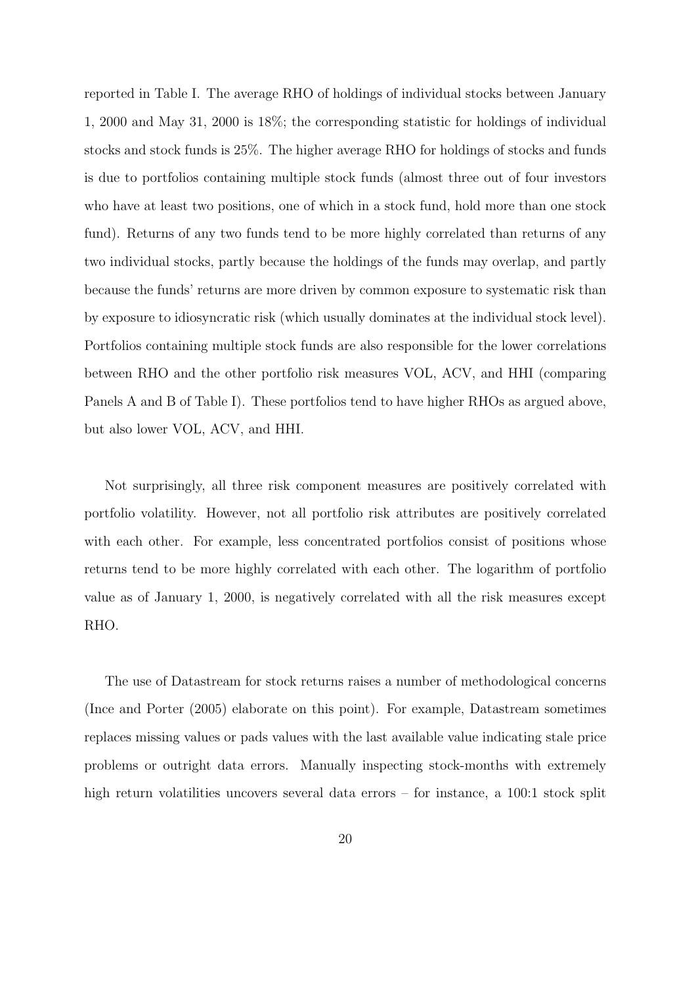reported in Table I. The average RHO of holdings of individual stocks between January 1, 2000 and May 31, 2000 is 18%; the corresponding statistic for holdings of individual stocks and stock funds is 25%. The higher average RHO for holdings of stocks and funds is due to portfolios containing multiple stock funds (almost three out of four investors who have at least two positions, one of which in a stock fund, hold more than one stock fund). Returns of any two funds tend to be more highly correlated than returns of any two individual stocks, partly because the holdings of the funds may overlap, and partly because the funds' returns are more driven by common exposure to systematic risk than by exposure to idiosyncratic risk (which usually dominates at the individual stock level). Portfolios containing multiple stock funds are also responsible for the lower correlations between RHO and the other portfolio risk measures VOL, ACV, and HHI (comparing Panels A and B of Table I). These portfolios tend to have higher RHOs as argued above, but also lower VOL, ACV, and HHI.

Not surprisingly, all three risk component measures are positively correlated with portfolio volatility. However, not all portfolio risk attributes are positively correlated with each other. For example, less concentrated portfolios consist of positions whose returns tend to be more highly correlated with each other. The logarithm of portfolio value as of January 1, 2000, is negatively correlated with all the risk measures except RHO.

The use of Datastream for stock returns raises a number of methodological concerns (Ince and Porter (2005) elaborate on this point). For example, Datastream sometimes replaces missing values or pads values with the last available value indicating stale price problems or outright data errors. Manually inspecting stock-months with extremely high return volatilities uncovers several data errors – for instance, a 100:1 stock split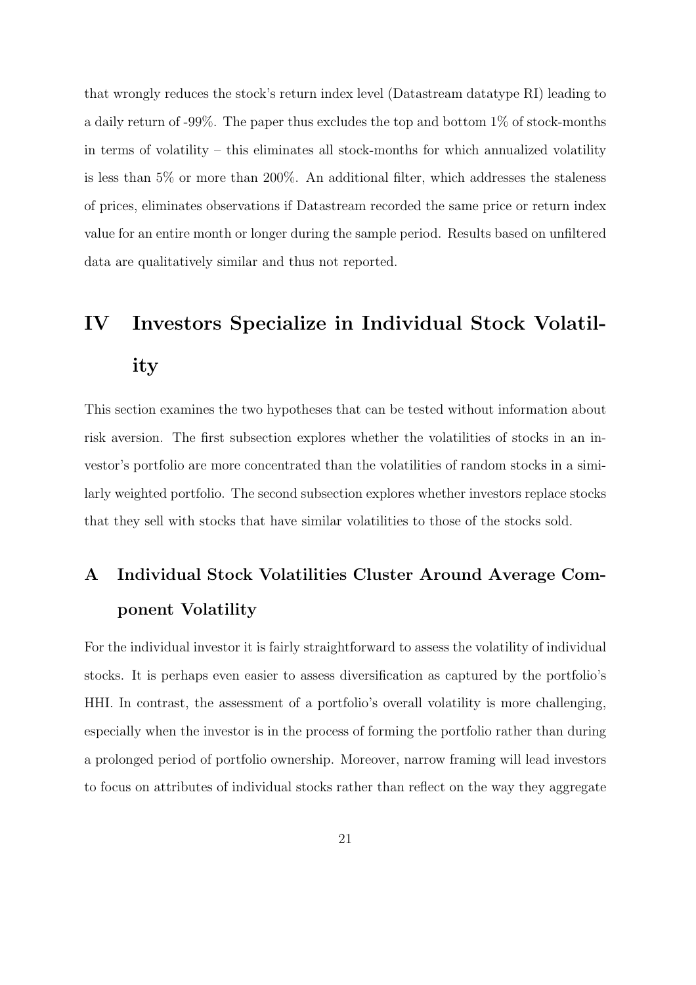that wrongly reduces the stock's return index level (Datastream datatype RI) leading to a daily return of -99%. The paper thus excludes the top and bottom 1% of stock-months in terms of volatility – this eliminates all stock-months for which annualized volatility is less than 5% or more than 200%. An additional filter, which addresses the staleness of prices, eliminates observations if Datastream recorded the same price or return index value for an entire month or longer during the sample period. Results based on unfiltered data are qualitatively similar and thus not reported.

# IV Investors Specialize in Individual Stock Volatility

This section examines the two hypotheses that can be tested without information about risk aversion. The first subsection explores whether the volatilities of stocks in an investor's portfolio are more concentrated than the volatilities of random stocks in a similarly weighted portfolio. The second subsection explores whether investors replace stocks that they sell with stocks that have similar volatilities to those of the stocks sold.

## A Individual Stock Volatilities Cluster Around Average Component Volatility

For the individual investor it is fairly straightforward to assess the volatility of individual stocks. It is perhaps even easier to assess diversification as captured by the portfolio's HHI. In contrast, the assessment of a portfolio's overall volatility is more challenging, especially when the investor is in the process of forming the portfolio rather than during a prolonged period of portfolio ownership. Moreover, narrow framing will lead investors to focus on attributes of individual stocks rather than reflect on the way they aggregate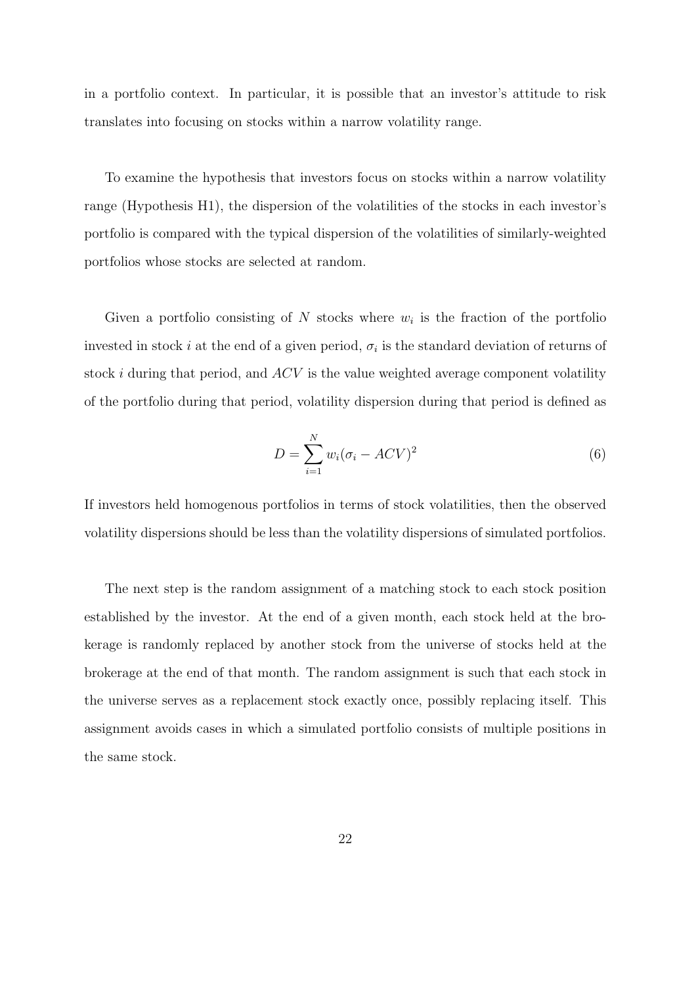in a portfolio context. In particular, it is possible that an investor's attitude to risk translates into focusing on stocks within a narrow volatility range.

To examine the hypothesis that investors focus on stocks within a narrow volatility range (Hypothesis H1), the dispersion of the volatilities of the stocks in each investor's portfolio is compared with the typical dispersion of the volatilities of similarly-weighted portfolios whose stocks are selected at random.

Given a portfolio consisting of  $N$  stocks where  $w_i$  is the fraction of the portfolio invested in stock *i* at the end of a given period,  $\sigma_i$  is the standard deviation of returns of stock  $i$  during that period, and  $ACV$  is the value weighted average component volatility of the portfolio during that period, volatility dispersion during that period is defined as

$$
D = \sum_{i=1}^{N} w_i (\sigma_i - ACV)^2
$$
\n(6)

If investors held homogenous portfolios in terms of stock volatilities, then the observed volatility dispersions should be less than the volatility dispersions of simulated portfolios.

The next step is the random assignment of a matching stock to each stock position established by the investor. At the end of a given month, each stock held at the brokerage is randomly replaced by another stock from the universe of stocks held at the brokerage at the end of that month. The random assignment is such that each stock in the universe serves as a replacement stock exactly once, possibly replacing itself. This assignment avoids cases in which a simulated portfolio consists of multiple positions in the same stock.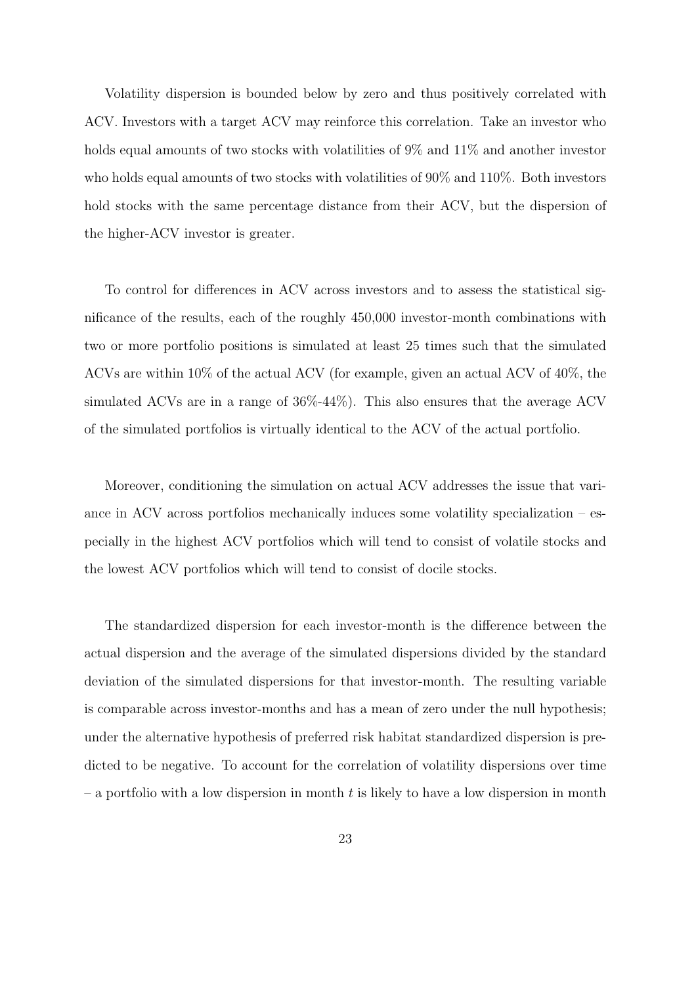Volatility dispersion is bounded below by zero and thus positively correlated with ACV. Investors with a target ACV may reinforce this correlation. Take an investor who holds equal amounts of two stocks with volatilities of 9% and 11% and another investor who holds equal amounts of two stocks with volatilities of 90% and 110%. Both investors hold stocks with the same percentage distance from their ACV, but the dispersion of the higher-ACV investor is greater.

To control for differences in ACV across investors and to assess the statistical significance of the results, each of the roughly 450,000 investor-month combinations with two or more portfolio positions is simulated at least 25 times such that the simulated ACVs are within 10% of the actual ACV (for example, given an actual ACV of 40%, the simulated ACVs are in a range of 36%-44%). This also ensures that the average ACV of the simulated portfolios is virtually identical to the ACV of the actual portfolio.

Moreover, conditioning the simulation on actual ACV addresses the issue that variance in ACV across portfolios mechanically induces some volatility specialization – especially in the highest ACV portfolios which will tend to consist of volatile stocks and the lowest ACV portfolios which will tend to consist of docile stocks.

The standardized dispersion for each investor-month is the difference between the actual dispersion and the average of the simulated dispersions divided by the standard deviation of the simulated dispersions for that investor-month. The resulting variable is comparable across investor-months and has a mean of zero under the null hypothesis; under the alternative hypothesis of preferred risk habitat standardized dispersion is predicted to be negative. To account for the correlation of volatility dispersions over time – a portfolio with a low dispersion in month t is likely to have a low dispersion in month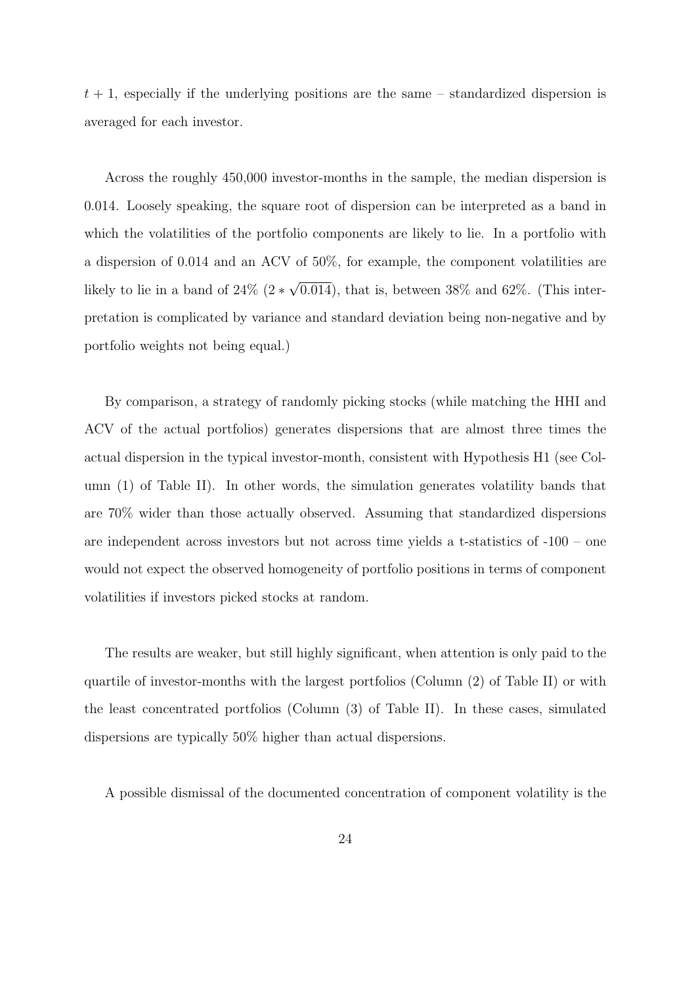$t + 1$ , especially if the underlying positions are the same – standardized dispersion is averaged for each investor.

Across the roughly 450,000 investor-months in the sample, the median dispersion is 0.014. Loosely speaking, the square root of dispersion can be interpreted as a band in which the volatilities of the portfolio components are likely to lie. In a portfolio with a dispersion of 0.014 and an ACV of 50%, for example, the component volatilities are likely to lie in a band of 24% (2 ∗ √ 0.014), that is, between  $38\%$  and  $62\%$ . (This interpretation is complicated by variance and standard deviation being non-negative and by portfolio weights not being equal.)

By comparison, a strategy of randomly picking stocks (while matching the HHI and ACV of the actual portfolios) generates dispersions that are almost three times the actual dispersion in the typical investor-month, consistent with Hypothesis H1 (see Column (1) of Table II). In other words, the simulation generates volatility bands that are 70% wider than those actually observed. Assuming that standardized dispersions are independent across investors but not across time yields a t-statistics of -100 – one would not expect the observed homogeneity of portfolio positions in terms of component volatilities if investors picked stocks at random.

The results are weaker, but still highly significant, when attention is only paid to the quartile of investor-months with the largest portfolios (Column (2) of Table II) or with the least concentrated portfolios (Column (3) of Table II). In these cases, simulated dispersions are typically 50% higher than actual dispersions.

A possible dismissal of the documented concentration of component volatility is the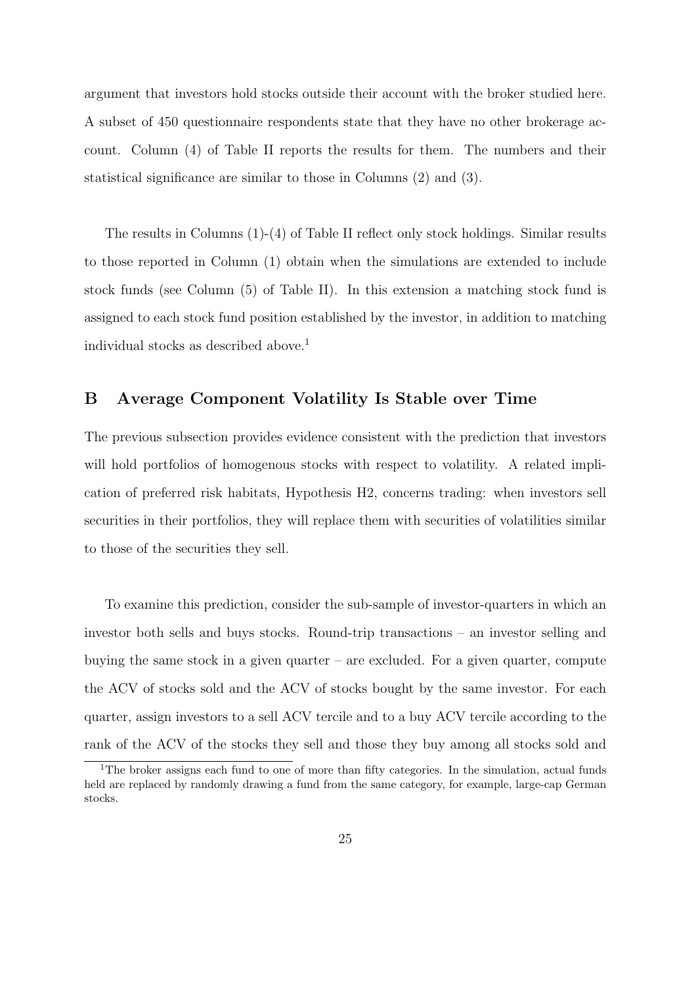argument that investors hold stocks outside their account with the broker studied here. A subset of 450 questionnaire respondents state that they have no other brokerage account. Column (4) of Table II reports the results for them. The numbers and their statistical significance are similar to those in Columns (2) and (3).

The results in Columns (1)-(4) of Table II reflect only stock holdings. Similar results to those reported in Column (1) obtain when the simulations are extended to include stock funds (see Column (5) of Table II). In this extension a matching stock fund is assigned to each stock fund position established by the investor, in addition to matching individual stocks as described above.<sup>1</sup>

### B Average Component Volatility Is Stable over Time

The previous subsection provides evidence consistent with the prediction that investors will hold portfolios of homogenous stocks with respect to volatility. A related implication of preferred risk habitats, Hypothesis H2, concerns trading: when investors sell securities in their portfolios, they will replace them with securities of volatilities similar to those of the securities they sell.

To examine this prediction, consider the sub-sample of investor-quarters in which an investor both sells and buys stocks. Round-trip transactions – an investor selling and buying the same stock in a given quarter – are excluded. For a given quarter, compute the ACV of stocks sold and the ACV of stocks bought by the same investor. For each quarter, assign investors to a sell ACV tercile and to a buy ACV tercile according to the rank of the ACV of the stocks they sell and those they buy among all stocks sold and

<sup>&</sup>lt;sup>1</sup>The broker assigns each fund to one of more than fifty categories. In the simulation, actual funds held are replaced by randomly drawing a fund from the same category, for example, large-cap German stocks.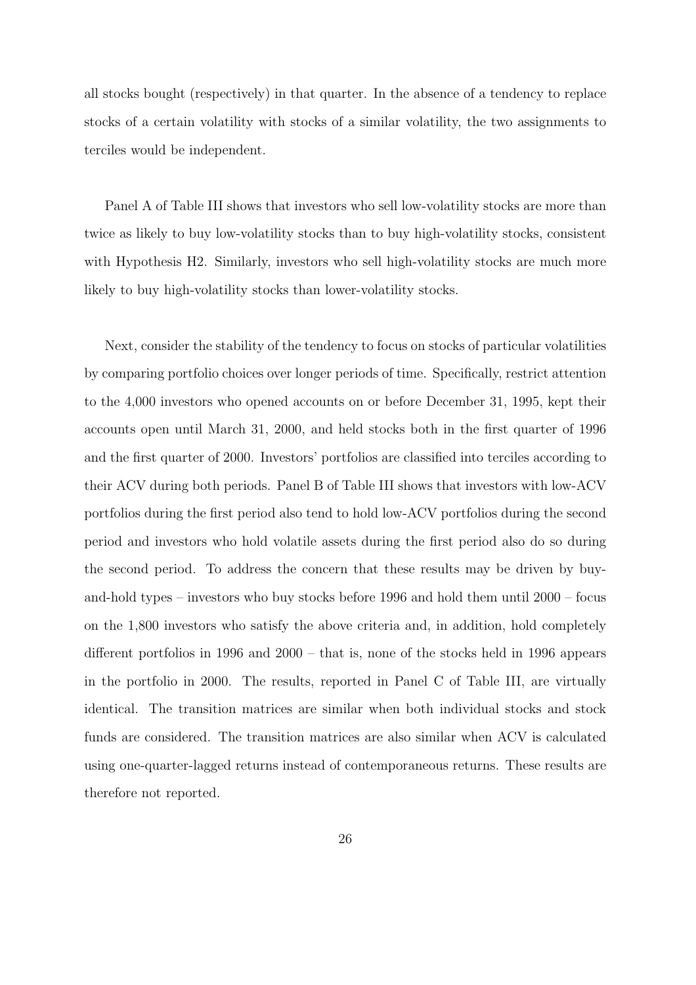all stocks bought (respectively) in that quarter. In the absence of a tendency to replace stocks of a certain volatility with stocks of a similar volatility, the two assignments to terciles would be independent.

Panel A of Table III shows that investors who sell low-volatility stocks are more than twice as likely to buy low-volatility stocks than to buy high-volatility stocks, consistent with Hypothesis H2. Similarly, investors who sell high-volatility stocks are much more likely to buy high-volatility stocks than lower-volatility stocks.

Next, consider the stability of the tendency to focus on stocks of particular volatilities by comparing portfolio choices over longer periods of time. Specifically, restrict attention to the 4,000 investors who opened accounts on or before December 31, 1995, kept their accounts open until March 31, 2000, and held stocks both in the first quarter of 1996 and the first quarter of 2000. Investors' portfolios are classified into terciles according to their ACV during both periods. Panel B of Table III shows that investors with low-ACV portfolios during the first period also tend to hold low-ACV portfolios during the second period and investors who hold volatile assets during the first period also do so during the second period. To address the concern that these results may be driven by buyand-hold types – investors who buy stocks before 1996 and hold them until 2000 – focus on the 1,800 investors who satisfy the above criteria and, in addition, hold completely different portfolios in 1996 and 2000 – that is, none of the stocks held in 1996 appears in the portfolio in 2000. The results, reported in Panel C of Table III, are virtually identical. The transition matrices are similar when both individual stocks and stock funds are considered. The transition matrices are also similar when ACV is calculated using one-quarter-lagged returns instead of contemporaneous returns. These results are therefore not reported.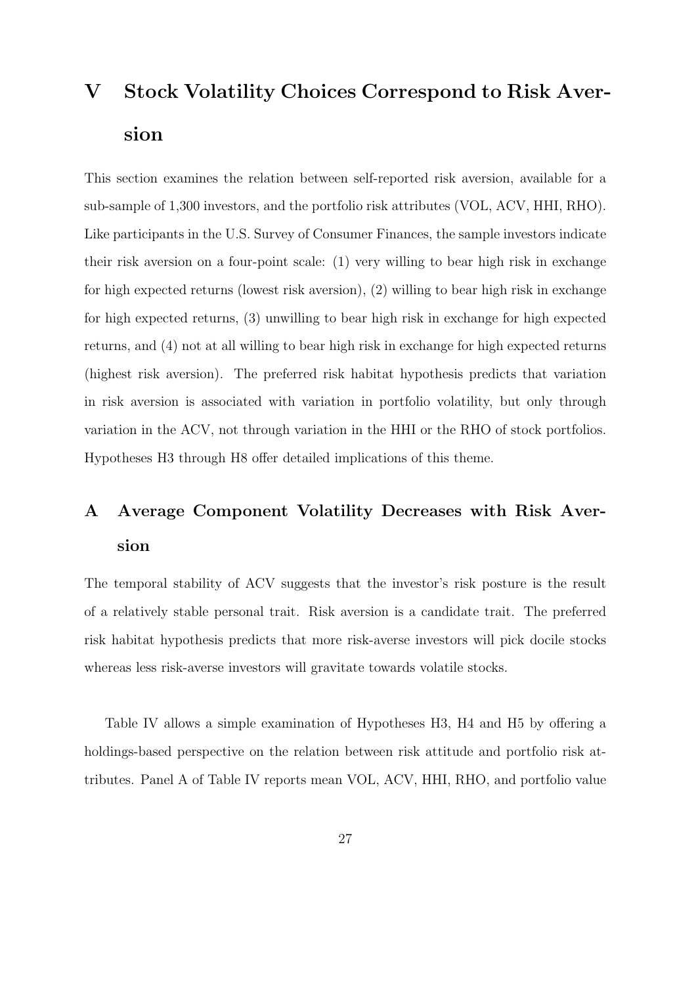# V Stock Volatility Choices Correspond to Risk Aversion

This section examines the relation between self-reported risk aversion, available for a sub-sample of 1,300 investors, and the portfolio risk attributes (VOL, ACV, HHI, RHO). Like participants in the U.S. Survey of Consumer Finances, the sample investors indicate their risk aversion on a four-point scale: (1) very willing to bear high risk in exchange for high expected returns (lowest risk aversion), (2) willing to bear high risk in exchange for high expected returns, (3) unwilling to bear high risk in exchange for high expected returns, and (4) not at all willing to bear high risk in exchange for high expected returns (highest risk aversion). The preferred risk habitat hypothesis predicts that variation in risk aversion is associated with variation in portfolio volatility, but only through variation in the ACV, not through variation in the HHI or the RHO of stock portfolios. Hypotheses H3 through H8 offer detailed implications of this theme.

## A Average Component Volatility Decreases with Risk Aversion

The temporal stability of ACV suggests that the investor's risk posture is the result of a relatively stable personal trait. Risk aversion is a candidate trait. The preferred risk habitat hypothesis predicts that more risk-averse investors will pick docile stocks whereas less risk-averse investors will gravitate towards volatile stocks.

Table IV allows a simple examination of Hypotheses H3, H4 and H5 by offering a holdings-based perspective on the relation between risk attitude and portfolio risk attributes. Panel A of Table IV reports mean VOL, ACV, HHI, RHO, and portfolio value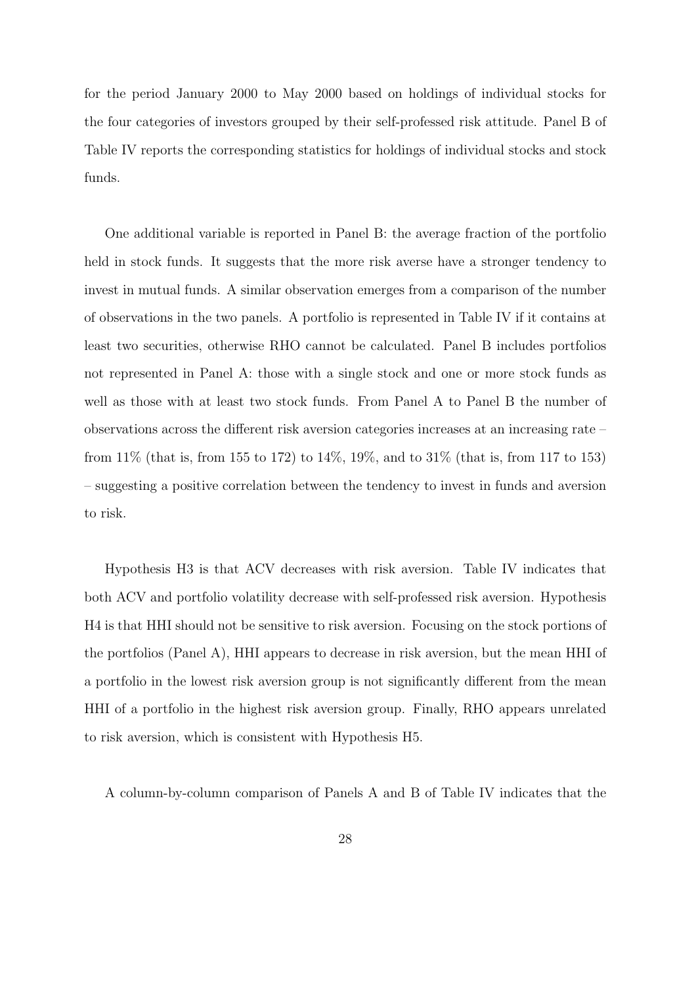for the period January 2000 to May 2000 based on holdings of individual stocks for the four categories of investors grouped by their self-professed risk attitude. Panel B of Table IV reports the corresponding statistics for holdings of individual stocks and stock funds.

One additional variable is reported in Panel B: the average fraction of the portfolio held in stock funds. It suggests that the more risk averse have a stronger tendency to invest in mutual funds. A similar observation emerges from a comparison of the number of observations in the two panels. A portfolio is represented in Table IV if it contains at least two securities, otherwise RHO cannot be calculated. Panel B includes portfolios not represented in Panel A: those with a single stock and one or more stock funds as well as those with at least two stock funds. From Panel A to Panel B the number of observations across the different risk aversion categories increases at an increasing rate – from 11% (that is, from 155 to 172) to 14%, 19%, and to 31% (that is, from 117 to 153) – suggesting a positive correlation between the tendency to invest in funds and aversion to risk.

Hypothesis H3 is that ACV decreases with risk aversion. Table IV indicates that both ACV and portfolio volatility decrease with self-professed risk aversion. Hypothesis H4 is that HHI should not be sensitive to risk aversion. Focusing on the stock portions of the portfolios (Panel A), HHI appears to decrease in risk aversion, but the mean HHI of a portfolio in the lowest risk aversion group is not significantly different from the mean HHI of a portfolio in the highest risk aversion group. Finally, RHO appears unrelated to risk aversion, which is consistent with Hypothesis H5.

A column-by-column comparison of Panels A and B of Table IV indicates that the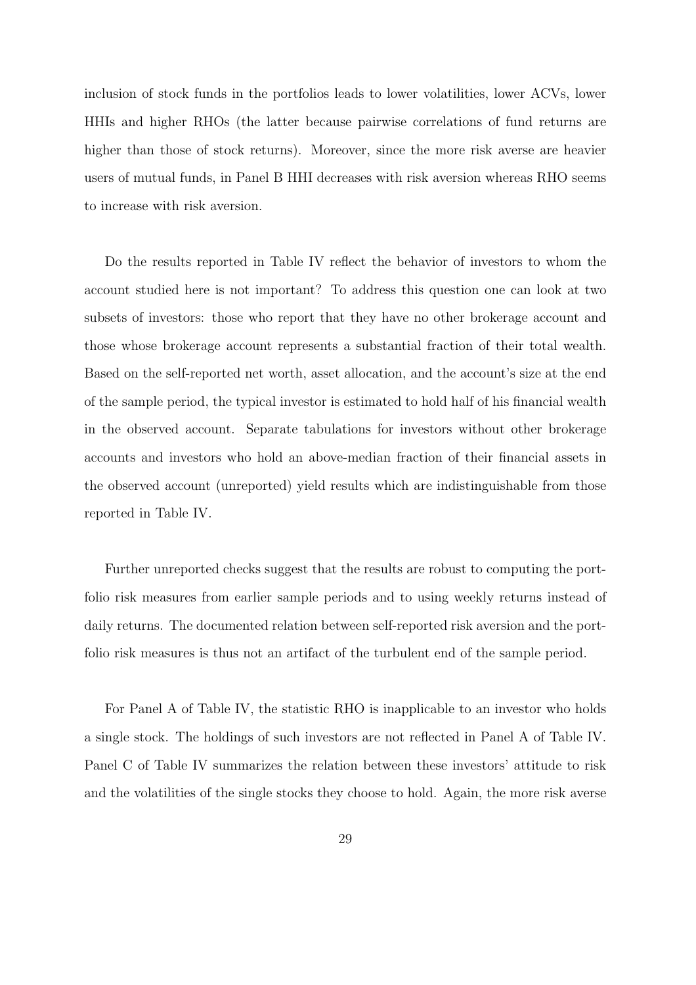inclusion of stock funds in the portfolios leads to lower volatilities, lower ACVs, lower HHIs and higher RHOs (the latter because pairwise correlations of fund returns are higher than those of stock returns). Moreover, since the more risk averse are heavier users of mutual funds, in Panel B HHI decreases with risk aversion whereas RHO seems to increase with risk aversion.

Do the results reported in Table IV reflect the behavior of investors to whom the account studied here is not important? To address this question one can look at two subsets of investors: those who report that they have no other brokerage account and those whose brokerage account represents a substantial fraction of their total wealth. Based on the self-reported net worth, asset allocation, and the account's size at the end of the sample period, the typical investor is estimated to hold half of his financial wealth in the observed account. Separate tabulations for investors without other brokerage accounts and investors who hold an above-median fraction of their financial assets in the observed account (unreported) yield results which are indistinguishable from those reported in Table IV.

Further unreported checks suggest that the results are robust to computing the portfolio risk measures from earlier sample periods and to using weekly returns instead of daily returns. The documented relation between self-reported risk aversion and the portfolio risk measures is thus not an artifact of the turbulent end of the sample period.

For Panel A of Table IV, the statistic RHO is inapplicable to an investor who holds a single stock. The holdings of such investors are not reflected in Panel A of Table IV. Panel C of Table IV summarizes the relation between these investors' attitude to risk and the volatilities of the single stocks they choose to hold. Again, the more risk averse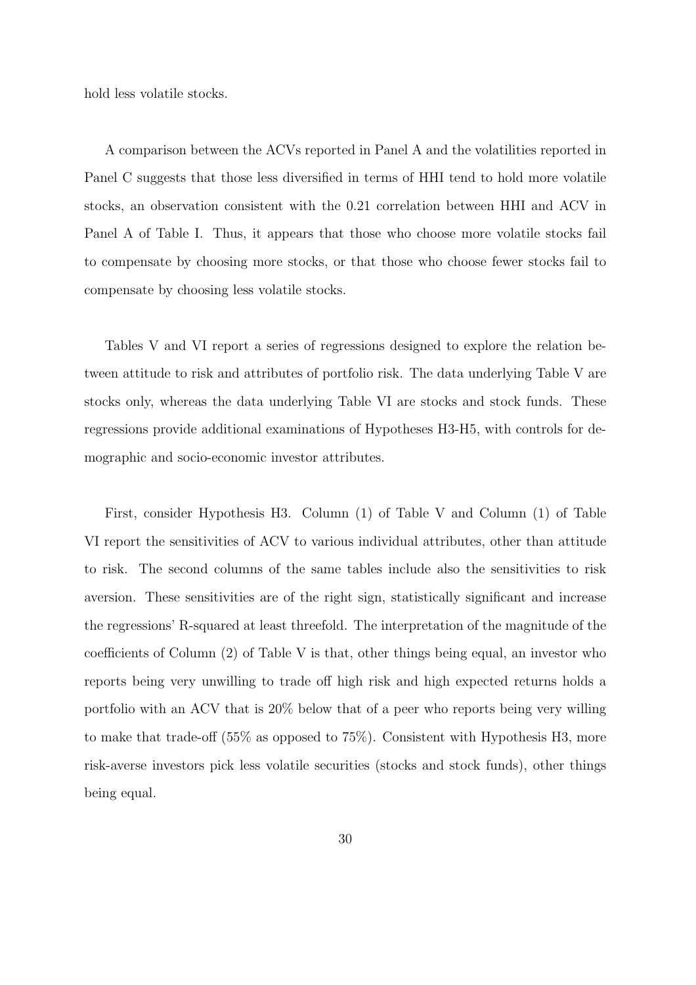hold less volatile stocks.

A comparison between the ACVs reported in Panel A and the volatilities reported in Panel C suggests that those less diversified in terms of HHI tend to hold more volatile stocks, an observation consistent with the 0.21 correlation between HHI and ACV in Panel A of Table I. Thus, it appears that those who choose more volatile stocks fail to compensate by choosing more stocks, or that those who choose fewer stocks fail to compensate by choosing less volatile stocks.

Tables V and VI report a series of regressions designed to explore the relation between attitude to risk and attributes of portfolio risk. The data underlying Table V are stocks only, whereas the data underlying Table VI are stocks and stock funds. These regressions provide additional examinations of Hypotheses H3-H5, with controls for demographic and socio-economic investor attributes.

First, consider Hypothesis H3. Column (1) of Table V and Column (1) of Table VI report the sensitivities of ACV to various individual attributes, other than attitude to risk. The second columns of the same tables include also the sensitivities to risk aversion. These sensitivities are of the right sign, statistically significant and increase the regressions' R-squared at least threefold. The interpretation of the magnitude of the coefficients of Column (2) of Table V is that, other things being equal, an investor who reports being very unwilling to trade off high risk and high expected returns holds a portfolio with an ACV that is 20% below that of a peer who reports being very willing to make that trade-off (55% as opposed to 75%). Consistent with Hypothesis H3, more risk-averse investors pick less volatile securities (stocks and stock funds), other things being equal.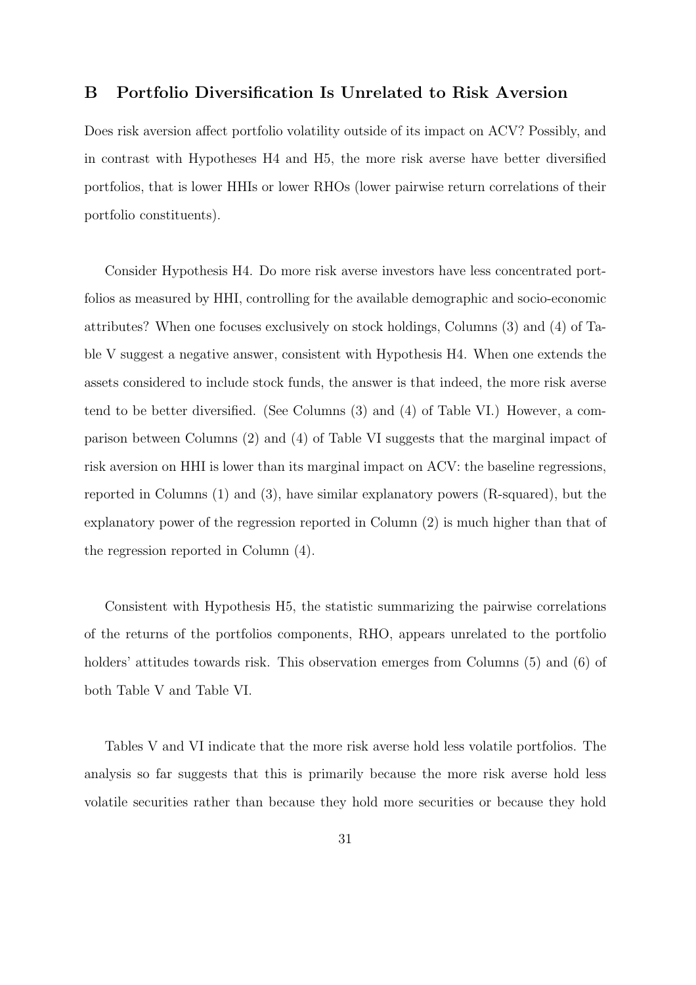### B Portfolio Diversification Is Unrelated to Risk Aversion

Does risk aversion affect portfolio volatility outside of its impact on ACV? Possibly, and in contrast with Hypotheses H4 and H5, the more risk averse have better diversified portfolios, that is lower HHIs or lower RHOs (lower pairwise return correlations of their portfolio constituents).

Consider Hypothesis H4. Do more risk averse investors have less concentrated portfolios as measured by HHI, controlling for the available demographic and socio-economic attributes? When one focuses exclusively on stock holdings, Columns (3) and (4) of Table V suggest a negative answer, consistent with Hypothesis H4. When one extends the assets considered to include stock funds, the answer is that indeed, the more risk averse tend to be better diversified. (See Columns (3) and (4) of Table VI.) However, a comparison between Columns (2) and (4) of Table VI suggests that the marginal impact of risk aversion on HHI is lower than its marginal impact on ACV: the baseline regressions, reported in Columns (1) and (3), have similar explanatory powers (R-squared), but the explanatory power of the regression reported in Column (2) is much higher than that of the regression reported in Column (4).

Consistent with Hypothesis H5, the statistic summarizing the pairwise correlations of the returns of the portfolios components, RHO, appears unrelated to the portfolio holders' attitudes towards risk. This observation emerges from Columns (5) and (6) of both Table V and Table VI.

Tables V and VI indicate that the more risk averse hold less volatile portfolios. The analysis so far suggests that this is primarily because the more risk averse hold less volatile securities rather than because they hold more securities or because they hold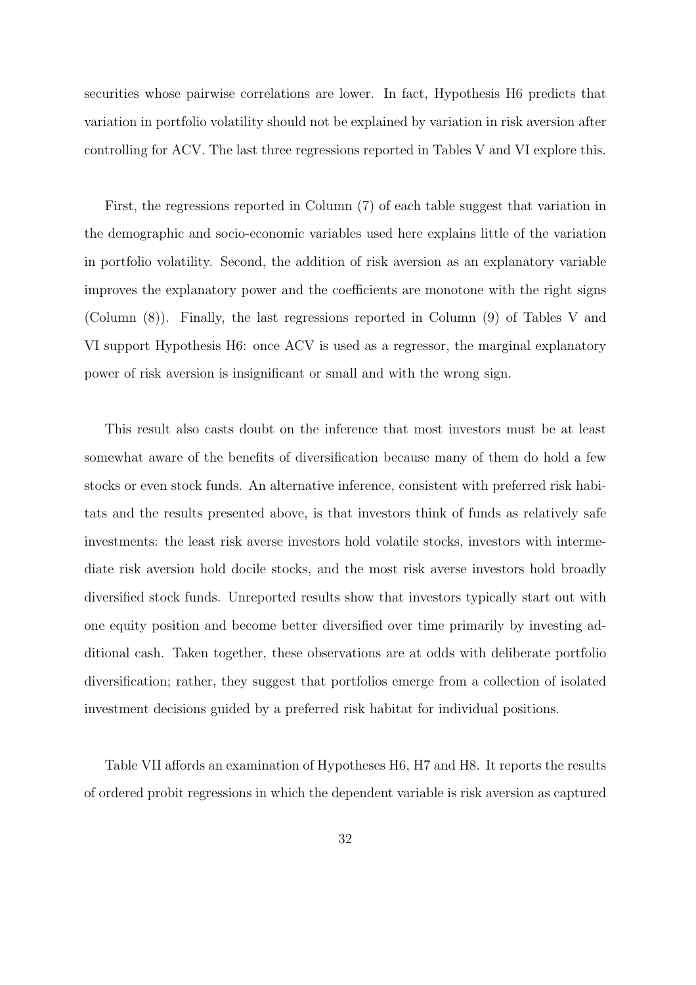securities whose pairwise correlations are lower. In fact, Hypothesis H6 predicts that variation in portfolio volatility should not be explained by variation in risk aversion after controlling for ACV. The last three regressions reported in Tables V and VI explore this.

First, the regressions reported in Column (7) of each table suggest that variation in the demographic and socio-economic variables used here explains little of the variation in portfolio volatility. Second, the addition of risk aversion as an explanatory variable improves the explanatory power and the coefficients are monotone with the right signs (Column (8)). Finally, the last regressions reported in Column (9) of Tables V and VI support Hypothesis H6: once ACV is used as a regressor, the marginal explanatory power of risk aversion is insignificant or small and with the wrong sign.

This result also casts doubt on the inference that most investors must be at least somewhat aware of the benefits of diversification because many of them do hold a few stocks or even stock funds. An alternative inference, consistent with preferred risk habitats and the results presented above, is that investors think of funds as relatively safe investments: the least risk averse investors hold volatile stocks, investors with intermediate risk aversion hold docile stocks, and the most risk averse investors hold broadly diversified stock funds. Unreported results show that investors typically start out with one equity position and become better diversified over time primarily by investing additional cash. Taken together, these observations are at odds with deliberate portfolio diversification; rather, they suggest that portfolios emerge from a collection of isolated investment decisions guided by a preferred risk habitat for individual positions.

Table VII affords an examination of Hypotheses H6, H7 and H8. It reports the results of ordered probit regressions in which the dependent variable is risk aversion as captured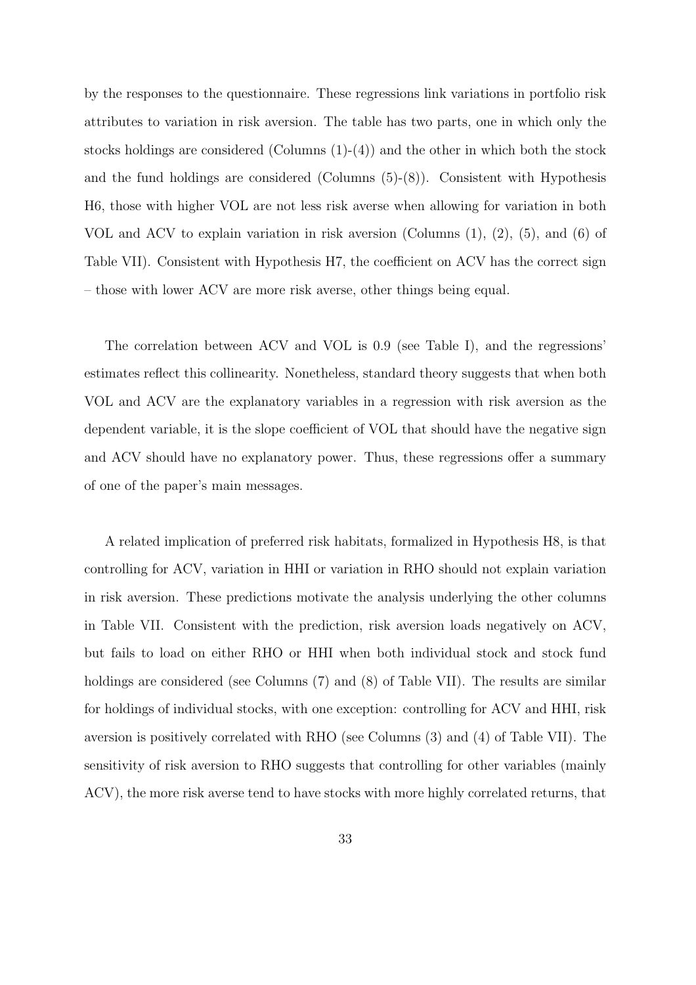by the responses to the questionnaire. These regressions link variations in portfolio risk attributes to variation in risk aversion. The table has two parts, one in which only the stocks holdings are considered (Columns  $(1)-(4)$ ) and the other in which both the stock and the fund holdings are considered (Columns  $(5)-(8)$ ). Consistent with Hypothesis H6, those with higher VOL are not less risk averse when allowing for variation in both VOL and ACV to explain variation in risk aversion (Columns  $(1), (2), (5),$  and  $(6)$  of Table VII). Consistent with Hypothesis H7, the coefficient on ACV has the correct sign – those with lower ACV are more risk averse, other things being equal.

The correlation between ACV and VOL is 0.9 (see Table I), and the regressions' estimates reflect this collinearity. Nonetheless, standard theory suggests that when both VOL and ACV are the explanatory variables in a regression with risk aversion as the dependent variable, it is the slope coefficient of VOL that should have the negative sign and ACV should have no explanatory power. Thus, these regressions offer a summary of one of the paper's main messages.

A related implication of preferred risk habitats, formalized in Hypothesis H8, is that controlling for ACV, variation in HHI or variation in RHO should not explain variation in risk aversion. These predictions motivate the analysis underlying the other columns in Table VII. Consistent with the prediction, risk aversion loads negatively on ACV, but fails to load on either RHO or HHI when both individual stock and stock fund holdings are considered (see Columns (7) and (8) of Table VII). The results are similar for holdings of individual stocks, with one exception: controlling for ACV and HHI, risk aversion is positively correlated with RHO (see Columns (3) and (4) of Table VII). The sensitivity of risk aversion to RHO suggests that controlling for other variables (mainly ACV), the more risk averse tend to have stocks with more highly correlated returns, that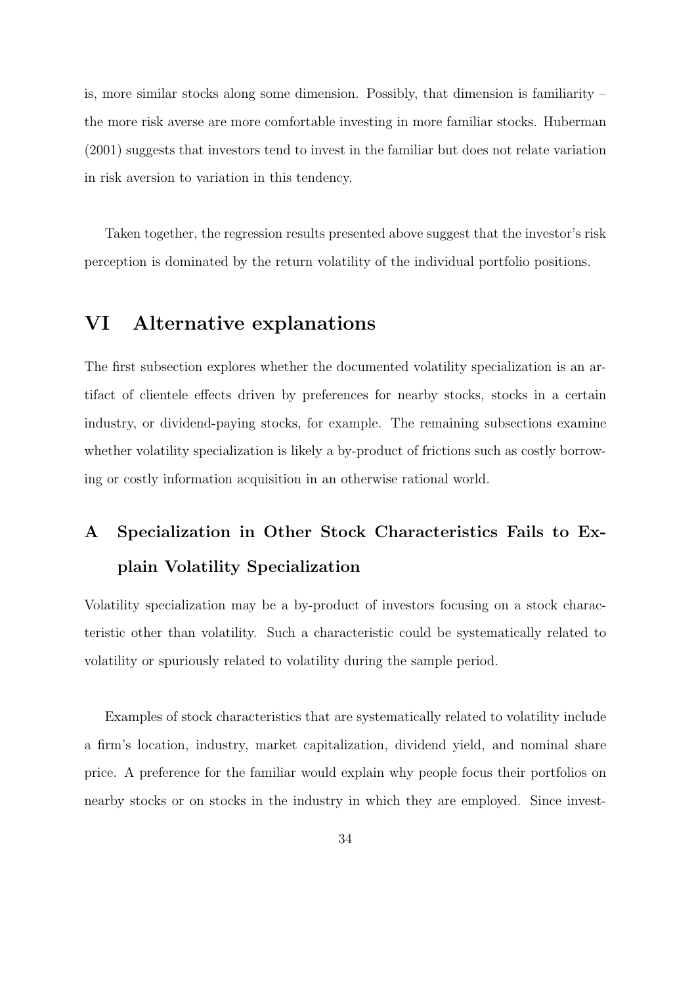is, more similar stocks along some dimension. Possibly, that dimension is familiarity  $$ the more risk averse are more comfortable investing in more familiar stocks. Huberman (2001) suggests that investors tend to invest in the familiar but does not relate variation in risk aversion to variation in this tendency.

Taken together, the regression results presented above suggest that the investor's risk perception is dominated by the return volatility of the individual portfolio positions.

### VI Alternative explanations

The first subsection explores whether the documented volatility specialization is an artifact of clientele effects driven by preferences for nearby stocks, stocks in a certain industry, or dividend-paying stocks, for example. The remaining subsections examine whether volatility specialization is likely a by-product of frictions such as costly borrowing or costly information acquisition in an otherwise rational world.

## A Specialization in Other Stock Characteristics Fails to Explain Volatility Specialization

Volatility specialization may be a by-product of investors focusing on a stock characteristic other than volatility. Such a characteristic could be systematically related to volatility or spuriously related to volatility during the sample period.

Examples of stock characteristics that are systematically related to volatility include a firm's location, industry, market capitalization, dividend yield, and nominal share price. A preference for the familiar would explain why people focus their portfolios on nearby stocks or on stocks in the industry in which they are employed. Since invest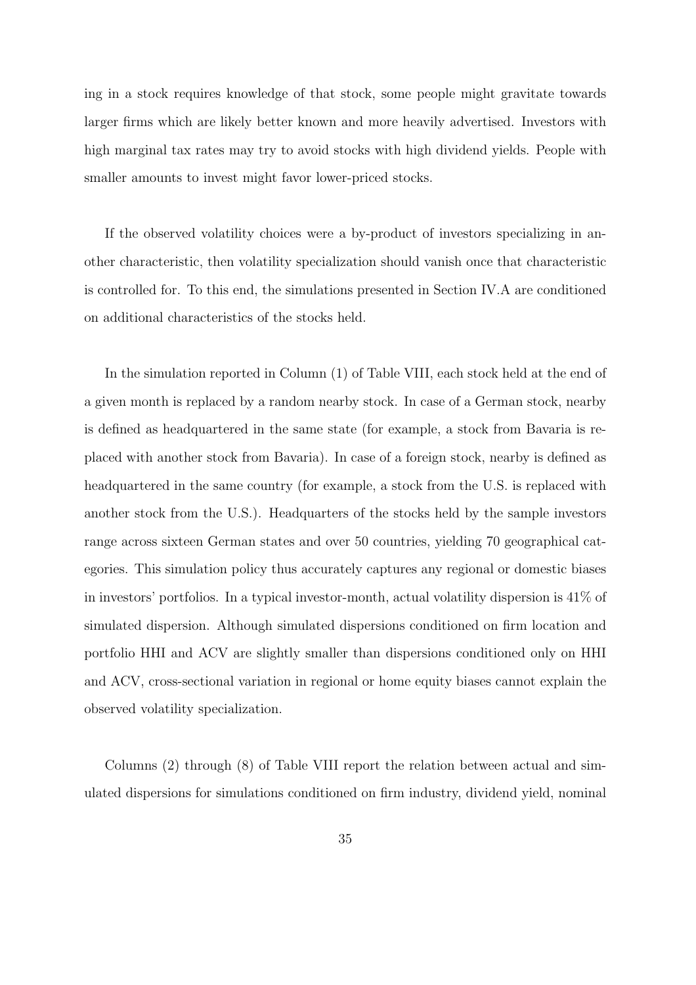ing in a stock requires knowledge of that stock, some people might gravitate towards larger firms which are likely better known and more heavily advertised. Investors with high marginal tax rates may try to avoid stocks with high dividend yields. People with smaller amounts to invest might favor lower-priced stocks.

If the observed volatility choices were a by-product of investors specializing in another characteristic, then volatility specialization should vanish once that characteristic is controlled for. To this end, the simulations presented in Section IV.A are conditioned on additional characteristics of the stocks held.

In the simulation reported in Column (1) of Table VIII, each stock held at the end of a given month is replaced by a random nearby stock. In case of a German stock, nearby is defined as headquartered in the same state (for example, a stock from Bavaria is replaced with another stock from Bavaria). In case of a foreign stock, nearby is defined as headquartered in the same country (for example, a stock from the U.S. is replaced with another stock from the U.S.). Headquarters of the stocks held by the sample investors range across sixteen German states and over 50 countries, yielding 70 geographical categories. This simulation policy thus accurately captures any regional or domestic biases in investors' portfolios. In a typical investor-month, actual volatility dispersion is 41% of simulated dispersion. Although simulated dispersions conditioned on firm location and portfolio HHI and ACV are slightly smaller than dispersions conditioned only on HHI and ACV, cross-sectional variation in regional or home equity biases cannot explain the observed volatility specialization.

Columns (2) through (8) of Table VIII report the relation between actual and simulated dispersions for simulations conditioned on firm industry, dividend yield, nominal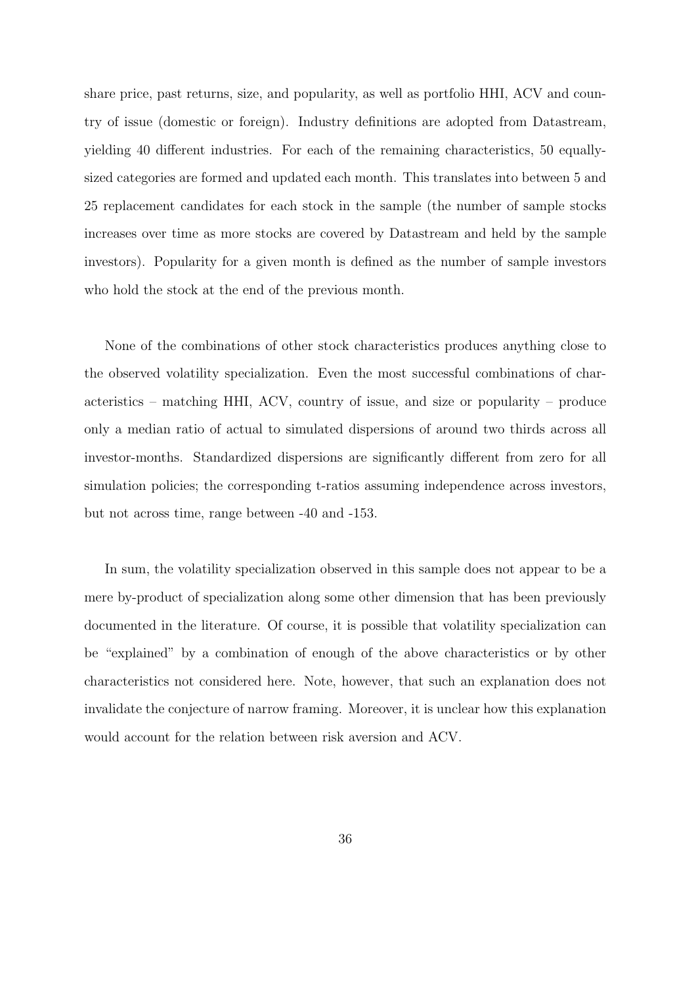share price, past returns, size, and popularity, as well as portfolio HHI, ACV and country of issue (domestic or foreign). Industry definitions are adopted from Datastream, yielding 40 different industries. For each of the remaining characteristics, 50 equallysized categories are formed and updated each month. This translates into between 5 and 25 replacement candidates for each stock in the sample (the number of sample stocks increases over time as more stocks are covered by Datastream and held by the sample investors). Popularity for a given month is defined as the number of sample investors who hold the stock at the end of the previous month.

None of the combinations of other stock characteristics produces anything close to the observed volatility specialization. Even the most successful combinations of characteristics – matching HHI, ACV, country of issue, and size or popularity – produce only a median ratio of actual to simulated dispersions of around two thirds across all investor-months. Standardized dispersions are significantly different from zero for all simulation policies; the corresponding t-ratios assuming independence across investors, but not across time, range between -40 and -153.

In sum, the volatility specialization observed in this sample does not appear to be a mere by-product of specialization along some other dimension that has been previously documented in the literature. Of course, it is possible that volatility specialization can be "explained" by a combination of enough of the above characteristics or by other characteristics not considered here. Note, however, that such an explanation does not invalidate the conjecture of narrow framing. Moreover, it is unclear how this explanation would account for the relation between risk aversion and ACV.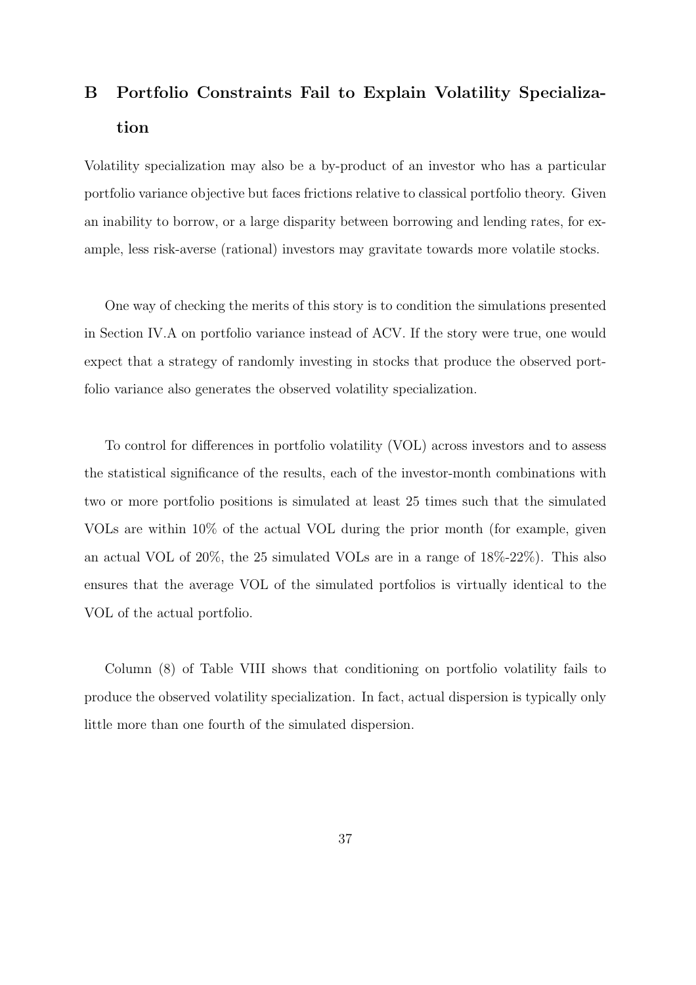## B Portfolio Constraints Fail to Explain Volatility Specialization

Volatility specialization may also be a by-product of an investor who has a particular portfolio variance objective but faces frictions relative to classical portfolio theory. Given an inability to borrow, or a large disparity between borrowing and lending rates, for example, less risk-averse (rational) investors may gravitate towards more volatile stocks.

One way of checking the merits of this story is to condition the simulations presented in Section IV.A on portfolio variance instead of ACV. If the story were true, one would expect that a strategy of randomly investing in stocks that produce the observed portfolio variance also generates the observed volatility specialization.

To control for differences in portfolio volatility (VOL) across investors and to assess the statistical significance of the results, each of the investor-month combinations with two or more portfolio positions is simulated at least 25 times such that the simulated VOLs are within 10% of the actual VOL during the prior month (for example, given an actual VOL of 20%, the 25 simulated VOLs are in a range of 18%-22%). This also ensures that the average VOL of the simulated portfolios is virtually identical to the VOL of the actual portfolio.

Column (8) of Table VIII shows that conditioning on portfolio volatility fails to produce the observed volatility specialization. In fact, actual dispersion is typically only little more than one fourth of the simulated dispersion.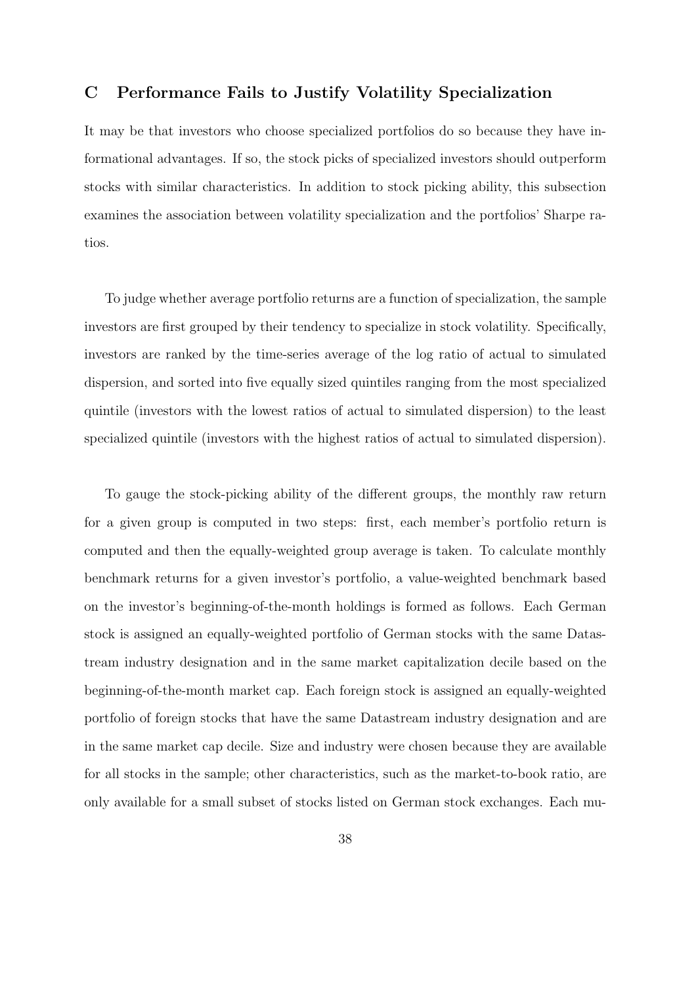### C Performance Fails to Justify Volatility Specialization

It may be that investors who choose specialized portfolios do so because they have informational advantages. If so, the stock picks of specialized investors should outperform stocks with similar characteristics. In addition to stock picking ability, this subsection examines the association between volatility specialization and the portfolios' Sharpe ratios.

To judge whether average portfolio returns are a function of specialization, the sample investors are first grouped by their tendency to specialize in stock volatility. Specifically, investors are ranked by the time-series average of the log ratio of actual to simulated dispersion, and sorted into five equally sized quintiles ranging from the most specialized quintile (investors with the lowest ratios of actual to simulated dispersion) to the least specialized quintile (investors with the highest ratios of actual to simulated dispersion).

To gauge the stock-picking ability of the different groups, the monthly raw return for a given group is computed in two steps: first, each member's portfolio return is computed and then the equally-weighted group average is taken. To calculate monthly benchmark returns for a given investor's portfolio, a value-weighted benchmark based on the investor's beginning-of-the-month holdings is formed as follows. Each German stock is assigned an equally-weighted portfolio of German stocks with the same Datastream industry designation and in the same market capitalization decile based on the beginning-of-the-month market cap. Each foreign stock is assigned an equally-weighted portfolio of foreign stocks that have the same Datastream industry designation and are in the same market cap decile. Size and industry were chosen because they are available for all stocks in the sample; other characteristics, such as the market-to-book ratio, are only available for a small subset of stocks listed on German stock exchanges. Each mu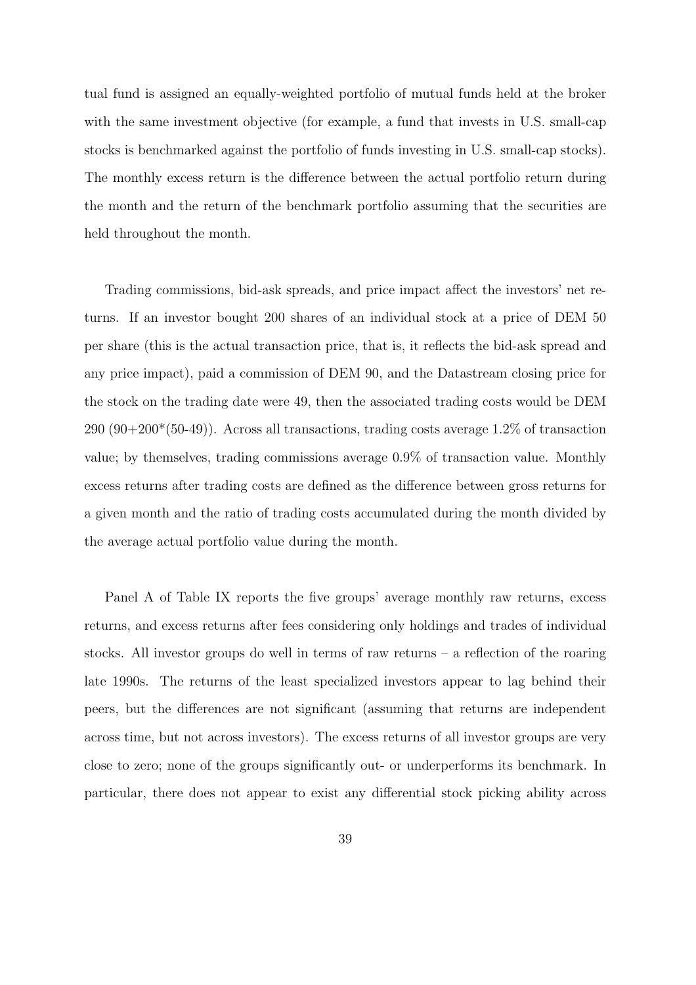tual fund is assigned an equally-weighted portfolio of mutual funds held at the broker with the same investment objective (for example, a fund that invests in U.S. small-cap stocks is benchmarked against the portfolio of funds investing in U.S. small-cap stocks). The monthly excess return is the difference between the actual portfolio return during the month and the return of the benchmark portfolio assuming that the securities are held throughout the month.

Trading commissions, bid-ask spreads, and price impact affect the investors' net returns. If an investor bought 200 shares of an individual stock at a price of DEM 50 per share (this is the actual transaction price, that is, it reflects the bid-ask spread and any price impact), paid a commission of DEM 90, and the Datastream closing price for the stock on the trading date were 49, then the associated trading costs would be DEM  $290 (90+200*(50-49))$ . Across all transactions, trading costs average 1.2% of transaction value; by themselves, trading commissions average 0.9% of transaction value. Monthly excess returns after trading costs are defined as the difference between gross returns for a given month and the ratio of trading costs accumulated during the month divided by the average actual portfolio value during the month.

Panel A of Table IX reports the five groups' average monthly raw returns, excess returns, and excess returns after fees considering only holdings and trades of individual stocks. All investor groups do well in terms of raw returns – a reflection of the roaring late 1990s. The returns of the least specialized investors appear to lag behind their peers, but the differences are not significant (assuming that returns are independent across time, but not across investors). The excess returns of all investor groups are very close to zero; none of the groups significantly out- or underperforms its benchmark. In particular, there does not appear to exist any differential stock picking ability across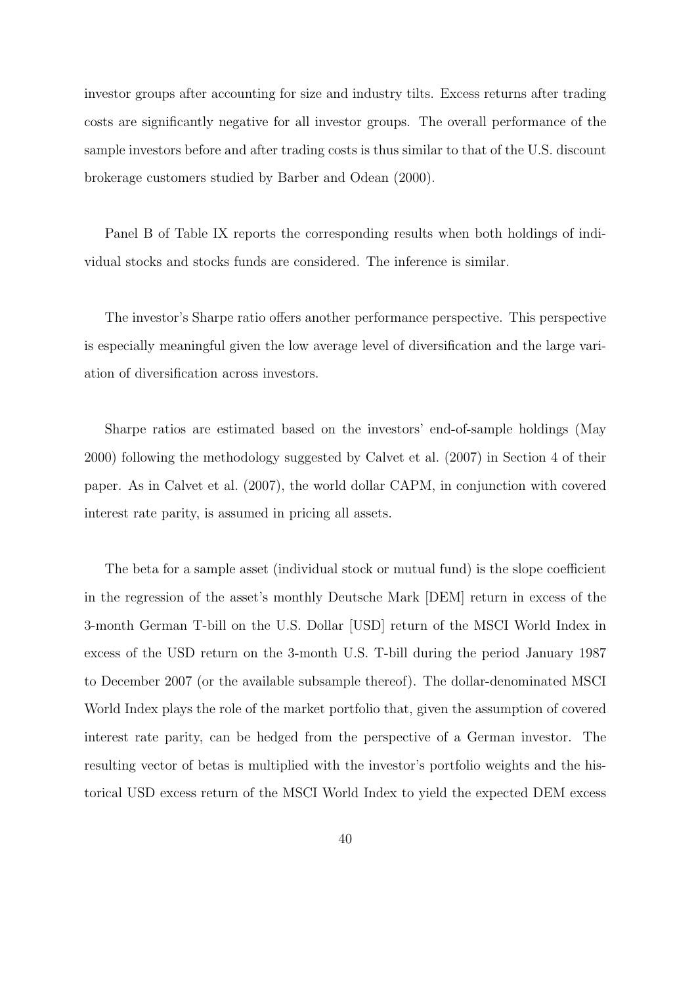investor groups after accounting for size and industry tilts. Excess returns after trading costs are significantly negative for all investor groups. The overall performance of the sample investors before and after trading costs is thus similar to that of the U.S. discount brokerage customers studied by Barber and Odean (2000).

Panel B of Table IX reports the corresponding results when both holdings of individual stocks and stocks funds are considered. The inference is similar.

The investor's Sharpe ratio offers another performance perspective. This perspective is especially meaningful given the low average level of diversification and the large variation of diversification across investors.

Sharpe ratios are estimated based on the investors' end-of-sample holdings (May 2000) following the methodology suggested by Calvet et al. (2007) in Section 4 of their paper. As in Calvet et al. (2007), the world dollar CAPM, in conjunction with covered interest rate parity, is assumed in pricing all assets.

The beta for a sample asset (individual stock or mutual fund) is the slope coefficient in the regression of the asset's monthly Deutsche Mark [DEM] return in excess of the 3-month German T-bill on the U.S. Dollar [USD] return of the MSCI World Index in excess of the USD return on the 3-month U.S. T-bill during the period January 1987 to December 2007 (or the available subsample thereof). The dollar-denominated MSCI World Index plays the role of the market portfolio that, given the assumption of covered interest rate parity, can be hedged from the perspective of a German investor. The resulting vector of betas is multiplied with the investor's portfolio weights and the historical USD excess return of the MSCI World Index to yield the expected DEM excess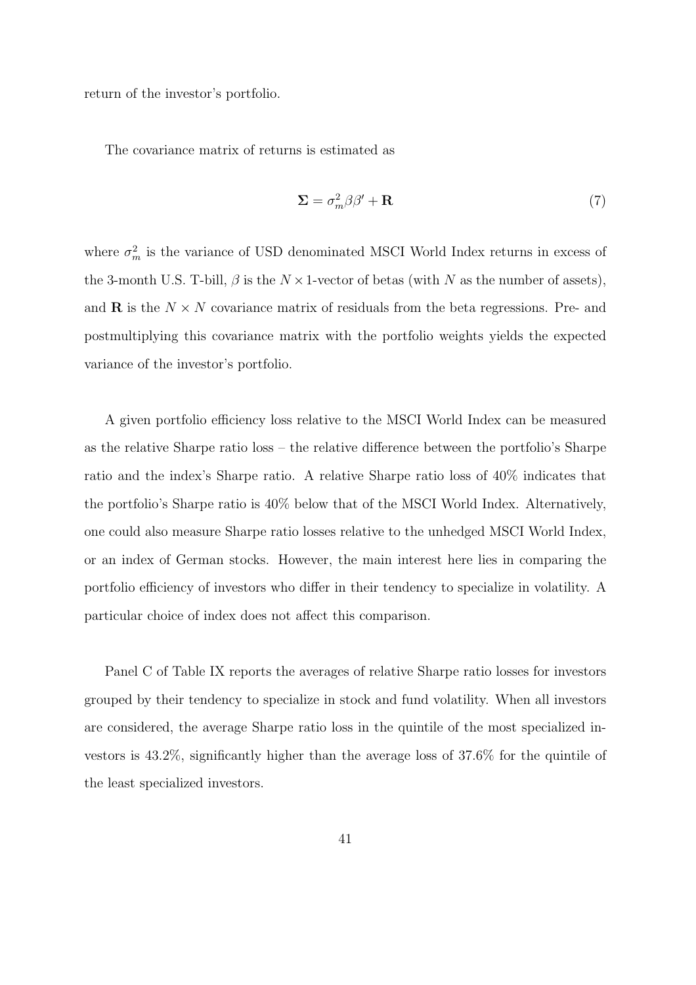return of the investor's portfolio.

The covariance matrix of returns is estimated as

$$
\Sigma = \sigma_m^2 \beta \beta' + \mathbf{R} \tag{7}
$$

where  $\sigma_m^2$  is the variance of USD denominated MSCI World Index returns in excess of the 3-month U.S. T-bill,  $\beta$  is the  $N \times 1$ -vector of betas (with N as the number of assets), and **R** is the  $N \times N$  covariance matrix of residuals from the beta regressions. Pre- and postmultiplying this covariance matrix with the portfolio weights yields the expected variance of the investor's portfolio.

A given portfolio efficiency loss relative to the MSCI World Index can be measured as the relative Sharpe ratio loss – the relative difference between the portfolio's Sharpe ratio and the index's Sharpe ratio. A relative Sharpe ratio loss of 40% indicates that the portfolio's Sharpe ratio is 40% below that of the MSCI World Index. Alternatively, one could also measure Sharpe ratio losses relative to the unhedged MSCI World Index, or an index of German stocks. However, the main interest here lies in comparing the portfolio efficiency of investors who differ in their tendency to specialize in volatility. A particular choice of index does not affect this comparison.

Panel C of Table IX reports the averages of relative Sharpe ratio losses for investors grouped by their tendency to specialize in stock and fund volatility. When all investors are considered, the average Sharpe ratio loss in the quintile of the most specialized investors is 43.2%, significantly higher than the average loss of 37.6% for the quintile of the least specialized investors.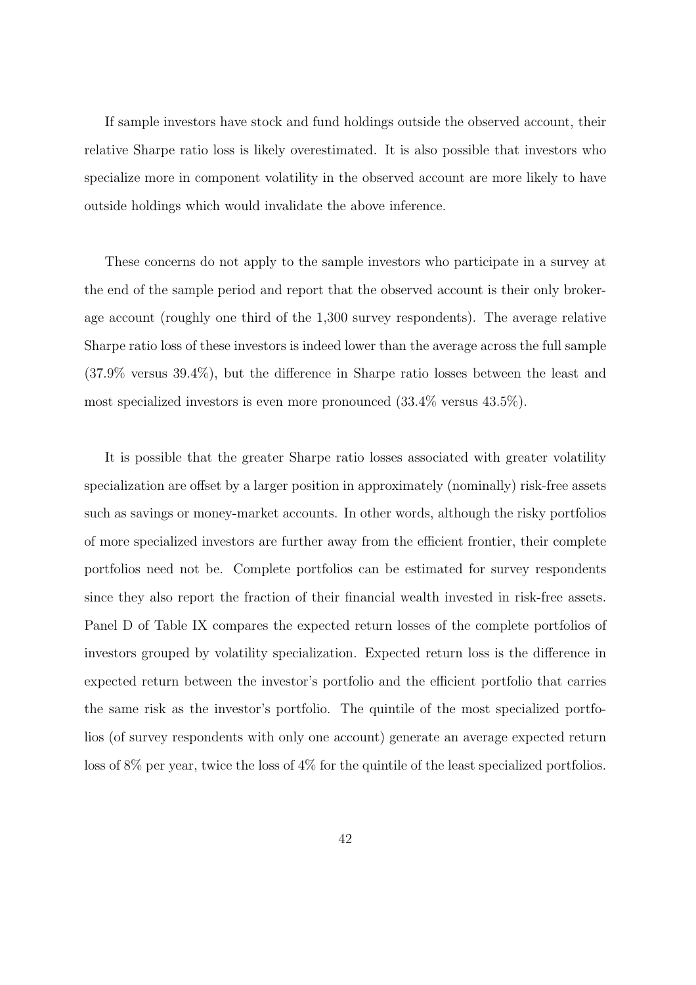If sample investors have stock and fund holdings outside the observed account, their relative Sharpe ratio loss is likely overestimated. It is also possible that investors who specialize more in component volatility in the observed account are more likely to have outside holdings which would invalidate the above inference.

These concerns do not apply to the sample investors who participate in a survey at the end of the sample period and report that the observed account is their only brokerage account (roughly one third of the 1,300 survey respondents). The average relative Sharpe ratio loss of these investors is indeed lower than the average across the full sample (37.9% versus 39.4%), but the difference in Sharpe ratio losses between the least and most specialized investors is even more pronounced (33.4% versus 43.5%).

It is possible that the greater Sharpe ratio losses associated with greater volatility specialization are offset by a larger position in approximately (nominally) risk-free assets such as savings or money-market accounts. In other words, although the risky portfolios of more specialized investors are further away from the efficient frontier, their complete portfolios need not be. Complete portfolios can be estimated for survey respondents since they also report the fraction of their financial wealth invested in risk-free assets. Panel D of Table IX compares the expected return losses of the complete portfolios of investors grouped by volatility specialization. Expected return loss is the difference in expected return between the investor's portfolio and the efficient portfolio that carries the same risk as the investor's portfolio. The quintile of the most specialized portfolios (of survey respondents with only one account) generate an average expected return loss of 8% per year, twice the loss of 4% for the quintile of the least specialized portfolios.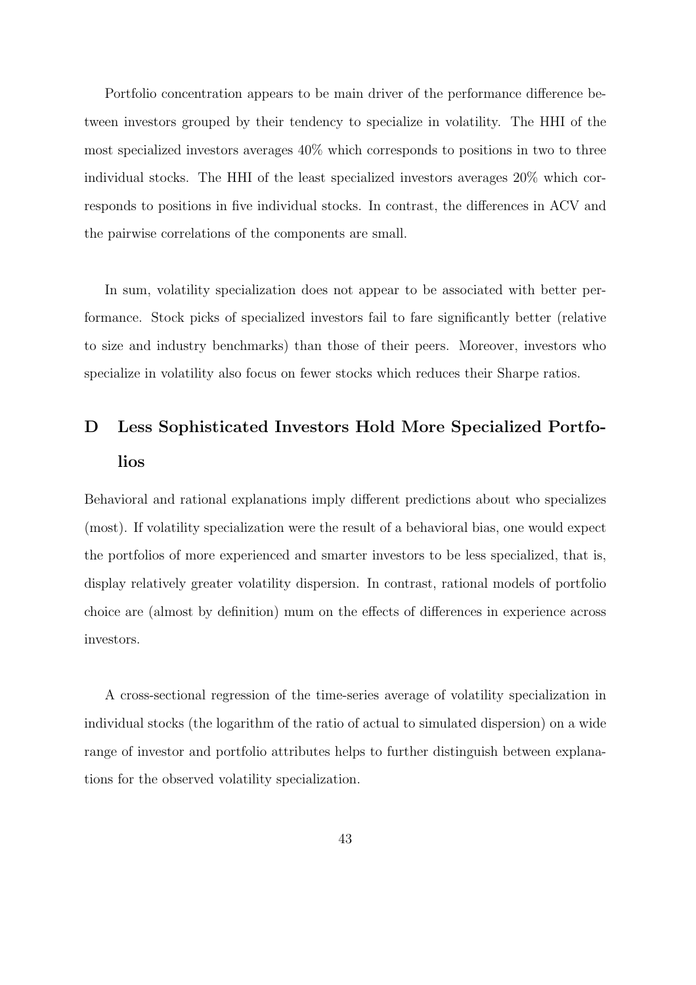Portfolio concentration appears to be main driver of the performance difference between investors grouped by their tendency to specialize in volatility. The HHI of the most specialized investors averages 40% which corresponds to positions in two to three individual stocks. The HHI of the least specialized investors averages 20% which corresponds to positions in five individual stocks. In contrast, the differences in ACV and the pairwise correlations of the components are small.

In sum, volatility specialization does not appear to be associated with better performance. Stock picks of specialized investors fail to fare significantly better (relative to size and industry benchmarks) than those of their peers. Moreover, investors who specialize in volatility also focus on fewer stocks which reduces their Sharpe ratios.

## D Less Sophisticated Investors Hold More Specialized Portfolios

Behavioral and rational explanations imply different predictions about who specializes (most). If volatility specialization were the result of a behavioral bias, one would expect the portfolios of more experienced and smarter investors to be less specialized, that is, display relatively greater volatility dispersion. In contrast, rational models of portfolio choice are (almost by definition) mum on the effects of differences in experience across investors.

A cross-sectional regression of the time-series average of volatility specialization in individual stocks (the logarithm of the ratio of actual to simulated dispersion) on a wide range of investor and portfolio attributes helps to further distinguish between explanations for the observed volatility specialization.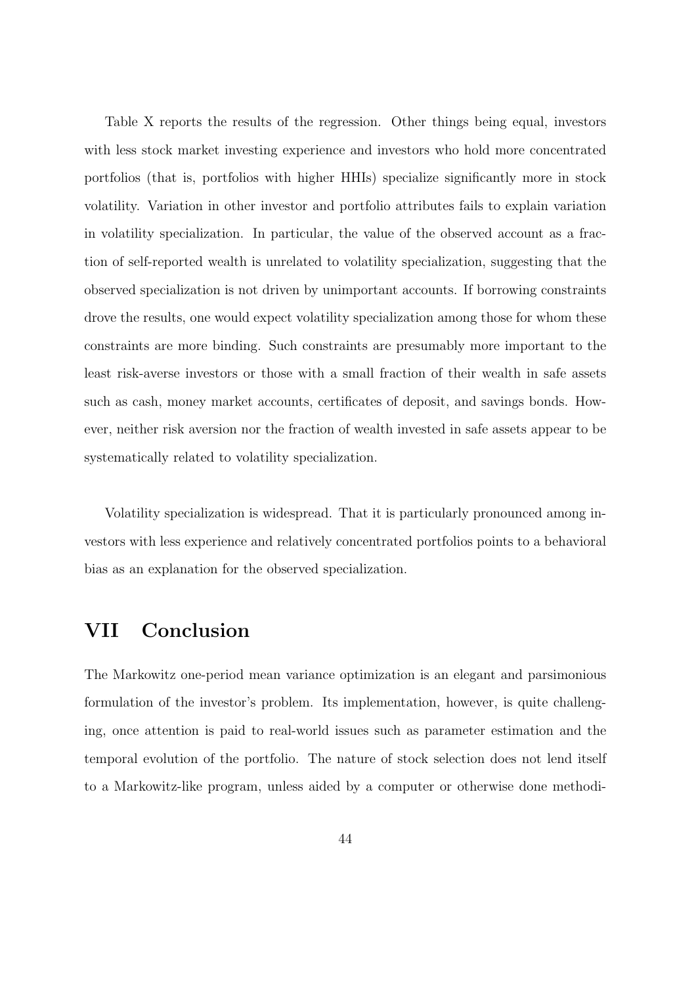Table X reports the results of the regression. Other things being equal, investors with less stock market investing experience and investors who hold more concentrated portfolios (that is, portfolios with higher HHIs) specialize significantly more in stock volatility. Variation in other investor and portfolio attributes fails to explain variation in volatility specialization. In particular, the value of the observed account as a fraction of self-reported wealth is unrelated to volatility specialization, suggesting that the observed specialization is not driven by unimportant accounts. If borrowing constraints drove the results, one would expect volatility specialization among those for whom these constraints are more binding. Such constraints are presumably more important to the least risk-averse investors or those with a small fraction of their wealth in safe assets such as cash, money market accounts, certificates of deposit, and savings bonds. However, neither risk aversion nor the fraction of wealth invested in safe assets appear to be systematically related to volatility specialization.

Volatility specialization is widespread. That it is particularly pronounced among investors with less experience and relatively concentrated portfolios points to a behavioral bias as an explanation for the observed specialization.

### VII Conclusion

The Markowitz one-period mean variance optimization is an elegant and parsimonious formulation of the investor's problem. Its implementation, however, is quite challenging, once attention is paid to real-world issues such as parameter estimation and the temporal evolution of the portfolio. The nature of stock selection does not lend itself to a Markowitz-like program, unless aided by a computer or otherwise done methodi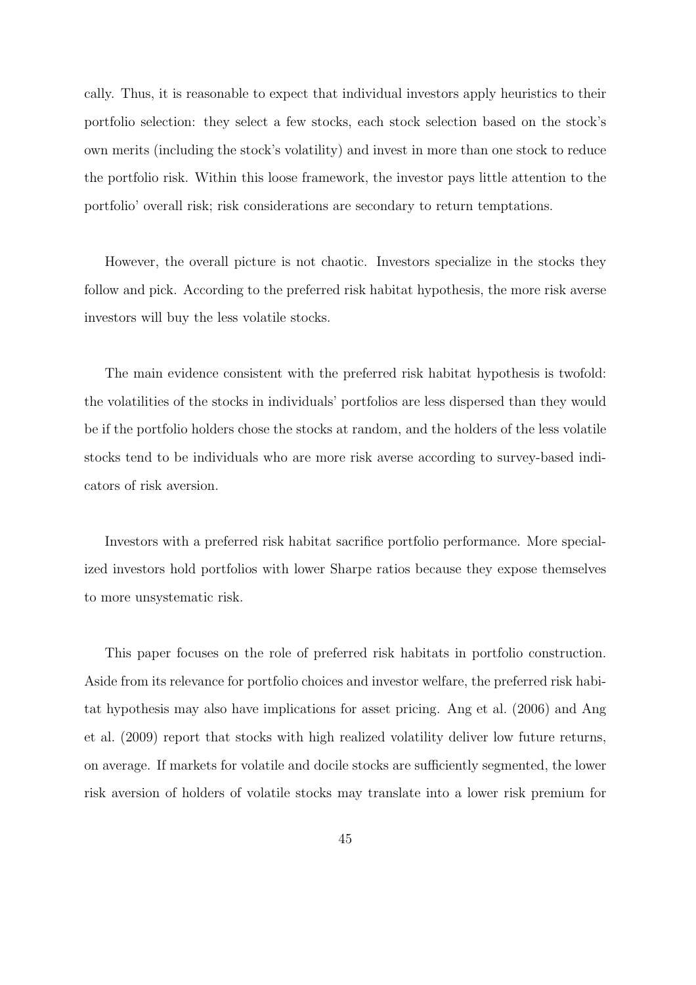cally. Thus, it is reasonable to expect that individual investors apply heuristics to their portfolio selection: they select a few stocks, each stock selection based on the stock's own merits (including the stock's volatility) and invest in more than one stock to reduce the portfolio risk. Within this loose framework, the investor pays little attention to the portfolio' overall risk; risk considerations are secondary to return temptations.

However, the overall picture is not chaotic. Investors specialize in the stocks they follow and pick. According to the preferred risk habitat hypothesis, the more risk averse investors will buy the less volatile stocks.

The main evidence consistent with the preferred risk habitat hypothesis is twofold: the volatilities of the stocks in individuals' portfolios are less dispersed than they would be if the portfolio holders chose the stocks at random, and the holders of the less volatile stocks tend to be individuals who are more risk averse according to survey-based indicators of risk aversion.

Investors with a preferred risk habitat sacrifice portfolio performance. More specialized investors hold portfolios with lower Sharpe ratios because they expose themselves to more unsystematic risk.

This paper focuses on the role of preferred risk habitats in portfolio construction. Aside from its relevance for portfolio choices and investor welfare, the preferred risk habitat hypothesis may also have implications for asset pricing. Ang et al. (2006) and Ang et al. (2009) report that stocks with high realized volatility deliver low future returns, on average. If markets for volatile and docile stocks are sufficiently segmented, the lower risk aversion of holders of volatile stocks may translate into a lower risk premium for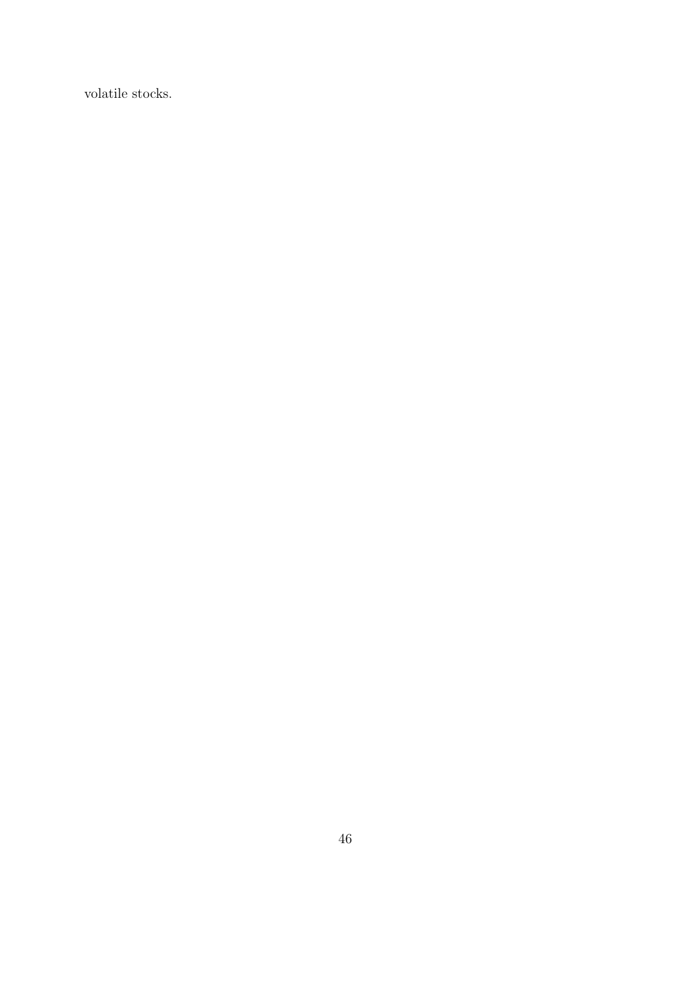volatile stocks.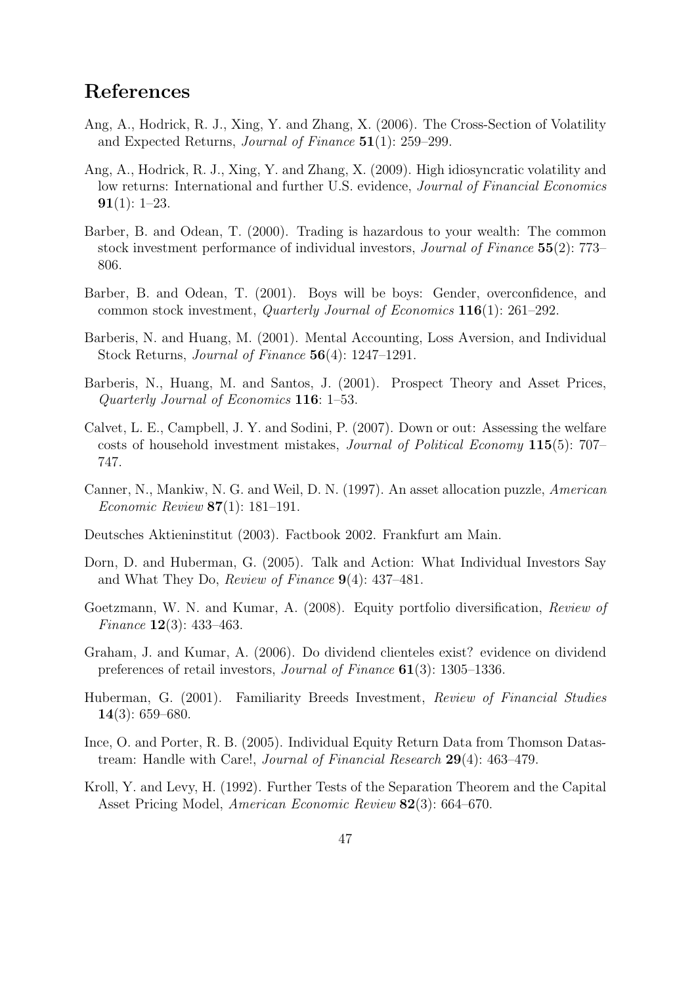### References

- Ang, A., Hodrick, R. J., Xing, Y. and Zhang, X. (2006). The Cross-Section of Volatility and Expected Returns, Journal of Finance 51(1): 259–299.
- Ang, A., Hodrick, R. J., Xing, Y. and Zhang, X. (2009). High idiosyncratic volatility and low returns: International and further U.S. evidence, Journal of Financial Economics  $91(1): 1-23.$
- Barber, B. and Odean, T. (2000). Trading is hazardous to your wealth: The common stock investment performance of individual investors, Journal of Finance 55(2): 773– 806.
- Barber, B. and Odean, T. (2001). Boys will be boys: Gender, overconfidence, and common stock investment, Quarterly Journal of Economics 116(1): 261–292.
- Barberis, N. and Huang, M. (2001). Mental Accounting, Loss Aversion, and Individual Stock Returns, Journal of Finance 56(4): 1247–1291.
- Barberis, N., Huang, M. and Santos, J. (2001). Prospect Theory and Asset Prices, Quarterly Journal of Economics 116: 1–53.
- Calvet, L. E., Campbell, J. Y. and Sodini, P. (2007). Down or out: Assessing the welfare costs of household investment mistakes, Journal of Political Economy 115(5): 707– 747.
- Canner, N., Mankiw, N. G. and Weil, D. N. (1997). An asset allocation puzzle, American Economic Review 87(1): 181–191.
- Deutsches Aktieninstitut (2003). Factbook 2002. Frankfurt am Main.
- Dorn, D. and Huberman, G. (2005). Talk and Action: What Individual Investors Say and What They Do, Review of Finance  $9(4)$ : 437–481.
- Goetzmann, W. N. and Kumar, A. (2008). Equity portfolio diversification, Review of Finance 12(3): 433–463.
- Graham, J. and Kumar, A. (2006). Do dividend clienteles exist? evidence on dividend preferences of retail investors, Journal of Finance 61(3): 1305–1336.
- Huberman, G. (2001). Familiarity Breeds Investment, Review of Financial Studies 14(3): 659–680.
- Ince, O. and Porter, R. B. (2005). Individual Equity Return Data from Thomson Datastream: Handle with Care!, *Journal of Financial Research* **29**(4): 463–479.
- Kroll, Y. and Levy, H. (1992). Further Tests of the Separation Theorem and the Capital Asset Pricing Model, American Economic Review 82(3): 664–670.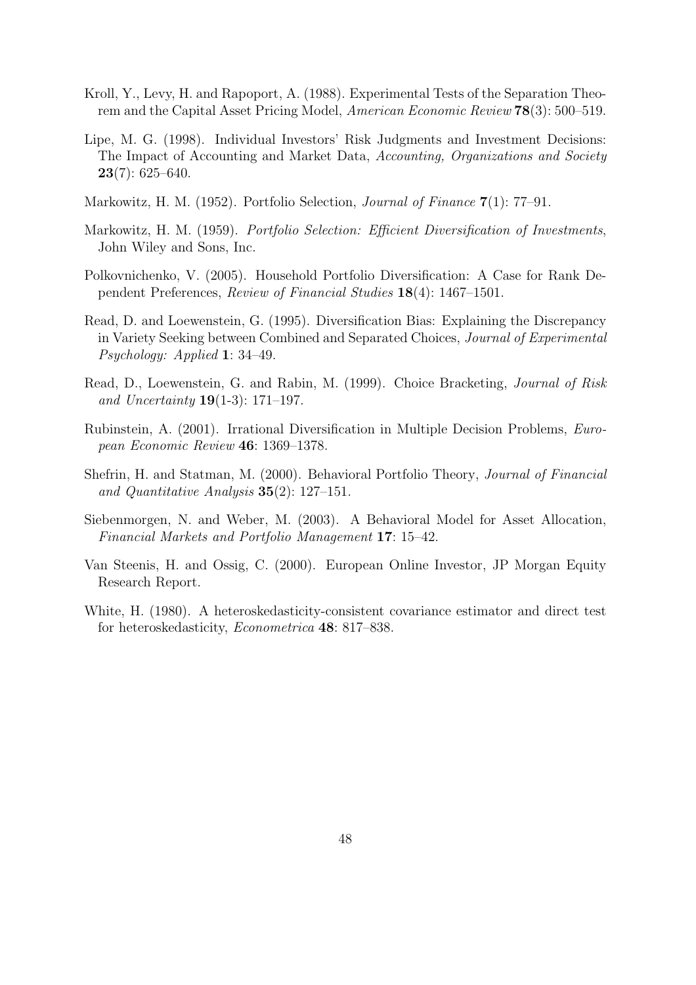- Kroll, Y., Levy, H. and Rapoport, A. (1988). Experimental Tests of the Separation Theorem and the Capital Asset Pricing Model, American Economic Review 78(3): 500–519.
- Lipe, M. G. (1998). Individual Investors' Risk Judgments and Investment Decisions: The Impact of Accounting and Market Data, Accounting, Organizations and Society  $23(7): 625-640.$
- Markowitz, H. M. (1952). Portfolio Selection, Journal of Finance 7(1): 77–91.
- Markowitz, H. M. (1959). Portfolio Selection: Efficient Diversification of Investments, John Wiley and Sons, Inc.
- Polkovnichenko, V. (2005). Household Portfolio Diversification: A Case for Rank Dependent Preferences, Review of Financial Studies 18(4): 1467–1501.
- Read, D. and Loewenstein, G. (1995). Diversification Bias: Explaining the Discrepancy in Variety Seeking between Combined and Separated Choices, Journal of Experimental Psychology: Applied 1: 34–49.
- Read, D., Loewenstein, G. and Rabin, M. (1999). Choice Bracketing, Journal of Risk and Uncertainty **19**(1-3): 171–197.
- Rubinstein, A. (2001). Irrational Diversification in Multiple Decision Problems, European Economic Review 46: 1369–1378.
- Shefrin, H. and Statman, M. (2000). Behavioral Portfolio Theory, Journal of Financial and Quantitative Analysis 35(2): 127–151.
- Siebenmorgen, N. and Weber, M. (2003). A Behavioral Model for Asset Allocation, Financial Markets and Portfolio Management 17: 15–42.
- Van Steenis, H. and Ossig, C. (2000). European Online Investor, JP Morgan Equity Research Report.
- White, H. (1980). A heteroskedasticity-consistent covariance estimator and direct test for heteroskedasticity, Econometrica 48: 817–838.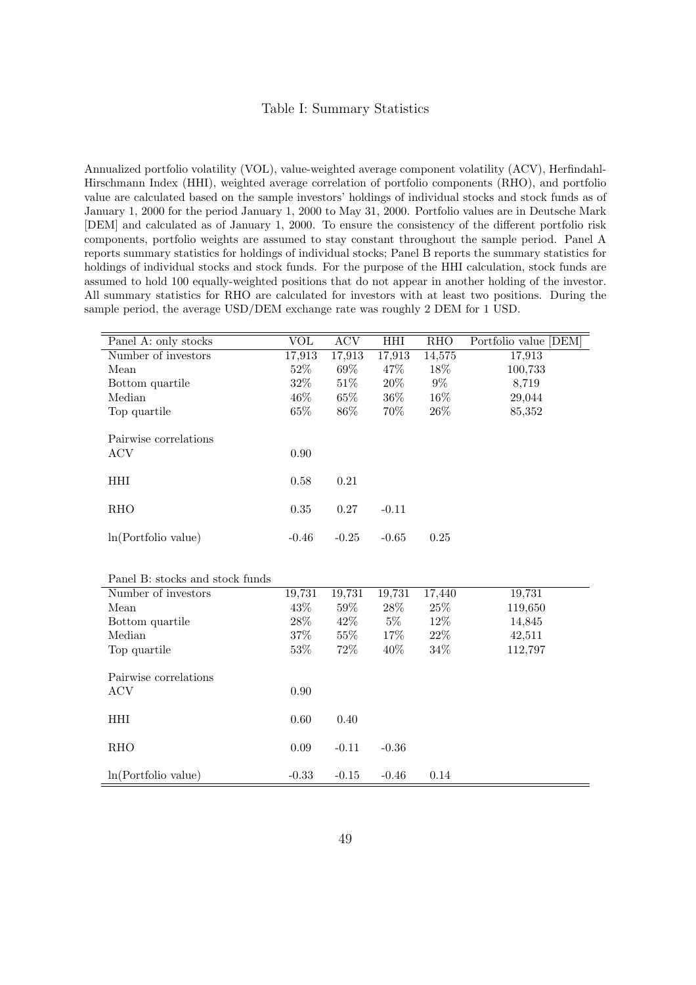#### Table I: Summary Statistics

Annualized portfolio volatility (VOL), value-weighted average component volatility (ACV), Herfindahl-Hirschmann Index (HHI), weighted average correlation of portfolio components (RHO), and portfolio value are calculated based on the sample investors' holdings of individual stocks and stock funds as of January 1, 2000 for the period January 1, 2000 to May 31, 2000. Portfolio values are in Deutsche Mark [DEM] and calculated as of January 1, 2000. To ensure the consistency of the different portfolio risk components, portfolio weights are assumed to stay constant throughout the sample period. Panel A reports summary statistics for holdings of individual stocks; Panel B reports the summary statistics for holdings of individual stocks and stock funds. For the purpose of the HHI calculation, stock funds are assumed to hold 100 equally-weighted positions that do not appear in another holding of the investor. All summary statistics for RHO are calculated for investors with at least two positions. During the sample period, the average USD/DEM exchange rate was roughly 2 DEM for 1 USD.

| Panel A: only stocks            | VOL      | <b>ACV</b> | HHI     | <b>RHO</b> | Portfolio value [DEM] |
|---------------------------------|----------|------------|---------|------------|-----------------------|
| Number of investors             | 17,913   | 17,913     | 17,913  | 14,575     | 17,913                |
| Mean                            | 52%      | 69%        | 47%     | 18%        | 100,733               |
| Bottom quartile                 | 32%      | $51\%$     | 20%     | $9\%$      | 8,719                 |
| Median                          | 46%      | 65%        | 36%     | 16%        | 29,044                |
| Top quartile                    | 65%      | 86%        | 70%     | 26%        | 85,352                |
|                                 |          |            |         |            |                       |
| Pairwise correlations           |          |            |         |            |                       |
| <b>ACV</b>                      | 0.90     |            |         |            |                       |
|                                 |          |            |         |            |                       |
| HHI                             | 0.58     | 0.21       |         |            |                       |
|                                 |          |            |         |            |                       |
| RHO                             | $0.35\,$ | $0.27\,$   | $-0.11$ |            |                       |
|                                 | $-0.46$  | $-0.25$    | $-0.65$ | $0.25\,$   |                       |
| ln(Portlolio value)             |          |            |         |            |                       |
|                                 |          |            |         |            |                       |
| Panel B: stocks and stock funds |          |            |         |            |                       |
| Number of investors             | 19,731   | 19,731     | 19,731  | 17,440     | 19,731                |
| Mean                            | 43%      | $59\%$     | $28\%$  | $25\%$     | 119,650               |
| Bottom quartile                 | 28\%     | 42\%       | $5\%$   | 12\%       | 14,845                |
| Median                          | 37%      | 55%        | 17%     | 22\%       | 42,511                |
| Top quartile                    | $53\%$   | 72%        | 40%     | 34%        | 112,797               |
|                                 |          |            |         |            |                       |
| Pairwise correlations           |          |            |         |            |                       |
| <b>ACV</b>                      | 0.90     |            |         |            |                       |
|                                 |          |            |         |            |                       |
| HHI                             | 0.60     | 0.40       |         |            |                       |
|                                 |          |            |         |            |                       |
| <b>RHO</b>                      | $0.09\,$ | $-0.11$    | $-0.36$ |            |                       |
|                                 |          |            |         |            |                       |
| ln(Portlolio value)             | $-0.33$  | $-0.15$    | $-0.46$ | 0.14       |                       |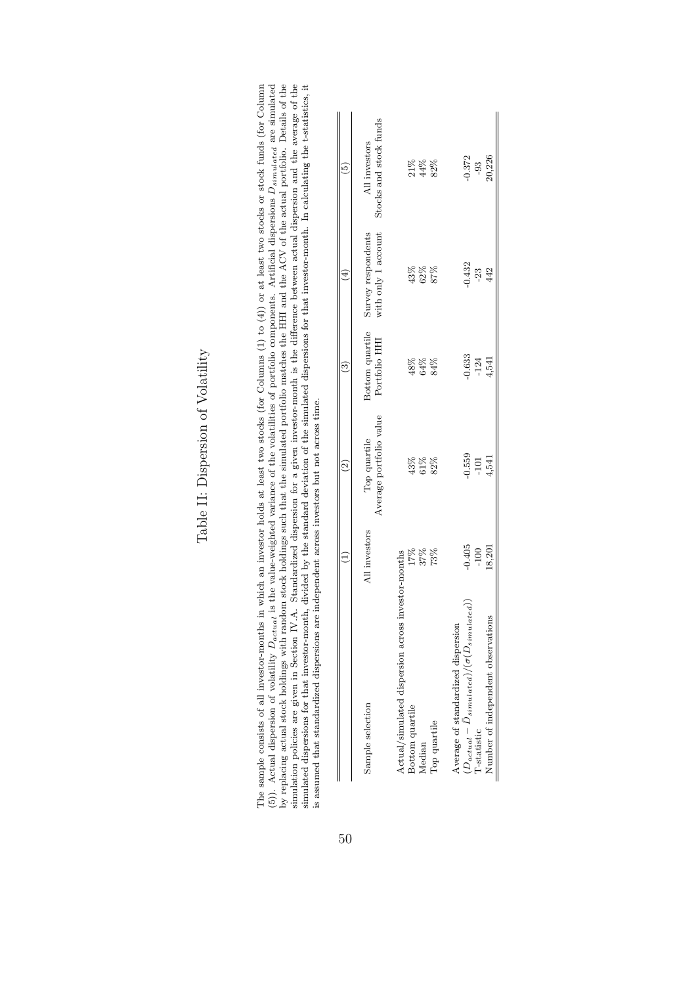| y replacing actual stock holdings with random stock holdings such that the simulated portfolio matches the HHI and the ACV of the actual portfolio. Details of the<br>(5)). Actual dispersion of volatility $D_{actual}$ is the value-weighted variance of the volatilities of portfolio components. Artificial dispersions $D_{simulated}$ are simulated<br>The sample consists of all investor-months in which an investor holds at least two stocks (for Columns $(1)$ to $(4)$ ) or at least two stocks or stock funds (for Column<br>is assumed that standardized dispersions are independent across investors but not across time.<br>simulation policies are given in Section IV.A.<br>simulated dispersions for that investor-month, |                              |                                         |                                  |                                           | Standardized dispersion for a given investor-month is the difference between actual dispersion and the average of the<br>divided by the standard deviation of the simulated dispersions for that investor-month. In calculating the t-statistics, it |
|----------------------------------------------------------------------------------------------------------------------------------------------------------------------------------------------------------------------------------------------------------------------------------------------------------------------------------------------------------------------------------------------------------------------------------------------------------------------------------------------------------------------------------------------------------------------------------------------------------------------------------------------------------------------------------------------------------------------------------------------|------------------------------|-----------------------------------------|----------------------------------|-------------------------------------------|------------------------------------------------------------------------------------------------------------------------------------------------------------------------------------------------------------------------------------------------------|
|                                                                                                                                                                                                                                                                                                                                                                                                                                                                                                                                                                                                                                                                                                                                              |                              | $\widehat{2}$                           | ଡି                               | ₹                                         | ලි                                                                                                                                                                                                                                                   |
| Sample selection                                                                                                                                                                                                                                                                                                                                                                                                                                                                                                                                                                                                                                                                                                                             | All investors                | Average portfolio value<br>Top quartile | Bottom quartile<br>Portfolio HHI | with only 1 account<br>Survey respondents | Stocks and stock funds<br>All investors                                                                                                                                                                                                              |
| Actual/simulated dispersion across investor-months<br>Bottom quartile<br>Top quartile<br>Median                                                                                                                                                                                                                                                                                                                                                                                                                                                                                                                                                                                                                                              | 17%<br>37%<br>73%            | 43%<br>$61\%$<br>82%                    | 48%<br>$64\%$<br>84%             | 43%<br>62%<br>87%                         | $21\%$<br>$44\%$<br>82%                                                                                                                                                                                                                              |
| $(D_{actual}-D_{simulated})/(\sigma(D_{simulated})$<br>Number of independent observations<br>Average of standardized dispersion<br>l'-statistic                                                                                                                                                                                                                                                                                                                                                                                                                                                                                                                                                                                              | $-0.405$<br>18,201<br>$-100$ | $-0.559$<br>$-101$<br>4,541             | $-0.633$<br>$-124$<br>4,541      | $-0.432$<br>$-23$<br>442                  | 20,226<br>$-0.372$<br>$-93$                                                                                                                                                                                                                          |

Table II: Dispersion of Volatility Table II: Dispersion of Volatility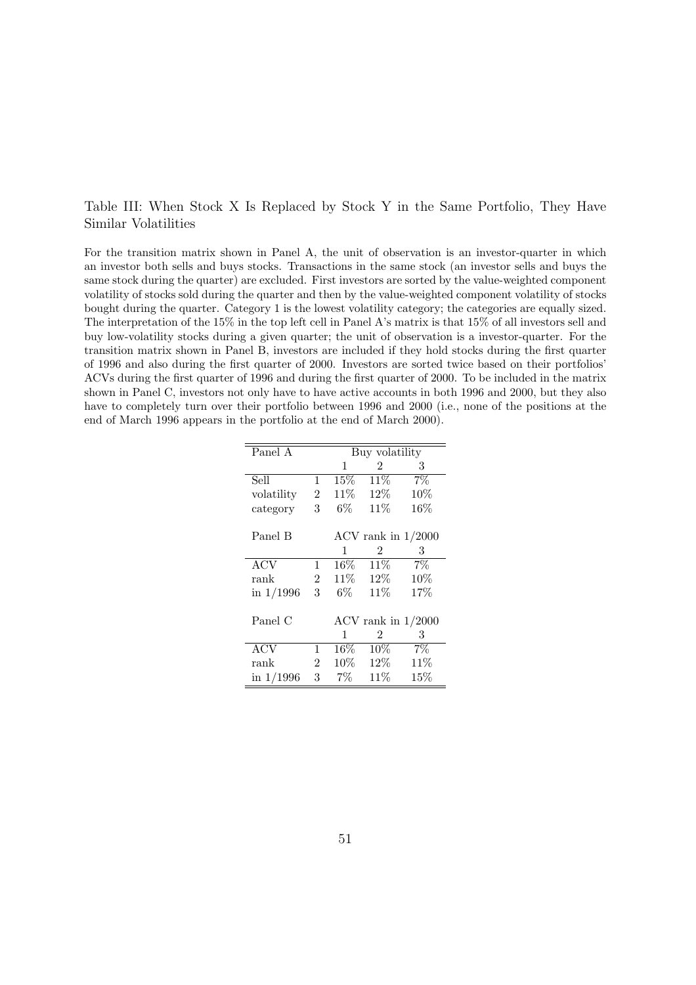#### Table III: When Stock X Is Replaced by Stock Y in the Same Portfolio, They Have Similar Volatilities

For the transition matrix shown in Panel A, the unit of observation is an investor-quarter in which an investor both sells and buys stocks. Transactions in the same stock (an investor sells and buys the same stock during the quarter) are excluded. First investors are sorted by the value-weighted component volatility of stocks sold during the quarter and then by the value-weighted component volatility of stocks bought during the quarter. Category 1 is the lowest volatility category; the categories are equally sized. The interpretation of the 15% in the top left cell in Panel A's matrix is that 15% of all investors sell and buy low-volatility stocks during a given quarter; the unit of observation is a investor-quarter. For the transition matrix shown in Panel B, investors are included if they hold stocks during the first quarter of 1996 and also during the first quarter of 2000. Investors are sorted twice based on their portfolios' ACVs during the first quarter of 1996 and during the first quarter of 2000. To be included in the matrix shown in Panel C, investors not only have to have active accounts in both 1996 and 2000, but they also have to completely turn over their portfolio between 1996 and 2000 (i.e., none of the positions at the end of March 1996 appears in the portfolio at the end of March 2000).

| Panel A          |                |        | Buy volatility |                      |
|------------------|----------------|--------|----------------|----------------------|
|                  |                | 1      | 2              | 3                    |
| Sell             | 1              | $15\%$ | 11\%           | 7%                   |
| volatility       | $\overline{2}$ | $11\%$ | 12\%           | 10%                  |
| category         | 3              | $6\%$  | 11%            | 16%                  |
|                  |                |        |                |                      |
| Panel B          |                |        |                | ACV rank in $1/2000$ |
|                  |                | 1      | 2              | 3                    |
| $\overline{ACV}$ | $\mathbf{1}$   | $16\%$ | 11%            | $7\%$                |
| rank             | $2^{\circ}$    |        | 11\% 12\%      | 10%                  |
| in $1/1996$      | 3              | $6\%$  | 11%            | 17%                  |
|                  |                |        |                |                      |
| Panel C          |                |        |                | ACV rank in $1/2000$ |
|                  |                | 1      | 2              | 3                    |
| <b>ACV</b>       | 1              | $16\%$ | $10\%$         | $7\%$                |
| rank             | $\overline{2}$ | $10\%$ | $12\%$         | 11\%                 |
| in $1/1996$      | 3              | $7\%$  | 11\%           | 15%                  |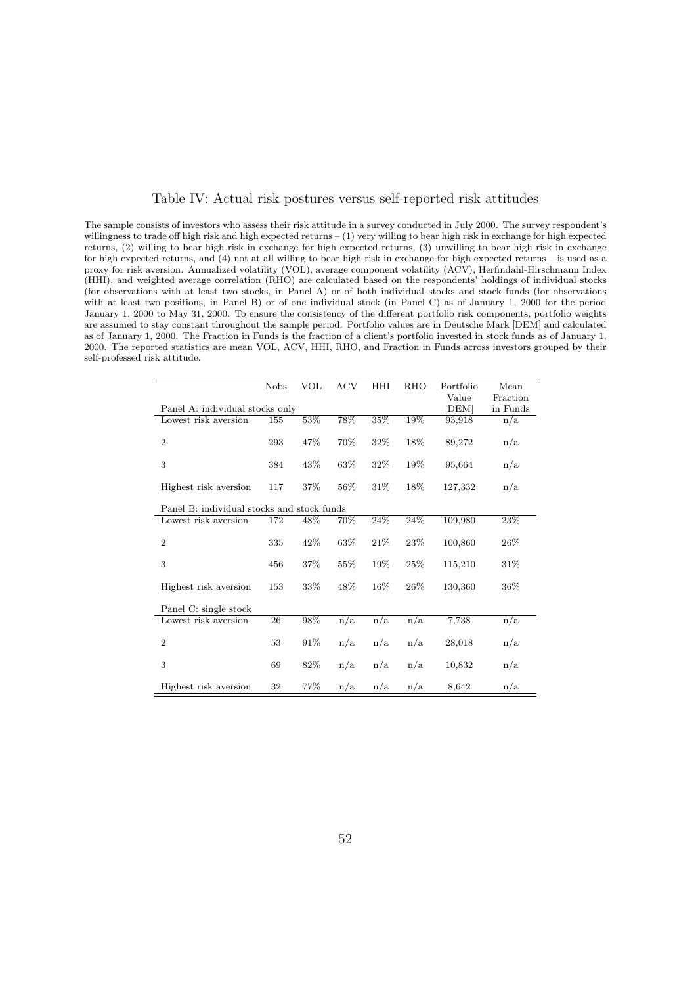#### Table IV: Actual risk postures versus self-reported risk attitudes

The sample consists of investors who assess their risk attitude in a survey conducted in July 2000. The survey respondent's willingness to trade off high risk and high expected returns – (1) very willing to bear high risk in exchange for high expected returns, (2) willing to bear high risk in exchange for high expected returns, (3) unwilling to bear high risk in exchange for high expected returns, and (4) not at all willing to bear high risk in exchange for high expected returns – is used as a proxy for risk aversion. Annualized volatility (VOL), average component volatility (ACV), Herfindahl-Hirschmann Index (HHI), and weighted average correlation (RHO) are calculated based on the respondents' holdings of individual stocks (for observations with at least two stocks, in Panel A) or of both individual stocks and stock funds (for observations with at least two positions, in Panel B) or of one individual stock (in Panel C) as of January 1, 2000 for the period January 1, 2000 to May 31, 2000. To ensure the consistency of the different portfolio risk components, portfolio weights are assumed to stay constant throughout the sample period. Portfolio values are in Deutsche Mark [DEM] and calculated as of January 1, 2000. The Fraction in Funds is the fraction of a client's portfolio invested in stock funds as of January 1, 2000. The reported statistics are mean VOL, ACV, HHI, RHO, and Fraction in Funds across investors grouped by their self-professed risk attitude.

|                                            | <b>Nobs</b> | VOL    | <b>ACV</b>       | HHI  | RHO    | Portfolio | Mean     |
|--------------------------------------------|-------------|--------|------------------|------|--------|-----------|----------|
|                                            |             |        |                  |      |        | Value     | Fraction |
| Panel A: individual stocks only            |             |        |                  |      |        | [DEM]     | in Funds |
| Lowest risk aversion                       | 155         | 53%    | 78%              | 35%  | 19%    | 93,918    | n/a      |
|                                            |             |        |                  |      |        |           |          |
| $\overline{2}$                             | 293         | $47\%$ | 70%              | 32%  | 18%    | 89,272    | n/a      |
|                                            |             |        |                  |      |        |           |          |
| 3                                          | 384         | 43%    | 63\%             | 32%  | 19%    | 95,664    | n/a      |
|                                            |             |        |                  |      |        |           |          |
| Highest risk aversion                      | 117         | 37%    | 56%              | 31\% | 18%    | 127,332   | n/a      |
|                                            |             |        |                  |      |        |           |          |
| Panel B: individual stocks and stock funds |             |        |                  |      |        |           |          |
| Lowest risk aversion                       | 172         | 48%    | 70%              | 24%  | 24%    | 109,980   | 23%      |
|                                            |             |        |                  |      |        |           |          |
|                                            |             |        |                  |      |        |           |          |
| $\overline{2}$                             | 335         | 42%    | 63%              | 21\% | 23\%   | 100,860   | 26\%     |
|                                            |             |        |                  |      |        |           |          |
| 3                                          | 456         | 37%    | 55%              | 19%  | 25%    | 115,210   | 31\%     |
|                                            |             |        |                  |      |        |           |          |
| Highest risk aversion                      | 153         | 33%    | 48\%             | 16%  | $26\%$ | 130,360   | $36\%$   |
|                                            |             |        |                  |      |        |           |          |
| Panel C: single stock                      |             |        |                  |      |        |           |          |
| Lowest risk aversion                       | 26          | 98%    | $\overline{n/a}$ | n/a  | n/a    | 7,738     | n/a      |
|                                            |             |        |                  |      |        |           |          |
| $\overline{2}$                             | 53          | 91\%   | n/a              | n/a  | n/a    | 28,018    | n/a      |
|                                            |             |        |                  |      |        |           |          |
| 3                                          | 69          | 82\%   | n/a              | n/a  | n/a    | 10,832    | n/a      |
|                                            |             |        |                  |      |        |           |          |
| Highest risk aversion                      | 32          | 77%    | n/a              | n/a  | n/a    | 8,642     | n/a      |
|                                            |             |        |                  |      |        |           |          |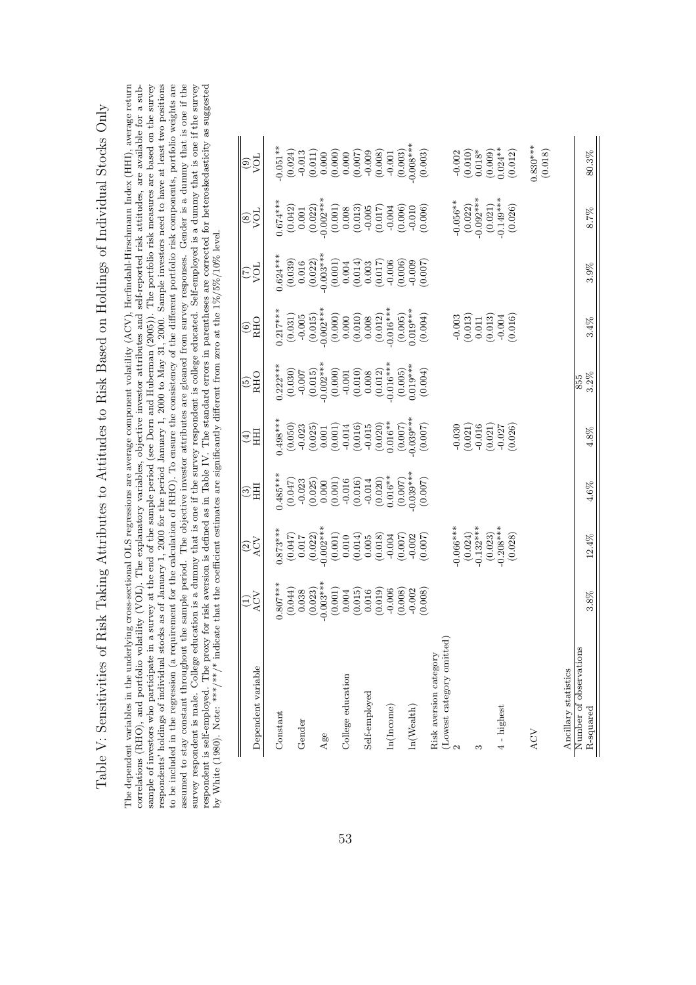| The dependent variables in the underlying cross-sectional OLS regressions are average component volatility (ACV), Herfindahl-Hirschmann Index (HHI), average return<br>correlations (RHO), and portfolio volatility (VOL). The explanatory variables, objective investor attributes and self-reported risk attitudes, are available for a sub-<br>respondents' holdings of individual stocks as of January 1, 2000 for the period January 1, 2000 to May 31, 2000. Sample investors need to have at least two positions<br>for the calculation of RHO). To ensure the consistency of the different portfolio risk components, portfolio weights are<br>assumed to stay constant throughout the sample period. The objective investor attributes are gleaned from survey responses. Gender is a dummy that is one if the<br>aversion is defined as in Table IV. The standard errors in parentheses are corrected for heteroskedasticity as suggested<br>survey respondent is male. College education is a dummy that is one if the survey respondent is college educated. Self-employed is a dummy that is one if the survey<br>at the end of the sample period (see Dorn and Huberman (2005)). The portfolio risk measures are based on the survey<br>Table V: Sensitivities of Risk Taking Attributes to Attitudes to Risk Based on Holdings of Individual Stocks Only<br>the coefficient estimates are significantly different from zero at the $1\% / 5\% / 10\%$ level.<br>by White (1980). Note: *** /** /* indicate that<br>to be included in the regression (a requirement<br>sample of investors who participate in a survey<br>respondent is self-employed. The proxy for risk |
|-----------------------------------------------------------------------------------------------------------------------------------------------------------------------------------------------------------------------------------------------------------------------------------------------------------------------------------------------------------------------------------------------------------------------------------------------------------------------------------------------------------------------------------------------------------------------------------------------------------------------------------------------------------------------------------------------------------------------------------------------------------------------------------------------------------------------------------------------------------------------------------------------------------------------------------------------------------------------------------------------------------------------------------------------------------------------------------------------------------------------------------------------------------------------------------------------------------------------------------------------------------------------------------------------------------------------------------------------------------------------------------------------------------------------------------------------------------------------------------------------------------------------------------------------------------------------------------------------------------------------------------------------------------------------------------------|
|-----------------------------------------------------------------------------------------------------------------------------------------------------------------------------------------------------------------------------------------------------------------------------------------------------------------------------------------------------------------------------------------------------------------------------------------------------------------------------------------------------------------------------------------------------------------------------------------------------------------------------------------------------------------------------------------------------------------------------------------------------------------------------------------------------------------------------------------------------------------------------------------------------------------------------------------------------------------------------------------------------------------------------------------------------------------------------------------------------------------------------------------------------------------------------------------------------------------------------------------------------------------------------------------------------------------------------------------------------------------------------------------------------------------------------------------------------------------------------------------------------------------------------------------------------------------------------------------------------------------------------------------------------------------------------------------|

Table V: Sensitivities of Risk Taking Attributes to Attitudes to Risk Based on Holdings of Individual Stocks Only

| Dependent variable                                          | $\widehat{\Xi}$                                                                                                                                                                                                                                                                                              | $\widetilde{\mathfrak{S}}$                                                                                                                                                                                                                                                                                              | $\widetilde{\mathbb{C}}$ $\widetilde{\mathbb{H}}$                                                                                                                                                                                                  | 且<br>$\bigoplus$                                                                                                                                                                                                                                                                                                 | $\frac{(5)}{RHO}$                                                                                                                                                                                                                                                 | $\frac{6}{R}$                                                                                                                                                                                                                                                                                                            | ió2                                                                                                                                                                                                                                                                                           | ios<br>S                                                                                                                                                                                                                                                                                    | iós<br>O                                                                                                                                                                                                                                                                                                                                                                                                                                                                                                                         |
|-------------------------------------------------------------|--------------------------------------------------------------------------------------------------------------------------------------------------------------------------------------------------------------------------------------------------------------------------------------------------------------|-------------------------------------------------------------------------------------------------------------------------------------------------------------------------------------------------------------------------------------------------------------------------------------------------------------------------|----------------------------------------------------------------------------------------------------------------------------------------------------------------------------------------------------------------------------------------------------|------------------------------------------------------------------------------------------------------------------------------------------------------------------------------------------------------------------------------------------------------------------------------------------------------------------|-------------------------------------------------------------------------------------------------------------------------------------------------------------------------------------------------------------------------------------------------------------------|--------------------------------------------------------------------------------------------------------------------------------------------------------------------------------------------------------------------------------------------------------------------------------------------------------------------------|-----------------------------------------------------------------------------------------------------------------------------------------------------------------------------------------------------------------------------------------------------------------------------------------------|---------------------------------------------------------------------------------------------------------------------------------------------------------------------------------------------------------------------------------------------------------------------------------------------|----------------------------------------------------------------------------------------------------------------------------------------------------------------------------------------------------------------------------------------------------------------------------------------------------------------------------------------------------------------------------------------------------------------------------------------------------------------------------------------------------------------------------------|
| Constant                                                    |                                                                                                                                                                                                                                                                                                              |                                                                                                                                                                                                                                                                                                                         |                                                                                                                                                                                                                                                    |                                                                                                                                                                                                                                                                                                                  |                                                                                                                                                                                                                                                                   |                                                                                                                                                                                                                                                                                                                          |                                                                                                                                                                                                                                                                                               |                                                                                                                                                                                                                                                                                             |                                                                                                                                                                                                                                                                                                                                                                                                                                                                                                                                  |
| Gender                                                      |                                                                                                                                                                                                                                                                                                              |                                                                                                                                                                                                                                                                                                                         |                                                                                                                                                                                                                                                    |                                                                                                                                                                                                                                                                                                                  |                                                                                                                                                                                                                                                                   |                                                                                                                                                                                                                                                                                                                          |                                                                                                                                                                                                                                                                                               |                                                                                                                                                                                                                                                                                             |                                                                                                                                                                                                                                                                                                                                                                                                                                                                                                                                  |
| Age                                                         |                                                                                                                                                                                                                                                                                                              |                                                                                                                                                                                                                                                                                                                         |                                                                                                                                                                                                                                                    |                                                                                                                                                                                                                                                                                                                  |                                                                                                                                                                                                                                                                   |                                                                                                                                                                                                                                                                                                                          |                                                                                                                                                                                                                                                                                               |                                                                                                                                                                                                                                                                                             |                                                                                                                                                                                                                                                                                                                                                                                                                                                                                                                                  |
| College education                                           | $\begin{array}{l} 0.807^{***} \\ 0.041 \\ 0.038 \\ 0.038 \\ 0.003^{***} \\ 0.003^{***} \\ 0.003^{***} \\ 0.003^{***} \\ 0.011 \\ 0.011 \\ 0.008 \\ 0.008 \\ 0.003 \\ 0.003 \\ 0.003 \\ 0.003 \\ 0.008 \\ 0.003 \\ 0.008 \\ 0.008 \\ 0.008 \\ 0.008 \\ 0.008 \\ 0.009 \\ 0.0008 \\ 0.0008 \\ 0.0008 \\ 0.000$ | $\begin{array}{l} 0.873^{***} \\ 0.047) \\ (0.047) \\ (0.022) \\ (0.002) \\ (0.017) \\ (0.017) \\ (0.010) \\ (0.011) \\ (0.014) \\ (0.003) \\ (0.007) \\ (0.007) \\ (0.007) \\ (0.007) \\ (0.007) \\ (0.007) \\ (0.007) \\ (0.007) \\ (0.007) \\ (0.007) \\ (0.007) \\ (0.007) \\ (0.007) \\ (0.007) \\ (0.007) \\ (0.$ | $\begin{array}{l} \n 0.485^{***} \\ \n 0.047 \\ \n 0.023 \\ \n 0.000 \\ \n 0.010 \\ \n 0.010 \\ \n 0.010 \\ \n 0.010 \\ \n 0.000 \\ \n 0.016^{**} \\ \n 0.020 \\ \n 0.007 \\ \n 0.039^{***} \\ \n 0.030 \\ \n 0.030 \\ \n 0.007 \\ \n \end{array}$ | $\begin{array}{l} \n 1.498^{***} \\ \n 0.050 \\ \n 0.023 \\ \n 0.001 \\ \n 0.001 \\ \n 0.001 \\ \n 0.011 \\ \n 0.014 \\ \n 0.000 \\ \n 0.000 \\ \n 0.000 \\ \n 0.000 \\ \n 0.000 \\ \n 0.000 \\ \n 0.000 \\ \n 0.000 \\ \n 0.000 \\ \n 0.000 \\ \n 0.000 \\ \n 0.000 \\ \n 0.000 \\ \n 0.000 \\ \n 0.000 \\ \n $ | $\begin{array}{l} \text{(1,222)} \text{***} \\ (0.030) \\ (0.031) \\ (0.015) \\ (0.002) \\ (0.000) \\ (0.001) \\ (0.001) \\ (0.012) \\ (0.012) \\ (0.013) \\ (0.013) \\ (0.005) \\ (0.006) \\ (0.007) \\ (0.004) \\ (0.004) \\ (0.004) \\ (0.005) \\ \end{array}$ | $\begin{array}{l} 0.217^{***} \\ (0.031) \\ (0.015) \\ (0.015) \\ (0.006) \\ (0.000) \\ (0.000) \\ (0.001) \\ (0.011) \\ (0.012) \\ (0.005) \\ (0.005) \\ (0.001) \\ (0.005) \\ (0.001) \\ (0.001) \\ (0.001) \\ (0.001) \\ (0.001) \\ (0.001) \\ (0.001) \\ (0.001) \\ (0.001) \\ (0.001) \\ (0.001) \\ (0.001) \\ (0.$ | $\begin{array}{l} .624**\\ 0.623*\\ (0.039)\\ (0.016)\\ (0.016)\\ (0.0022)\\ (0.0103**\\ (0.011)\\ (0.001)\\ (0.001)\\ (0.000)\\ (0.000)\\ (0.000)\\ (0.000)\\ (0.000)\\ (0.000)\\ (0.000)\\ (0.000)\\ (0.000)\\ (0.000)\\ (0.000)\\ (0.000)\\ (0.000)\\ (0.000)\\ (0.000)\\ (0.000)\\ (0.00$ | $\begin{array}{l} 0.674**\\ 0.642)\\ (0.042)\\ (0.022)\\ (0.023)\\ (0.001)\\ (0.001)\\ (0.001)\\ (0.001)\\ (0.001)\\ (0.000)\\ (0.000)\\ (0.000)\\ (0.000)\\ (0.000)\\ (0.000)\\ (0.000)\\ (0.000)\\ (0.000)\\ (0.000)\\ (0.000)\\ (0.000)\\ (0.000)\\ (0.000)\\ (0.000)\\ (0.000)\\ (0.00$ | $\begin{array}{l} \mbox{\small\textbf{4}\normalsize} \begin{array}{l} \mbox{\small\textbf{4}\normalsize} \\\mbox{\small\textbf{4}\normalsize} \\\mbox{\small\textbf{5}\normalsize} \\\mbox{\small\textbf{6}\normalsize} \\\mbox{\small\textbf{6}\normalsize} \\\mbox{\small\textbf{7}\normalsize} \\\mbox{\small\textbf{7}\normalsize} \\\mbox{\small\textbf{7}\normalsize} \\\mbox{\small\textbf{8}\normalsize} \\\mbox{\small\textbf{9}\normalsize} \\\mbox{\small\textbf{1}\normalsize} \\\mbox{\small\textbf{1}\normalsize}$ |
| Self-employed                                               |                                                                                                                                                                                                                                                                                                              |                                                                                                                                                                                                                                                                                                                         |                                                                                                                                                                                                                                                    |                                                                                                                                                                                                                                                                                                                  |                                                                                                                                                                                                                                                                   |                                                                                                                                                                                                                                                                                                                          |                                                                                                                                                                                                                                                                                               |                                                                                                                                                                                                                                                                                             |                                                                                                                                                                                                                                                                                                                                                                                                                                                                                                                                  |
| In(Income)                                                  |                                                                                                                                                                                                                                                                                                              |                                                                                                                                                                                                                                                                                                                         |                                                                                                                                                                                                                                                    |                                                                                                                                                                                                                                                                                                                  |                                                                                                                                                                                                                                                                   |                                                                                                                                                                                                                                                                                                                          |                                                                                                                                                                                                                                                                                               |                                                                                                                                                                                                                                                                                             |                                                                                                                                                                                                                                                                                                                                                                                                                                                                                                                                  |
|                                                             |                                                                                                                                                                                                                                                                                                              |                                                                                                                                                                                                                                                                                                                         |                                                                                                                                                                                                                                                    |                                                                                                                                                                                                                                                                                                                  |                                                                                                                                                                                                                                                                   |                                                                                                                                                                                                                                                                                                                          |                                                                                                                                                                                                                                                                                               |                                                                                                                                                                                                                                                                                             |                                                                                                                                                                                                                                                                                                                                                                                                                                                                                                                                  |
| ln(Wealth)                                                  |                                                                                                                                                                                                                                                                                                              |                                                                                                                                                                                                                                                                                                                         |                                                                                                                                                                                                                                                    |                                                                                                                                                                                                                                                                                                                  |                                                                                                                                                                                                                                                                   |                                                                                                                                                                                                                                                                                                                          |                                                                                                                                                                                                                                                                                               |                                                                                                                                                                                                                                                                                             |                                                                                                                                                                                                                                                                                                                                                                                                                                                                                                                                  |
| Risk aversion category                                      |                                                                                                                                                                                                                                                                                                              |                                                                                                                                                                                                                                                                                                                         |                                                                                                                                                                                                                                                    |                                                                                                                                                                                                                                                                                                                  |                                                                                                                                                                                                                                                                   |                                                                                                                                                                                                                                                                                                                          |                                                                                                                                                                                                                                                                                               |                                                                                                                                                                                                                                                                                             |                                                                                                                                                                                                                                                                                                                                                                                                                                                                                                                                  |
|                                                             |                                                                                                                                                                                                                                                                                                              |                                                                                                                                                                                                                                                                                                                         |                                                                                                                                                                                                                                                    |                                                                                                                                                                                                                                                                                                                  |                                                                                                                                                                                                                                                                   |                                                                                                                                                                                                                                                                                                                          |                                                                                                                                                                                                                                                                                               |                                                                                                                                                                                                                                                                                             |                                                                                                                                                                                                                                                                                                                                                                                                                                                                                                                                  |
| S                                                           |                                                                                                                                                                                                                                                                                                              |                                                                                                                                                                                                                                                                                                                         |                                                                                                                                                                                                                                                    |                                                                                                                                                                                                                                                                                                                  |                                                                                                                                                                                                                                                                   |                                                                                                                                                                                                                                                                                                                          |                                                                                                                                                                                                                                                                                               |                                                                                                                                                                                                                                                                                             |                                                                                                                                                                                                                                                                                                                                                                                                                                                                                                                                  |
| 4 - highest                                                 |                                                                                                                                                                                                                                                                                                              | $\begin{array}{l} -0.066^{***} \\ (0.024) \\ (0.024)^{*}} \\ (0.132^{***} \\ (0.023) \\ (0.028^{***}) \\ (0.028) \\ \end{array}$                                                                                                                                                                                        |                                                                                                                                                                                                                                                    | $\begin{array}{c} -0.030 \\ (0.021) \\ -0.016 \\ (0.021) \\ (0.027) \\ -0.027 \\ \end{array}$                                                                                                                                                                                                                    |                                                                                                                                                                                                                                                                   | $-0.003$<br>$(0.013)$<br>$0.011$<br>$(0.013)$<br>$-0.004$<br>$-0.016)$                                                                                                                                                                                                                                                   |                                                                                                                                                                                                                                                                                               | $-0.056**$<br>$(0.022)$<br>$(0.024**$<br>$(0.021)$<br>$(0.021)$<br>$(0.026)$                                                                                                                                                                                                                | $-0.002$<br>$(0.010)$<br>$0.018$ *<br>$0.009$<br>$(0.009)$<br>$0.024$ **                                                                                                                                                                                                                                                                                                                                                                                                                                                         |
| ACV                                                         |                                                                                                                                                                                                                                                                                                              |                                                                                                                                                                                                                                                                                                                         |                                                                                                                                                                                                                                                    |                                                                                                                                                                                                                                                                                                                  |                                                                                                                                                                                                                                                                   |                                                                                                                                                                                                                                                                                                                          |                                                                                                                                                                                                                                                                                               |                                                                                                                                                                                                                                                                                             | (610.018)                                                                                                                                                                                                                                                                                                                                                                                                                                                                                                                        |
| Number of observations<br>Ancillary statistics<br>R-squared | 3.8%                                                                                                                                                                                                                                                                                                         | 12.4%                                                                                                                                                                                                                                                                                                                   | 4.6%                                                                                                                                                                                                                                               | 4.8%                                                                                                                                                                                                                                                                                                             | 3.2%<br>855                                                                                                                                                                                                                                                       | 3.4%                                                                                                                                                                                                                                                                                                                     | 3.9%                                                                                                                                                                                                                                                                                          | 8.7%                                                                                                                                                                                                                                                                                        | 80.3%                                                                                                                                                                                                                                                                                                                                                                                                                                                                                                                            |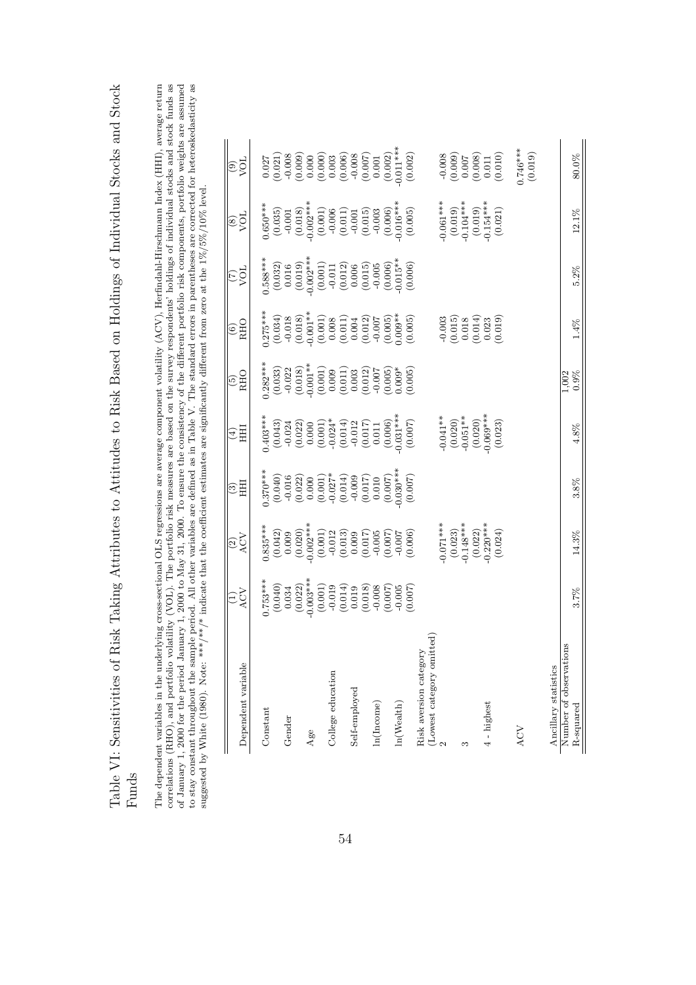| į                                                                                |  |
|----------------------------------------------------------------------------------|--|
| ֞                                                                                |  |
|                                                                                  |  |
| 5000<br>)                                                                        |  |
|                                                                                  |  |
| I<br>$\frac{1}{2}$                                                               |  |
| くりゅく フォーマ くら                                                                     |  |
|                                                                                  |  |
| うりょう                                                                             |  |
| $\sim$<br>ソンパース                                                                  |  |
|                                                                                  |  |
|                                                                                  |  |
| ֧֧֧֧ׅ֧֧֧֧֧֚֚֚֚֚֚֚֚֚֚֚֚֚֚֚֚֚֚֚֚֚֚֝֝֝֝֓֝֓֝֝֓֝֓֝֬֝֓                                 |  |
| Bielz Bagad an Hal                                                               |  |
| )<br>)                                                                           |  |
|                                                                                  |  |
| i<br>-                                                                           |  |
| ーてく<br>י<br>ל                                                                    |  |
|                                                                                  |  |
|                                                                                  |  |
| $\overline{\phantom{a}}$                                                         |  |
| しくし                                                                              |  |
| .<br>.<br>.                                                                      |  |
| i                                                                                |  |
| 1<br>א מוז<br>į                                                                  |  |
| $\begin{array}{c}\n\cdot & \cdot \\ \cdot & \cdot \\ \cdot & \cdot\n\end{array}$ |  |
| Ĭ<br>$\frac{1}{2}$                                                               |  |
|                                                                                  |  |
|                                                                                  |  |
| 0.7111111100000                                                                  |  |
|                                                                                  |  |
| ソン・シューン スプレス                                                                     |  |
|                                                                                  |  |
| .<br>.<br>.                                                                      |  |
| 10012<br>.<br>E                                                                  |  |
|                                                                                  |  |

The dependent variables in the underlying cross-sectional OLS regressions are average component volatility (ACV), Herfindahl-Hirschmann Index (HHI), average return correlations (RHO), and portfolio volatility (VOL). The p of January 1, 2000 for the period January 1, 2000 to May 31, 2000. To ensure the consistency of the different portfolio risk components, portfolio weights are assumed to stay constant throughout the sample period. All oth The dependent variables in the underlying cross-sectional OLS regressions are average component volatility (ACV), Herfindahl-Hirschmann Index (HHI), average return correlations (RHO), and portfolio volatility (VOL). The portfolio risk measures are based on the survey respondents' holdings of individual stocks and stock funds as of January 1, 2000 for the period January 1, 2000 to May 31, 2000. To ensure the consistency of the different portfolio risk components, portfolio weights are assumed to stay constant throughout the sample period. All other variables are defined as in Table V. The standard errors in parentheses are corrected for heteroskedasticity as suggested by White (1980). Note: \*\*\*/\*\* indicate that the coefficient estimates are significantly different from zero at the  $1\%/10\%$  level.

|                                     | EŠ                                                                                                                                                                                                                                                                                                  | $\frac{2}{\text{ACV}}$                                                                                                                                                                                                                                                                                                  | $\widehat{\circ}$                                                                                                                                                                                                                                                                                | $\widehat{\mathbb{E}}_{\Xi}$                                                                                                                                                                                                                                                                                          | $\widehat{\frac{(5)}{\text{RHO}}}$ | $\frac{(6)}{RHO}$                                                                                                                                                                                                                                                                                                                                                                                                 | $\frac{10\lambda}{2}$                                                                                                                                                                                                                                                                                     | $\frac{100}{2}$                                                                                                                                                                                                                                                                                                      | $\frac{100}{2}$                                                                                                                                                                                                                                                                                       |
|-------------------------------------|-----------------------------------------------------------------------------------------------------------------------------------------------------------------------------------------------------------------------------------------------------------------------------------------------------|-------------------------------------------------------------------------------------------------------------------------------------------------------------------------------------------------------------------------------------------------------------------------------------------------------------------------|--------------------------------------------------------------------------------------------------------------------------------------------------------------------------------------------------------------------------------------------------------------------------------------------------|-----------------------------------------------------------------------------------------------------------------------------------------------------------------------------------------------------------------------------------------------------------------------------------------------------------------------|------------------------------------|-------------------------------------------------------------------------------------------------------------------------------------------------------------------------------------------------------------------------------------------------------------------------------------------------------------------------------------------------------------------------------------------------------------------|-----------------------------------------------------------------------------------------------------------------------------------------------------------------------------------------------------------------------------------------------------------------------------------------------------------|----------------------------------------------------------------------------------------------------------------------------------------------------------------------------------------------------------------------------------------------------------------------------------------------------------------------|-------------------------------------------------------------------------------------------------------------------------------------------------------------------------------------------------------------------------------------------------------------------------------------------------------|
| Dependent variable                  |                                                                                                                                                                                                                                                                                                     |                                                                                                                                                                                                                                                                                                                         |                                                                                                                                                                                                                                                                                                  |                                                                                                                                                                                                                                                                                                                       |                                    |                                                                                                                                                                                                                                                                                                                                                                                                                   |                                                                                                                                                                                                                                                                                                           |                                                                                                                                                                                                                                                                                                                      |                                                                                                                                                                                                                                                                                                       |
|                                     |                                                                                                                                                                                                                                                                                                     |                                                                                                                                                                                                                                                                                                                         |                                                                                                                                                                                                                                                                                                  |                                                                                                                                                                                                                                                                                                                       |                                    |                                                                                                                                                                                                                                                                                                                                                                                                                   |                                                                                                                                                                                                                                                                                                           |                                                                                                                                                                                                                                                                                                                      |                                                                                                                                                                                                                                                                                                       |
| Constant                            |                                                                                                                                                                                                                                                                                                     |                                                                                                                                                                                                                                                                                                                         |                                                                                                                                                                                                                                                                                                  |                                                                                                                                                                                                                                                                                                                       |                                    |                                                                                                                                                                                                                                                                                                                                                                                                                   |                                                                                                                                                                                                                                                                                                           |                                                                                                                                                                                                                                                                                                                      |                                                                                                                                                                                                                                                                                                       |
|                                     |                                                                                                                                                                                                                                                                                                     |                                                                                                                                                                                                                                                                                                                         |                                                                                                                                                                                                                                                                                                  |                                                                                                                                                                                                                                                                                                                       |                                    |                                                                                                                                                                                                                                                                                                                                                                                                                   |                                                                                                                                                                                                                                                                                                           |                                                                                                                                                                                                                                                                                                                      |                                                                                                                                                                                                                                                                                                       |
| Gender                              |                                                                                                                                                                                                                                                                                                     |                                                                                                                                                                                                                                                                                                                         |                                                                                                                                                                                                                                                                                                  |                                                                                                                                                                                                                                                                                                                       |                                    |                                                                                                                                                                                                                                                                                                                                                                                                                   |                                                                                                                                                                                                                                                                                                           |                                                                                                                                                                                                                                                                                                                      |                                                                                                                                                                                                                                                                                                       |
|                                     |                                                                                                                                                                                                                                                                                                     |                                                                                                                                                                                                                                                                                                                         |                                                                                                                                                                                                                                                                                                  |                                                                                                                                                                                                                                                                                                                       |                                    |                                                                                                                                                                                                                                                                                                                                                                                                                   |                                                                                                                                                                                                                                                                                                           |                                                                                                                                                                                                                                                                                                                      |                                                                                                                                                                                                                                                                                                       |
| Age                                 |                                                                                                                                                                                                                                                                                                     |                                                                                                                                                                                                                                                                                                                         |                                                                                                                                                                                                                                                                                                  |                                                                                                                                                                                                                                                                                                                       |                                    |                                                                                                                                                                                                                                                                                                                                                                                                                   |                                                                                                                                                                                                                                                                                                           |                                                                                                                                                                                                                                                                                                                      |                                                                                                                                                                                                                                                                                                       |
|                                     | $\begin{array}{l} \n 1.753**\\ \n  (0.040)\\ \n  (0.034)\\ \n  (0.022)\\ \n  (0.034)\\ \n  (0.003**\\ \n  (0.011)\\ \n  (0.014)\\ \n  (0.018)\\ \n  (0.018)\\ \n  (0.007)\\ \n  (0.007)\\ \n  (0.007)\\ \n  (0.007)\\ \n  (0.007)\\ \n  (0.007)\\ \n  (0.007)\\ \n  (0.007)\\ \n  (0.007)\\ \n  (0$ | $\begin{array}{l} 0.835^{***} \\ 0.042) \\ (0.009) \\ (0.000) \\ (0.000) \\ (0.001) \\ (0.011) \\ (0.011) \\ (0.011) \\ (0.010) \\ (0.007) \\ (0.007) \\ (0.007) \\ (0.007) \\ (0.007) \\ (0.008) \\ (0.000) \\ (0.000) \\ (0.000) \\ (0.000) \\ (0.000) \\ (0.000) \\ (0.000) \\ (0.000) \\ (0.000) \\ (0.000) \\ (0.$ | $\begin{array}{l} 0.370^{**}\\ 3.70^{**}\\ (0.040)\\ (0.040)\\ (0.022)\\ (0.000)\\ (0.001)\\ (0.001)\\ (0.011)\\ (0.011)\\ (0.001)\\ (0.000)\\ (0.000)\\ (0.000)\\ (0.000)\\ (0.000)\\ (0.000)\\ (0.000)\\ (0.000)\\ (0.000)\\ (0.000)\\ (0.000)\\ (0.000)\\ (0.000)\\ (0.000)\\ (0.000)\\ (0.0$ | $\begin{array}{l} \n 1.403^{**} \\ \n  (0.043) \\ \n  (0.022) \\ \n  (0.020) \\ \n  (0.000) \\ \n  (0.001) \\ \n  (0.011) \\ \n  (0.017) \\ \n  (0.017) \\ \n  (0.000) \\ \n  (0.000) \\ \n  (0.000) \\ \n  (0.000) \\ \n  (0.000) \\ \n  (0.000) \\ \n  (0.000) \\ \n  (0.000) \\ \n  (0.000) \\ \n  (0.000) \\ \n $ |                                    | $\begin{array}{l} \text{(275)} \text{**} \\ \text{(0.034)} \\ \text{(0.035)} \\ \text{(0.018)} \\ \text{(0.019)} \\ \text{(0.010)} \\ \text{(0.011)} \\ \text{(0.011)} \\ \text{(0.011)} \\ \text{(0.012)} \\ \text{(0.012)} \\ \text{(0.005)} \\ \text{(0.009)} \\ \text{(0.009)} \\ \text{(0.0009)} \\ \text{(0.0009)} \\ \text{(0.0009)} \\ \text{(0.0009)} \\ \text{(0.0009)} \\ \text{(0.0009)} \\ \text{(0$ | $\begin{array}{l} \text{+588\text{\#}}\\ 1.588\text{\#}}\\ (0.032)\\ (0.016)\\ (0.019)\\ (0.002\text{\#}}\\ (0.019)\\ (0.001)\\ (0.011)\\ (0.012)\\ (0.005)\\ (0.006)\\ (0.006)\\ (0.006)\\ (0.007)\\ (0.008)\\ (0.007)\\ (0.008)\\ (0.008)\\ (0.009)\\ (0.0000)\\ (0.0000)\\ (0.0000)\\ (0.0000)\\ (0.0$ | $\begin{array}{l} 0.650^{**} \\ (0.035) \\ (0.031) \\ (0.012) \\ (0.012) \\ (0.001) \\ (0.001) \\ (0.001) \\ (0.011) \\ (0.011) \\ (0.006) \\ (0.006) \\ (0.007) \\ (0.008) \\ (0.007) \\ (0.005) \\ (0.007) \\ (0.008) \\ (0.007) \\ (0.008) \\ (0.009) \\ (0.0008) \\ (0.0009) \\ (0.0009) \\ (0.0009) \\ (0.0009$ | $\begin{array}{l} 0.027 \\ 0.021 \\ 0.008 \\ 0.000 \\ 0.000 \\ 0.000 \\ 0.000 \\ 0.000 \\ 0.000 \\ 0.000 \\ 0.000 \\ 0.000 \\ 0.001 \\ 0.002 \\ 0.002 \\ 0.002 \\ 0.002 \\ 0.002 \\ 0.002 \\ 0.003 \\ 0.002 \\ \end{array}$                                                                           |
| College education                   |                                                                                                                                                                                                                                                                                                     |                                                                                                                                                                                                                                                                                                                         |                                                                                                                                                                                                                                                                                                  |                                                                                                                                                                                                                                                                                                                       |                                    |                                                                                                                                                                                                                                                                                                                                                                                                                   |                                                                                                                                                                                                                                                                                                           |                                                                                                                                                                                                                                                                                                                      |                                                                                                                                                                                                                                                                                                       |
|                                     |                                                                                                                                                                                                                                                                                                     |                                                                                                                                                                                                                                                                                                                         |                                                                                                                                                                                                                                                                                                  |                                                                                                                                                                                                                                                                                                                       |                                    |                                                                                                                                                                                                                                                                                                                                                                                                                   |                                                                                                                                                                                                                                                                                                           |                                                                                                                                                                                                                                                                                                                      |                                                                                                                                                                                                                                                                                                       |
| Self-employed                       |                                                                                                                                                                                                                                                                                                     |                                                                                                                                                                                                                                                                                                                         |                                                                                                                                                                                                                                                                                                  |                                                                                                                                                                                                                                                                                                                       |                                    |                                                                                                                                                                                                                                                                                                                                                                                                                   |                                                                                                                                                                                                                                                                                                           |                                                                                                                                                                                                                                                                                                                      |                                                                                                                                                                                                                                                                                                       |
|                                     |                                                                                                                                                                                                                                                                                                     |                                                                                                                                                                                                                                                                                                                         |                                                                                                                                                                                                                                                                                                  |                                                                                                                                                                                                                                                                                                                       |                                    |                                                                                                                                                                                                                                                                                                                                                                                                                   |                                                                                                                                                                                                                                                                                                           |                                                                                                                                                                                                                                                                                                                      |                                                                                                                                                                                                                                                                                                       |
| ln(Income)                          |                                                                                                                                                                                                                                                                                                     |                                                                                                                                                                                                                                                                                                                         |                                                                                                                                                                                                                                                                                                  |                                                                                                                                                                                                                                                                                                                       |                                    |                                                                                                                                                                                                                                                                                                                                                                                                                   |                                                                                                                                                                                                                                                                                                           |                                                                                                                                                                                                                                                                                                                      |                                                                                                                                                                                                                                                                                                       |
|                                     |                                                                                                                                                                                                                                                                                                     |                                                                                                                                                                                                                                                                                                                         |                                                                                                                                                                                                                                                                                                  |                                                                                                                                                                                                                                                                                                                       |                                    |                                                                                                                                                                                                                                                                                                                                                                                                                   |                                                                                                                                                                                                                                                                                                           |                                                                                                                                                                                                                                                                                                                      |                                                                                                                                                                                                                                                                                                       |
| ln(Wealth)                          |                                                                                                                                                                                                                                                                                                     |                                                                                                                                                                                                                                                                                                                         |                                                                                                                                                                                                                                                                                                  |                                                                                                                                                                                                                                                                                                                       |                                    |                                                                                                                                                                                                                                                                                                                                                                                                                   |                                                                                                                                                                                                                                                                                                           |                                                                                                                                                                                                                                                                                                                      |                                                                                                                                                                                                                                                                                                       |
|                                     |                                                                                                                                                                                                                                                                                                     |                                                                                                                                                                                                                                                                                                                         |                                                                                                                                                                                                                                                                                                  |                                                                                                                                                                                                                                                                                                                       |                                    |                                                                                                                                                                                                                                                                                                                                                                                                                   |                                                                                                                                                                                                                                                                                                           |                                                                                                                                                                                                                                                                                                                      |                                                                                                                                                                                                                                                                                                       |
| Risk aversion categor               |                                                                                                                                                                                                                                                                                                     |                                                                                                                                                                                                                                                                                                                         |                                                                                                                                                                                                                                                                                                  |                                                                                                                                                                                                                                                                                                                       |                                    |                                                                                                                                                                                                                                                                                                                                                                                                                   |                                                                                                                                                                                                                                                                                                           |                                                                                                                                                                                                                                                                                                                      |                                                                                                                                                                                                                                                                                                       |
| (Lowest category omi                |                                                                                                                                                                                                                                                                                                     |                                                                                                                                                                                                                                                                                                                         |                                                                                                                                                                                                                                                                                                  |                                                                                                                                                                                                                                                                                                                       |                                    |                                                                                                                                                                                                                                                                                                                                                                                                                   |                                                                                                                                                                                                                                                                                                           |                                                                                                                                                                                                                                                                                                                      |                                                                                                                                                                                                                                                                                                       |
|                                     |                                                                                                                                                                                                                                                                                                     |                                                                                                                                                                                                                                                                                                                         |                                                                                                                                                                                                                                                                                                  |                                                                                                                                                                                                                                                                                                                       |                                    |                                                                                                                                                                                                                                                                                                                                                                                                                   |                                                                                                                                                                                                                                                                                                           |                                                                                                                                                                                                                                                                                                                      |                                                                                                                                                                                                                                                                                                       |
|                                     |                                                                                                                                                                                                                                                                                                     |                                                                                                                                                                                                                                                                                                                         |                                                                                                                                                                                                                                                                                                  |                                                                                                                                                                                                                                                                                                                       |                                    |                                                                                                                                                                                                                                                                                                                                                                                                                   |                                                                                                                                                                                                                                                                                                           |                                                                                                                                                                                                                                                                                                                      |                                                                                                                                                                                                                                                                                                       |
| S                                   |                                                                                                                                                                                                                                                                                                     |                                                                                                                                                                                                                                                                                                                         |                                                                                                                                                                                                                                                                                                  |                                                                                                                                                                                                                                                                                                                       |                                    |                                                                                                                                                                                                                                                                                                                                                                                                                   |                                                                                                                                                                                                                                                                                                           |                                                                                                                                                                                                                                                                                                                      |                                                                                                                                                                                                                                                                                                       |
|                                     |                                                                                                                                                                                                                                                                                                     | $-0.071**$<br>$(0.023)$<br>$-0.148***$<br>$(0.022)$<br>$(0.024)$<br>$(0.024)$                                                                                                                                                                                                                                           |                                                                                                                                                                                                                                                                                                  | $\begin{array}{c} -0.041** \\ (0.020) \\ -0.051** \\ (0.020) \\ (0.069** \\ 0.063** \\ \end{array}$                                                                                                                                                                                                                   |                                    | $\begin{array}{c} -0.003 \\ (0.015) \\ 0.018 \\ (0.014) \\ (0.014) \\ 0.023 \end{array}$                                                                                                                                                                                                                                                                                                                          |                                                                                                                                                                                                                                                                                                           | $\begin{array}{c} (0.061^{***} \ (0.019)^{*} \ (0.019)^{*} \ (0.010^{***} \ (0.019)^{*} \ (0.154^{***} \ (0.021)^{*} \end{array}$                                                                                                                                                                                    |                                                                                                                                                                                                                                                                                                       |
| 4 - highest                         |                                                                                                                                                                                                                                                                                                     |                                                                                                                                                                                                                                                                                                                         |                                                                                                                                                                                                                                                                                                  |                                                                                                                                                                                                                                                                                                                       |                                    |                                                                                                                                                                                                                                                                                                                                                                                                                   |                                                                                                                                                                                                                                                                                                           |                                                                                                                                                                                                                                                                                                                      |                                                                                                                                                                                                                                                                                                       |
|                                     |                                                                                                                                                                                                                                                                                                     |                                                                                                                                                                                                                                                                                                                         |                                                                                                                                                                                                                                                                                                  |                                                                                                                                                                                                                                                                                                                       |                                    |                                                                                                                                                                                                                                                                                                                                                                                                                   |                                                                                                                                                                                                                                                                                                           |                                                                                                                                                                                                                                                                                                                      | $\begin{array}{r} -0.008 \\ -0.009) \\ 0.007 \\ 0.000 \\ 0.007 \\ 0.003 \\ 0.011 \\ 0.011 \\ 0.011 \\ 0.011 \\ 0.011 \\ 0.011 \\ 0.011 \\ 0.011 \\ 0.011 \\ 0.011 \\ 0.011 \\ 0.011 \\ 0.011 \\ 0.011 \\ 0.011 \\ 0.011 \\ 0.011 \\ 0.011 \\ 0.011 \\ 0.011 \\ 0.011 \\ 0.011 \\ 0.011 \\ 0.011 \\ 0$ |
| ACV                                 |                                                                                                                                                                                                                                                                                                     |                                                                                                                                                                                                                                                                                                                         |                                                                                                                                                                                                                                                                                                  |                                                                                                                                                                                                                                                                                                                       |                                    |                                                                                                                                                                                                                                                                                                                                                                                                                   |                                                                                                                                                                                                                                                                                                           |                                                                                                                                                                                                                                                                                                                      |                                                                                                                                                                                                                                                                                                       |
|                                     |                                                                                                                                                                                                                                                                                                     |                                                                                                                                                                                                                                                                                                                         |                                                                                                                                                                                                                                                                                                  |                                                                                                                                                                                                                                                                                                                       |                                    |                                                                                                                                                                                                                                                                                                                                                                                                                   |                                                                                                                                                                                                                                                                                                           |                                                                                                                                                                                                                                                                                                                      | $0.746***$                                                                                                                                                                                                                                                                                            |
|                                     |                                                                                                                                                                                                                                                                                                     |                                                                                                                                                                                                                                                                                                                         |                                                                                                                                                                                                                                                                                                  |                                                                                                                                                                                                                                                                                                                       |                                    |                                                                                                                                                                                                                                                                                                                                                                                                                   |                                                                                                                                                                                                                                                                                                           |                                                                                                                                                                                                                                                                                                                      |                                                                                                                                                                                                                                                                                                       |
| Ancillary statistics                |                                                                                                                                                                                                                                                                                                     |                                                                                                                                                                                                                                                                                                                         |                                                                                                                                                                                                                                                                                                  |                                                                                                                                                                                                                                                                                                                       |                                    |                                                                                                                                                                                                                                                                                                                                                                                                                   |                                                                                                                                                                                                                                                                                                           |                                                                                                                                                                                                                                                                                                                      |                                                                                                                                                                                                                                                                                                       |
| Number of observations<br>R-squared | 3.7%                                                                                                                                                                                                                                                                                                | 14.3%                                                                                                                                                                                                                                                                                                                   | 3.8%                                                                                                                                                                                                                                                                                             | 4.8%                                                                                                                                                                                                                                                                                                                  | $1,002$<br>$0.9%$                  | $1.4\%$                                                                                                                                                                                                                                                                                                                                                                                                           | 5.2%                                                                                                                                                                                                                                                                                                      | 12.1%                                                                                                                                                                                                                                                                                                                | $80.0\%$                                                                                                                                                                                                                                                                                              |
|                                     |                                                                                                                                                                                                                                                                                                     |                                                                                                                                                                                                                                                                                                                         |                                                                                                                                                                                                                                                                                                  |                                                                                                                                                                                                                                                                                                                       |                                    |                                                                                                                                                                                                                                                                                                                                                                                                                   |                                                                                                                                                                                                                                                                                                           |                                                                                                                                                                                                                                                                                                                      |                                                                                                                                                                                                                                                                                                       |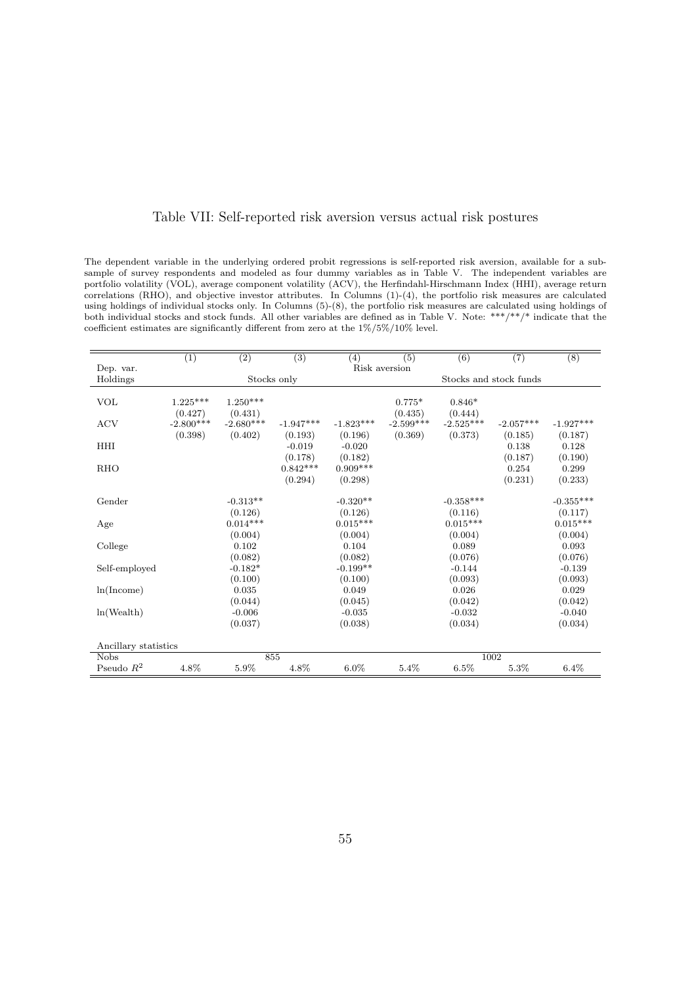#### Table VII: Self-reported risk aversion versus actual risk postures

The dependent variable in the underlying ordered probit regressions is self-reported risk aversion, available for a subsample of survey respondents and modeled as four dummy variables as in Table V. The independent variables are portfolio volatility (VOL), average component volatility (ACV), the Herfindahl-Hirschmann Index (HHI), average return correlations (RHO), and objective investor attributes. In Columns (1)-(4), the portfolio risk measures are calculated using holdings of individual stocks only. In Columns (5)-(8), the portfolio risk measures are calculated using holdings of both individual stocks and stock funds. All other variables are defined as in Table V. Note: \*\*\*/\*\*/\* indicate that the coefficient estimates are significantly different from zero at the 1%/5%/10% level.

|                      | $\overline{(1)}$ | $\overline{(2)}$ | $\overline{(3)}$ | (4)         | $\overline{(5)}$ | $\overline{(6)}$ | $\overline{(7)}$       | $\overline{(8)}$ |
|----------------------|------------------|------------------|------------------|-------------|------------------|------------------|------------------------|------------------|
| Dep. var.            |                  |                  |                  |             | Risk aversion    |                  |                        |                  |
| Holdings             |                  |                  | Stocks only      |             |                  |                  | Stocks and stock funds |                  |
| <b>VOL</b>           | $1.225***$       | $1.250***$       |                  |             | $0.775*$         | $0.846*$         |                        |                  |
|                      | (0.427)          | (0.431)          |                  |             | (0.435)          | (0.444)          |                        |                  |
| <b>ACV</b>           | $-2.800***$      | $-2.680***$      | $-1.947***$      | $-1.823***$ | $-2.599***$      | $-2.525***$      | $-2.057***$            | $-1.927***$      |
|                      | (0.398)          | (0.402)          | (0.193)          | (0.196)     | (0.369)          | (0.373)          | (0.185)                |                  |
| <b>HHI</b>           |                  |                  | $-0.019$         | $-0.020$    |                  |                  | 0.138                  | (0.187)<br>0.128 |
|                      |                  |                  | (0.178)          | (0.182)     |                  |                  | (0.187)                | (0.190)          |
| <b>RHO</b>           |                  |                  | $0.842***$       | $0.909***$  |                  |                  | 0.254                  | 0.299            |
|                      |                  |                  | (0.294)          | (0.298)     |                  |                  | (0.231)                | (0.233)          |
|                      |                  |                  |                  |             |                  |                  |                        |                  |
| Gender               |                  | $-0.313**$       |                  | $-0.320**$  |                  | $-0.358***$      |                        | $-0.355***$      |
|                      |                  | (0.126)          |                  | (0.126)     |                  | (0.116)          |                        | (0.117)          |
| Age                  |                  | $0.014***$       |                  | $0.015***$  |                  | $0.015***$       |                        | $0.015***$       |
|                      |                  | (0.004)          |                  | (0.004)     |                  | (0.004)          |                        | (0.004)          |
| College              |                  | 0.102            |                  | 0.104       |                  | 0.089            |                        | 0.093            |
|                      |                  | (0.082)          |                  | (0.082)     |                  | (0.076)          |                        | (0.076)          |
| Self-employed        |                  | $-0.182*$        |                  | $-0.199**$  |                  | $-0.144$         |                        | $-0.139$         |
|                      |                  | (0.100)          |                  | (0.100)     |                  | (0.093)          |                        | (0.093)          |
| ln(Income)           |                  | 0.035            |                  | 0.049       |                  | 0.026            |                        | 0.029            |
|                      |                  | (0.044)          |                  | (0.045)     |                  | (0.042)          |                        | (0.042)          |
| ln(Wealth)           |                  | $-0.006$         |                  | $-0.035$    |                  | $-0.032$         |                        | $-0.040$         |
|                      |                  | (0.037)          |                  | (0.038)     |                  | (0.034)          |                        | (0.034)          |
| Ancillary statistics |                  |                  |                  |             |                  |                  |                        |                  |
| <b>Nobs</b>          |                  |                  | 855              |             |                  |                  | 1002                   |                  |
| Pseudo $R^2$         | 4.8%             | 5.9%             | 4.8%             | $6.0\%$     | 5.4%             | 6.5%             | 5.3%                   | 6.4%             |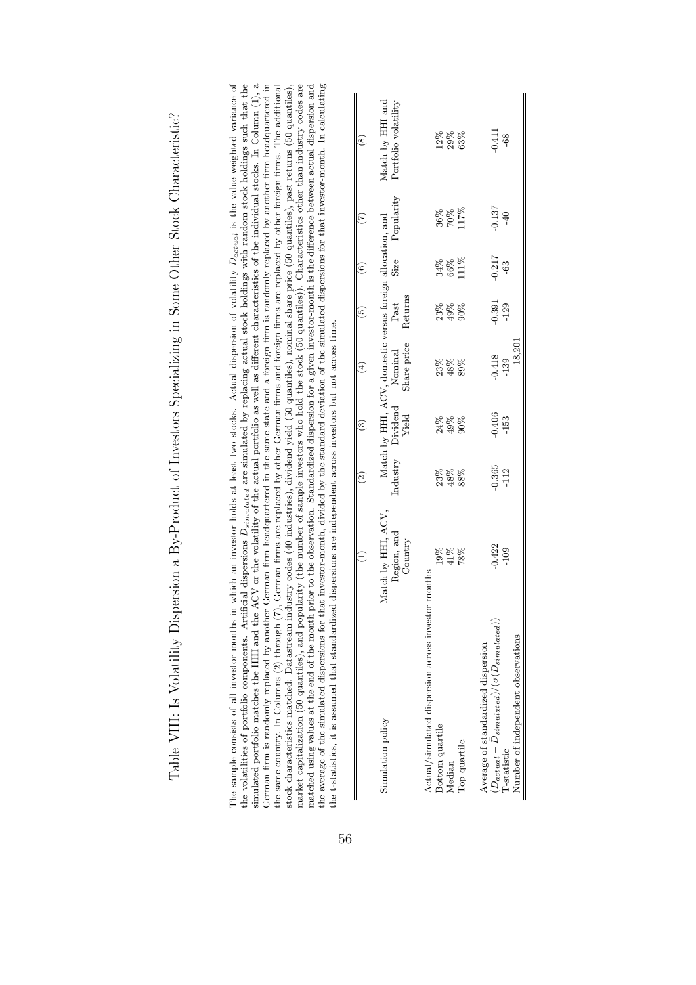| the volatilities of portfolio components. Artificial dispersions $D_{simulated}$ are simulated by replacing actual stock holdings with random stock holdings such that the<br>stock characteristics matched: Datastream industry codes (40 industries), dividend yield (50 quantiles), nominal share price (50 quantiles), past returns (50 quantiles),<br>market capitalization (50 quantiles), and popularity (the number of sample investors who hold the stock (50 quantiles)). Characteristics other than industry codes are<br>the average of the simulated dispersions for that investor-month, divided by the standard deviation of the simulated dispersions for that investor-month. In calculating<br>simulated portfolio matches the HHI and the ACV or the volatility of the actual portfolio as well as different characteristics of the individual stocks. In Column $(1)$ , a<br>the same country. In Columns (2) through (7), German firms are replaced by other German firms and foreign firms are replaced by other foreign firms. The additional<br>matched using values at the end of the month prior to the observation. Standardized dispersion for a given investor-month is the difference between actual dispersion and<br>the t-statistics, it is assumed that standardized dispersions are independent across investors but not across time.<br>The sample consists of all investor-months in<br>German firm is randomly replaced by another |                                              | $\widehat{\mathbb{C}}$     | ତି                   | ⊕                                                                                    | 0                       | $\widehat{\circ}$    | E                     | which an investor holds at least two stocks. Actual dispersion of volatility $D_{actual}$ is the value-weighted variance of<br>German firm headquartered in the same state and a foreign firm is randomly replaced by another firm headquartered in<br>$\overset{\circ}{\scriptscriptstyle{8}}$ |
|--------------------------------------------------------------------------------------------------------------------------------------------------------------------------------------------------------------------------------------------------------------------------------------------------------------------------------------------------------------------------------------------------------------------------------------------------------------------------------------------------------------------------------------------------------------------------------------------------------------------------------------------------------------------------------------------------------------------------------------------------------------------------------------------------------------------------------------------------------------------------------------------------------------------------------------------------------------------------------------------------------------------------------------------------------------------------------------------------------------------------------------------------------------------------------------------------------------------------------------------------------------------------------------------------------------------------------------------------------------------------------------------------------------------------------------------------------------------------|----------------------------------------------|----------------------------|----------------------|--------------------------------------------------------------------------------------|-------------------------|----------------------|-----------------------|-------------------------------------------------------------------------------------------------------------------------------------------------------------------------------------------------------------------------------------------------------------------------------------------------|
| Simulation policy                                                                                                                                                                                                                                                                                                                                                                                                                                                                                                                                                                                                                                                                                                                                                                                                                                                                                                                                                                                                                                                                                                                                                                                                                                                                                                                                                                                                                                                        | Match by HHI, ACV,<br>Region, and<br>Country | Industry                   | Dividend<br>Yield    | Match by HHI, ACV, domestic versus foreign allocation, and<br>Share price<br>Nominal | Returns<br>Past         | Size                 | Popularity            | Match by HHI and<br>Portfolio volatility                                                                                                                                                                                                                                                        |
| Actual/simulated dispersion across investor months<br>Bottom quartile<br>Top quartile<br>Median                                                                                                                                                                                                                                                                                                                                                                                                                                                                                                                                                                                                                                                                                                                                                                                                                                                                                                                                                                                                                                                                                                                                                                                                                                                                                                                                                                          | 19%<br>41%<br>78%                            | $23\%$<br>$48\%$<br>$88\%$ | $24\%$<br>49%<br>90% | 23%<br>$48\%$<br>89%                                                                 | $23\%$<br>$49\%$<br>90% | 11%<br>34%<br>$66\%$ | 117%<br>36%<br>$70\%$ | 12%<br>29%<br>63%                                                                                                                                                                                                                                                                               |
| $(D_{actual}-\bar{D}_{simulated})/(\sigma(D_{simulated}))$<br>Number of independent observations<br>Average of standardized dispersion<br>l'-statistic                                                                                                                                                                                                                                                                                                                                                                                                                                                                                                                                                                                                                                                                                                                                                                                                                                                                                                                                                                                                                                                                                                                                                                                                                                                                                                                   | $-0.422$<br>$-109$                           | $-0.365$<br>$-112$         | $-0.406$<br>$-153$   | 18,201<br>$-0.418$<br>$-139$                                                         | $-0.391$<br>$-129$      | $-0.217$<br>$-63$    | $-0.137$<br>$-40$     | $-0.411$<br>$-68$                                                                                                                                                                                                                                                                               |

Table VIII: Is Volatility Dispersion a By-Product of Investors Specializing in Some Other Stock Characteristic? Table VIII: Is Volatility Dispersion a By-Product of Investors Specializing in Some Other Stock Characteristic?

56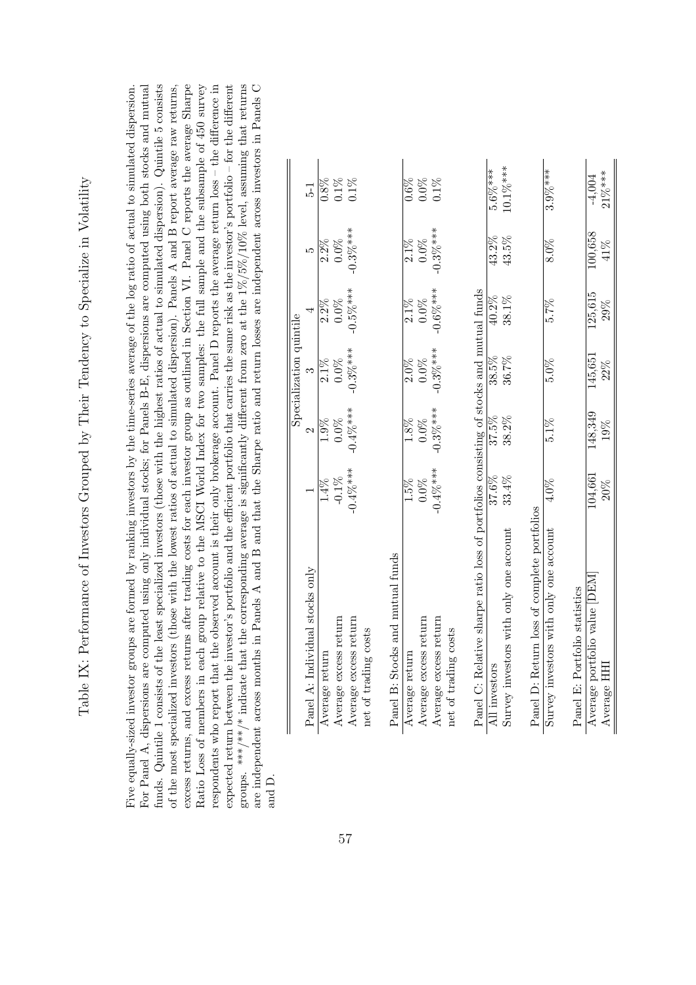| コンド・サルド しゅうしん<br>$\overline{ }$                     |
|-----------------------------------------------------|
|                                                     |
| <br> <br> <br>                                      |
|                                                     |
|                                                     |
|                                                     |
|                                                     |
|                                                     |
|                                                     |
|                                                     |
|                                                     |
|                                                     |
| l                                                   |
| Ì                                                   |
|                                                     |
|                                                     |
| ittitud var landander to Spannenberg in de Voltitud |
|                                                     |
|                                                     |
|                                                     |
|                                                     |
|                                                     |
|                                                     |
|                                                     |
|                                                     |
|                                                     |
| <br> -<br> -<br> <br> <br>                          |
|                                                     |
|                                                     |
|                                                     |
|                                                     |
|                                                     |
|                                                     |
|                                                     |
|                                                     |
|                                                     |
|                                                     |
|                                                     |
|                                                     |
|                                                     |
|                                                     |
|                                                     |
| Ì                                                   |
|                                                     |
| くくりょくりょう てき                                         |
|                                                     |
|                                                     |
| it is possed to create                              |
|                                                     |
|                                                     |
|                                                     |
|                                                     |
| )<br> <br>                                          |
| $\overline{ }$                                      |
|                                                     |
|                                                     |
|                                                     |
|                                                     |
|                                                     |
|                                                     |
|                                                     |
|                                                     |
|                                                     |
| i                                                   |
|                                                     |
|                                                     |
|                                                     |
|                                                     |
|                                                     |
|                                                     |
|                                                     |
| INN IV. P<br>$\frac{1}{3}$                          |

funds. Quintile 1 consists of the least specialized investors (those with the highest ratios of actual to simulated dispersion). Quintile 5 consists groups. \*\*\*/\*\* indicate that the corresponding average is significantly different from zero at the  $1\%/5\%/10\%$  level, assuming that returns excess returns, and excess returns after trading costs for each investor group as outlined in Section VI. Panel C reports the average Sharpe Ratio Loss of members in each group relative to the MSCI World Index for two samples: the full sample and the subsample of 450 survey espondents who report that the observed account is their only brokerage account. Panel D reports the average return loss – the difference in expected return between the investor's portfolio and the efficient portfolio that carries the same risk as the investor's portfolio – for the different are independent across months in Panels A and B and that the Sharpe ratio and return losses are independent across investors in Panels C are independent across months in Panels A and B and that the Sharpe ratio and return losses are independent across investors in Panels C For Panel A, dispersions are computed using only individual stocks; for Panels B-E, dispersions are computed using both stocks and mutual For Panel A, dispersions are computed using only individual stocks; for Panels B-E, dispersions are computed using both stocks and mutual of the most specialized investors (those with the lowest ratios of actual to simulated dispersion). Panels A and B report average raw returns, excess returns, and excess returns after trading costs for each investor group as outlined in Section VI. Panel C reports the average Sharpe Ratio Loss of members in each group relative to the MSCI World Index for two samples: the full sample and the subsample of 450 survey respondents who report that the observed account is their only brokerage account. Panel D reports the average return loss – the difference in groups. \*\*\*/\*\*/\* indicate that the corresponding average is significantly different from zero at the 1%/5%/10% level, assuming that returns Five equally-sized investor groups are formed by ranking investors by the time-series average of the log ratio of actual to simulated dispersion. Five equally-sized investor groups are formed by ranking investors by the time-series average of the log ratio of actual to simulated dispersion. funds. Quintile 1 consists of the least specialized investors (those with the highest ratios of actual to simulated dispersion). Quintile 5 consists of the most specialized investors (those with the lowest ratios of actual to simulated dispersion). Panels A and B report average raw returns, expected return between the investor's portfolio and the efficient portfolio that carries the same risk as the investor's portfolio – for the different and D.

|                                                                                         |             |               | Specialization quintile |             |             |             |
|-----------------------------------------------------------------------------------------|-------------|---------------|-------------------------|-------------|-------------|-------------|
| Panel A: Individual stocks only                                                         |             | $\mathcal{C}$ |                         |             | ນລ          | 51          |
| Average return                                                                          | $14\%$      | $1.9\%$       | $2.1\%$                 | $2.2\%$     | $2.2\%$     | 0.8%        |
| Average excess return                                                                   | $-0.1\%$    | $0.0\%$       | $0.0\%$                 | $0.0\%$     | $0.0\%$     | $0.1\%$     |
| Average excess return                                                                   | $-0.4\%***$ | $-0.4\%***$   | $-0.3\%***$             | $-0.5\%***$ | $-0.3\%***$ | $0.1\%$     |
| net of trading costs                                                                    |             |               |                         |             |             |             |
| Panel B: Stocks and mutual funds                                                        |             |               |                         |             |             |             |
| Average return                                                                          | 1.5%        | 1.8%          | $2.0\%$                 | $2.1\%$     | $2.1\%$     | 0.6%        |
| Average excess return                                                                   | $0.0\%$     | $0.0\%$       | $0.0\%$                 | $0.0\%$     | $0.0\%$     | $0.0\%$     |
| Average excess return                                                                   | $-0.4\%***$ | $-0.3\%***$   | $-0.3\%***$             | $-0.6\%***$ | $-0.3\%***$ | $0.1\%$     |
| net of trading costs                                                                    |             |               |                         |             |             |             |
| Panel C: Relative sharpe ratio loss of portfolios consisting of stocks and mutual funds |             |               |                         |             |             |             |
| All investors                                                                           | 37.6%       | 37.5%         | 38.5%                   | $40.2\%$    | 43.2%       | $5.6\%***$  |
| Survey investors with only one account                                                  | 33.4%       | 38.2%         | 36.7%                   | 38.1%       | 43.5%       | $10.1\%***$ |
| Panel D: Return loss of complete portfolios                                             |             |               |                         |             |             |             |
| Survey investors with only one account                                                  | $4.0\%$     | $5.1\%$       | $5.0\%$                 | 5.7%        | 8.0%        | $3.9\%***$  |
| Panel E: Portfolio statistics                                                           |             |               |                         |             |             |             |
| Average portfolio value DEM                                                             | 104,661     | 148,349       | 145,651                 | 125,615     | 100,658     | $-4,004$    |
| Average HH                                                                              | $20\%$      | 19%           | $22\%$                  | 29%         | 41%         | $21\%***$   |